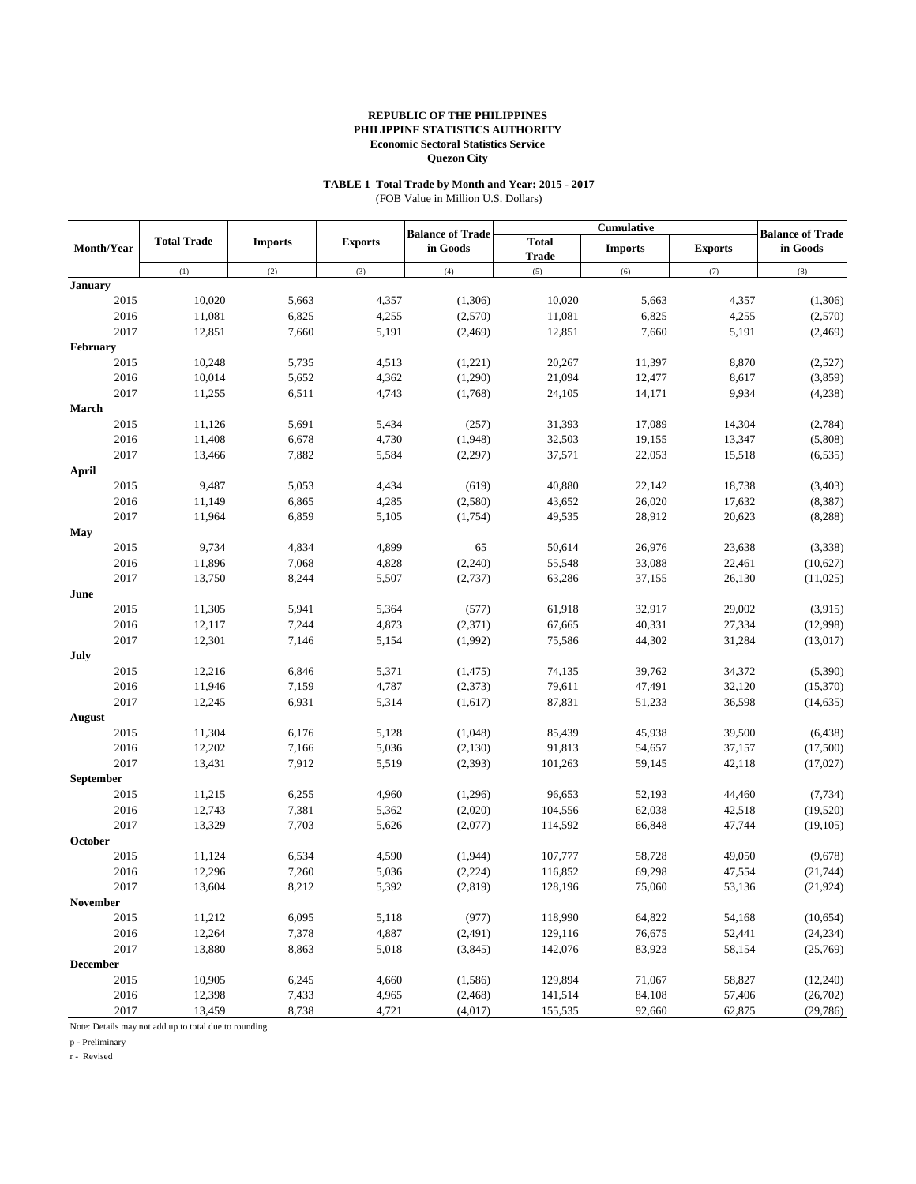#### **TABLE 1 Total Trade by Month and Year: 2015 - 2017** (FOB Value in Million U.S. Dollars)

|                   | Cumulative         |                |                |                                     |                              |                |                |                                     |
|-------------------|--------------------|----------------|----------------|-------------------------------------|------------------------------|----------------|----------------|-------------------------------------|
| <b>Month/Year</b> | <b>Total Trade</b> | <b>Imports</b> | <b>Exports</b> | <b>Balance of Trade</b><br>in Goods | <b>Total</b><br><b>Trade</b> | <b>Imports</b> | <b>Exports</b> | <b>Balance of Trade</b><br>in Goods |
|                   | (1)                | (2)            | (3)            | (4)                                 | (5)                          | (6)            | (7)            | (8)                                 |
| <b>January</b>    |                    |                |                |                                     |                              |                |                |                                     |
| 2015              | 10,020             | 5,663          | 4,357          | (1,306)                             | 10,020                       | 5,663          | 4,357          | (1,306)                             |
| 2016              | 11,081             | 6,825          | 4,255          | (2,570)                             | 11,081                       | 6,825          | 4,255          | (2,570)                             |
| 2017              | 12,851             | 7,660          | 5,191          | (2,469)                             | 12,851                       | 7,660          | 5,191          | (2,469)                             |
| February          |                    |                |                |                                     |                              |                |                |                                     |
| 2015              | 10,248             | 5,735          | 4,513          | (1,221)                             | 20,267                       | 11,397         | 8,870          | (2,527)                             |
| 2016              | 10,014             | 5,652          | 4,362          | (1,290)                             | 21,094                       | 12,477         | 8,617          | (3,859)                             |
| 2017              | 11,255             | 6,511          | 4,743          | (1,768)                             | 24,105                       | 14,171         | 9,934          | (4,238)                             |
| March             |                    |                |                |                                     |                              |                |                |                                     |
| 2015              | 11,126             | 5,691          | 5,434          | (257)                               | 31,393                       | 17,089         | 14,304         | (2,784)                             |
| 2016              | 11,408             | 6,678          | 4,730          | (1,948)                             | 32,503                       | 19,155         | 13,347         | (5,808)                             |
| 2017              | 13,466             | 7,882          | 5,584          | (2,297)                             | 37,571                       | 22,053         | 15,518         | (6, 535)                            |
| April             |                    |                |                |                                     |                              |                |                |                                     |
| 2015              | 9,487              | 5,053          | 4,434          | (619)                               | 40,880                       | 22,142         | 18,738         | (3, 403)                            |
| 2016              | 11,149             | 6,865          | 4,285          | (2,580)                             | 43,652                       | 26,020         | 17,632         | (8, 387)                            |
| 2017              | 11,964             | 6,859          | 5,105          | (1,754)                             | 49,535                       | 28,912         | 20,623         | (8, 288)                            |
| May               |                    |                |                |                                     |                              |                |                |                                     |
| 2015              | 9,734              | 4,834          | 4,899          | 65                                  | 50,614                       | 26,976         | 23,638         | (3,338)                             |
| 2016              | 11,896             | 7,068          | 4,828          | (2,240)                             | 55,548                       | 33,088         | 22,461         | (10,627)                            |
| 2017              | 13,750             | 8,244          | 5,507          | (2,737)                             | 63,286                       | 37,155         | 26,130         | (11,025)                            |
| June              |                    |                |                |                                     |                              |                |                |                                     |
| 2015              | 11,305             | 5,941          | 5,364          | (577)                               | 61,918                       | 32,917         | 29,002         | (3,915)                             |
| 2016              | 12,117             | 7,244          | 4,873          | (2,371)                             | 67,665                       | 40,331         | 27,334         | (12,998)                            |
| 2017              | 12,301             | 7,146          | 5,154          | (1,992)                             | 75,586                       | 44,302         | 31,284         | (13,017)                            |
| July              |                    |                |                |                                     |                              |                |                |                                     |
| 2015              | 12,216             | 6,846          | 5,371          | (1, 475)                            | 74,135                       | 39,762         | 34,372         | (5,390)                             |
| 2016              | 11,946             | 7,159          | 4,787          | (2,373)                             | 79,611                       | 47,491         | 32,120         | (15,370)                            |
| 2017              | 12,245             | 6,931          | 5,314          | (1,617)                             | 87,831                       | 51,233         | 36,598         | (14, 635)                           |
| August            |                    |                |                |                                     |                              |                |                |                                     |
| 2015              | 11,304             | 6,176          | 5,128          | (1,048)                             | 85,439                       | 45,938         | 39,500         | (6, 438)                            |
| 2016              | 12,202             | 7,166          | 5,036          | (2,130)                             | 91,813                       | 54,657         | 37,157         | (17,500)                            |
| 2017              | 13,431             | 7,912          | 5,519          | (2, 393)                            | 101,263                      | 59,145         | 42,118         | (17,027)                            |
| September         |                    |                |                |                                     |                              |                |                |                                     |
| 2015              | 11,215             | 6,255          | 4,960          | (1,296)                             | 96,653                       | 52,193         | 44,460         | (7, 734)                            |
| 2016              | 12,743             | 7,381          | 5,362          | (2,020)                             | 104,556                      | 62,038         | 42,518         | (19, 520)                           |
| 2017              | 13,329             | 7,703          | 5,626          | (2,077)                             | 114,592                      | 66,848         | 47,744         | (19,105)                            |
| October           |                    |                |                |                                     |                              |                |                |                                     |
| 2015              | 11,124             | 6,534          | 4,590          | (1,944)                             | 107,777                      | 58,728         | 49,050         | (9,678)                             |
|                   |                    |                |                |                                     |                              |                |                |                                     |
| 2016              | 12,296             | 7,260          | 5,036          | (2, 224)                            | 116,852                      | 69,298         | 47,554         | (21, 744)                           |
| 2017              | 13,604             | 8,212          | 5,392          | (2, 819)                            | 128,196                      | 75,060         | 53,136         | (21, 924)                           |
| November          |                    |                |                |                                     |                              |                |                | (10,654)                            |
| 2015              | 11,212             | 6,095          | 5,118          | (977)                               | 118,990                      | 64,822         | 54,168         |                                     |
| 2016              | 12,264             | 7,378          | 4,887          | (2, 491)                            | 129,116                      | 76,675         | 52,441         | (24, 234)                           |
| 2017              | 13,880             | 8,863          | 5,018          | (3,845)                             | 142,076                      | 83,923         | 58,154         | (25,769)                            |
| <b>December</b>   |                    |                |                |                                     |                              |                |                |                                     |
| 2015              | 10,905             | 6,245          | 4,660          | (1,586)                             | 129,894                      | 71,067         | 58,827         | (12, 240)                           |
| 2016              | 12,398             | 7,433          | 4,965          | (2, 468)                            | 141,514                      | 84,108         | 57,406         | (26,702)                            |
| 2017              | 13,459             | 8,738          | 4,721          | (4,017)                             | 155,535                      | 92,660         | 62,875         | (29, 786)                           |

Note: Details may not add up to total due to rounding.

p - Preliminary

r - Revised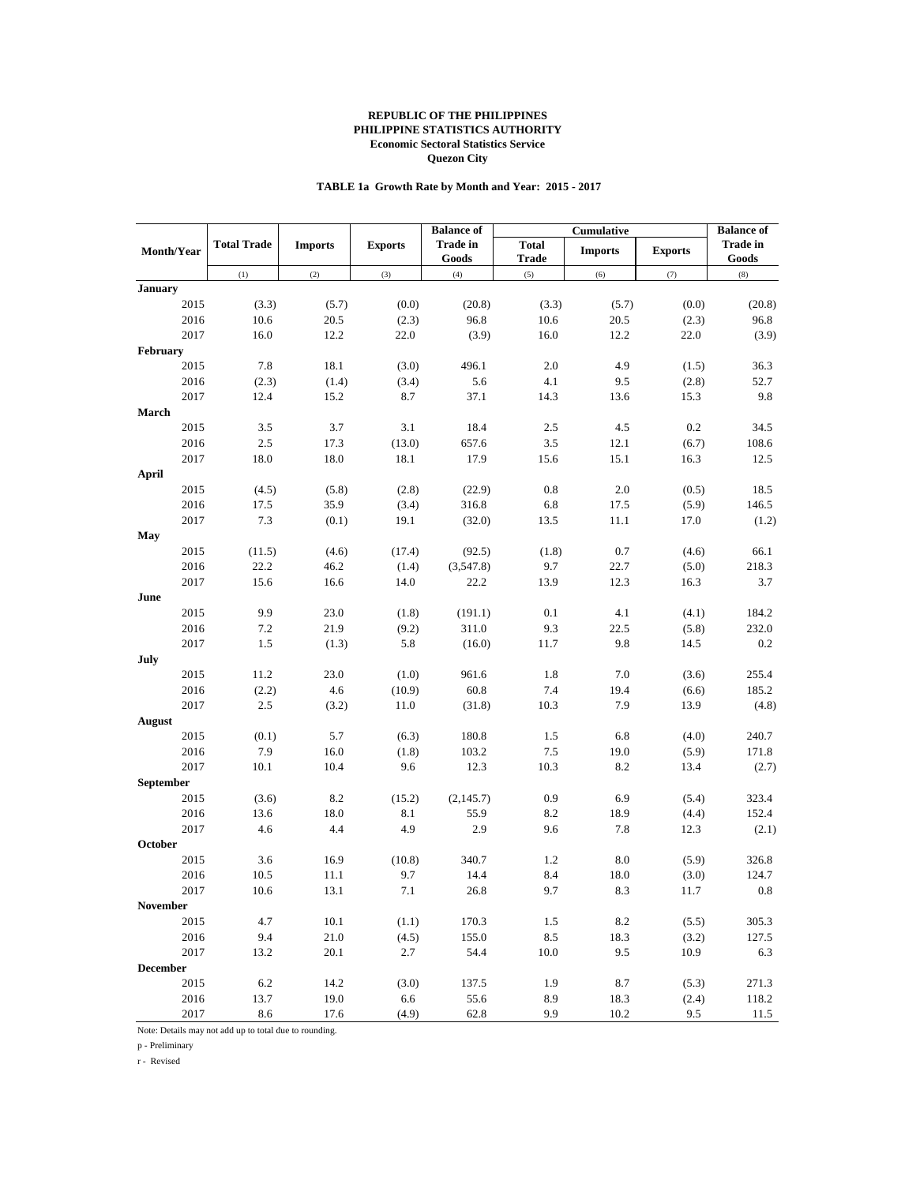## **TABLE 1a Growth Rate by Month and Year: 2015 - 2017**

|                   |                    |                |                | <b>Balance of</b>        |                              | Cumulative     |                | <b>Balance of</b>        |
|-------------------|--------------------|----------------|----------------|--------------------------|------------------------------|----------------|----------------|--------------------------|
| <b>Month/Year</b> | <b>Total Trade</b> | <b>Imports</b> | <b>Exports</b> | <b>Trade in</b><br>Goods | <b>Total</b><br><b>Trade</b> | <b>Imports</b> | <b>Exports</b> | <b>Trade in</b><br>Goods |
|                   | (1)                | (2)            | (3)            | (4)                      | (5)                          | (6)            | (7)            | (8)                      |
| <b>January</b>    |                    |                |                |                          |                              |                |                |                          |
| 2015              | (3.3)              | (5.7)          | (0.0)          | (20.8)                   | (3.3)                        | (5.7)          | (0.0)          | (20.8)                   |
| 2016              | 10.6               | $20.5\,$       | (2.3)          | 96.8                     | 10.6                         | 20.5           | (2.3)          | 96.8                     |
| 2017              | 16.0               | 12.2           | 22.0           | (3.9)                    | 16.0                         | 12.2           | 22.0           | (3.9)                    |
| February          |                    |                |                |                          |                              |                |                |                          |
| 2015              | 7.8                | 18.1           | (3.0)          | 496.1                    | 2.0                          | 4.9            | (1.5)          | 36.3                     |
| 2016              | (2.3)              | (1.4)          | (3.4)          | 5.6                      | 4.1                          | 9.5            | (2.8)          | 52.7                     |
| 2017              | 12.4               | 15.2           | 8.7            | 37.1                     | 14.3                         | 13.6           | 15.3           | 9.8                      |
| March             |                    |                |                |                          |                              |                |                |                          |
| 2015              | 3.5                | 3.7            | 3.1            | 18.4                     | 2.5                          | 4.5            | 0.2            | 34.5                     |
| 2016              | 2.5                | 17.3           | (13.0)         | 657.6                    | 3.5                          | 12.1           | (6.7)          | 108.6                    |
| 2017              | 18.0               | 18.0           | 18.1           | 17.9                     | 15.6                         | 15.1           | 16.3           | 12.5                     |
| April             |                    |                |                |                          |                              |                |                |                          |
| 2015              | (4.5)              | (5.8)          | (2.8)          | (22.9)                   | 0.8                          | 2.0            | (0.5)          | 18.5                     |
| 2016              | 17.5               | 35.9           | (3.4)          | 316.8                    | 6.8                          | 17.5           | (5.9)          | 146.5                    |
| 2017              | 7.3                | (0.1)          | 19.1           | (32.0)                   | 13.5                         | 11.1           | 17.0           | (1.2)                    |
| May               |                    |                |                |                          |                              |                |                |                          |
| 2015              | (11.5)             | (4.6)          | (17.4)         | (92.5)                   | (1.8)                        | 0.7            | (4.6)          | 66.1                     |
| 2016              | 22.2               | 46.2           | (1.4)          | (3,547.8)                | 9.7                          | 22.7           | (5.0)          | 218.3                    |
| 2017              | 15.6               | 16.6           | 14.0           | 22.2                     | 13.9                         | 12.3           | 16.3           | 3.7                      |
| June              |                    |                |                |                          |                              |                |                |                          |
| 2015              | 9.9                | 23.0           | (1.8)          | (191.1)                  | 0.1                          | 4.1            | (4.1)          | 184.2                    |
| 2016              | 7.2                | 21.9           | (9.2)          | 311.0                    | 9.3                          | 22.5           | (5.8)          | 232.0                    |
| 2017              | 1.5                | (1.3)          | 5.8            | (16.0)                   | 11.7                         | 9.8            | 14.5           | 0.2                      |
| July              |                    |                |                |                          |                              |                |                |                          |
| 2015              | 11.2               | 23.0           | (1.0)          | 961.6                    | 1.8                          | 7.0            | (3.6)          | 255.4                    |
| 2016              | (2.2)              | 4.6            | (10.9)         | 60.8                     | 7.4                          | 19.4           | (6.6)          | 185.2                    |
| 2017              | 2.5                | (3.2)          | 11.0           | (31.8)                   | 10.3                         | 7.9            | 13.9           | (4.8)                    |
| August            |                    |                |                |                          |                              |                |                |                          |
| 2015              | (0.1)              | 5.7            | (6.3)          | 180.8                    | 1.5                          | 6.8            | (4.0)          | 240.7                    |
| 2016              | 7.9                | 16.0           | (1.8)          | 103.2                    | 7.5                          | 19.0           | (5.9)          | 171.8                    |
| 2017              | 10.1               | 10.4           | 9.6            | 12.3                     | 10.3                         | 8.2            | 13.4           | (2.7)                    |
| September         |                    |                |                |                          |                              |                |                |                          |
| 2015              | (3.6)              | 8.2            | (15.2)         | (2, 145.7)               | 0.9                          | 6.9            | (5.4)          | 323.4                    |
| 2016              | 13.6               | $18.0\,$       | 8.1            | 55.9                     | 8.2                          | 18.9           | (4.4)          | 152.4                    |
| 2017              | 4.6                | 4.4            | 4.9            | 2.9                      | 9.6                          | 7.8            | 12.3           | (2.1)                    |
| October           |                    |                |                |                          |                              |                |                |                          |
| 2015              | 3.6                | 16.9           | (10.8)         | 340.7                    | 1.2                          | 8.0            | (5.9)          | 326.8                    |
| 2016              | 10.5               | 11.1           | 9.7            | 14.4                     | 8.4                          | 18.0           | (3.0)          | 124.7                    |
| 2017              | 10.6               | 13.1           | $7.1\,$        | 26.8                     | 9.7                          | $8.3\,$        | 11.7           | 0.8                      |
| November          |                    |                |                |                          |                              |                |                |                          |
| 2015              | 4.7                | 10.1           | (1.1)          | 170.3                    | 1.5                          | 8.2            | (5.5)          | 305.3                    |
| 2016              | 9.4                | 21.0           | (4.5)          | 155.0                    | $8.5\,$                      | 18.3           | (3.2)          | 127.5                    |
| 2017              | 13.2               | 20.1           | 2.7            | 54.4                     | 10.0                         | 9.5            | 10.9           | 6.3                      |
| <b>December</b>   |                    |                |                |                          |                              |                |                |                          |
| 2015              | 6.2                | 14.2           | (3.0)          | 137.5                    | 1.9                          | 8.7            | (5.3)          | 271.3                    |
| 2016              | 13.7               | 19.0           | 6.6            | 55.6                     | 8.9                          | 18.3           | (2.4)          | 118.2                    |
| 2017              | 8.6                | 17.6           | (4.9)          | 62.8                     | 9.9                          | 10.2           | 9.5            | 11.5                     |

Note: Details may not add up to total due to rounding.

p - Preliminary

r - Revised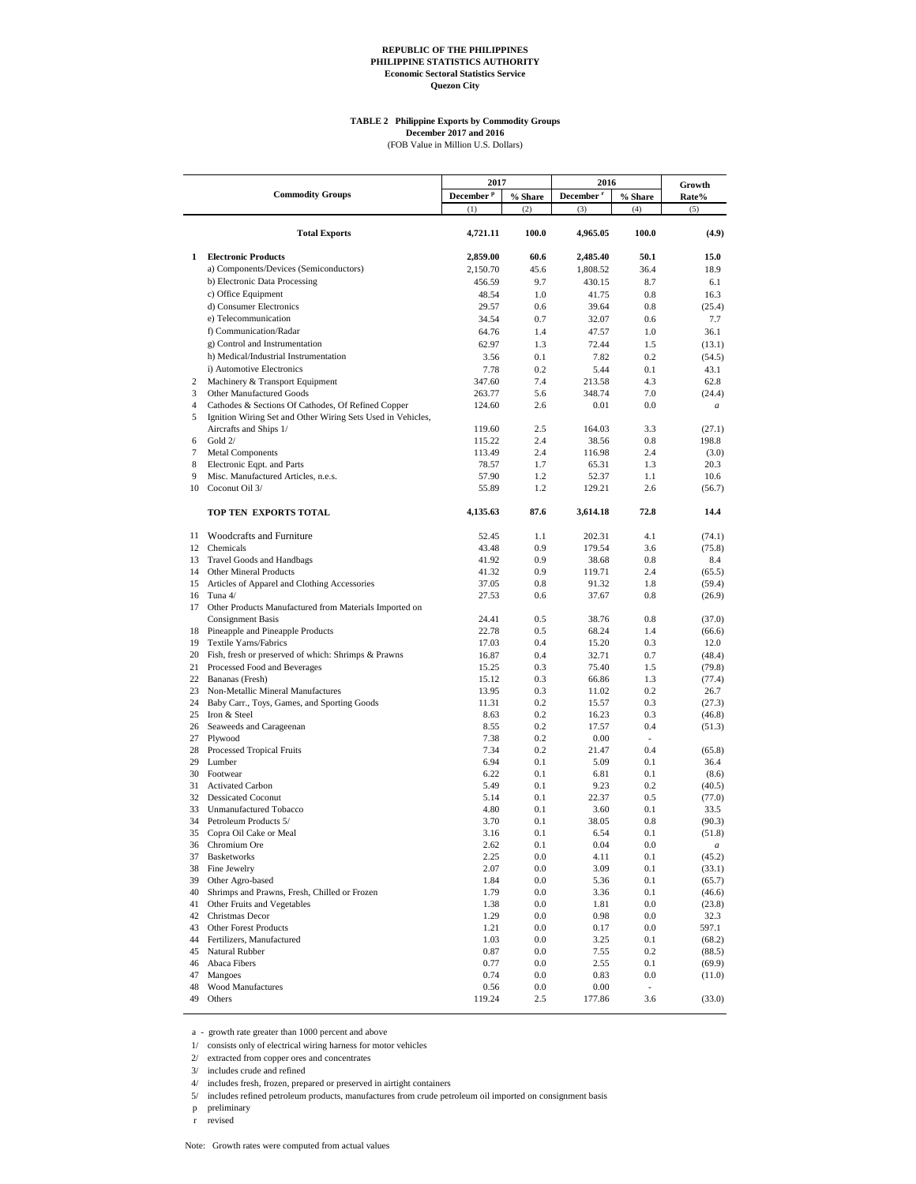# **TABLE 2 Philippine Exports by Commodity Groups December 2017 and 2016**<br>(FOB Value in Million U.S. Dollars)

|                |                                                                                |                               |                    | 2016                  |                          |                            |
|----------------|--------------------------------------------------------------------------------|-------------------------------|--------------------|-----------------------|--------------------------|----------------------------|
|                | <b>Commodity Groups</b>                                                        | 2017<br>December <sup>p</sup> | % Share            | December <sup>r</sup> | % Share                  | Growth                     |
|                |                                                                                | (1)                           | (2)                | (3)                   | (4)                      | Rate%<br>(5)               |
|                |                                                                                |                               |                    |                       |                          |                            |
|                | <b>Total Exports</b>                                                           | 4,721.11                      | 100.0              | 4,965.05              | 100.0                    | (4.9)                      |
| 1              | <b>Electronic Products</b>                                                     | 2,859.00                      | 60.6               | 2,485.40              | 50.1                     | 15.0                       |
|                | a) Components/Devices (Semiconductors)                                         | 2,150.70                      | 45.6               | 1,808.52              | 36.4                     | 18.9                       |
|                | b) Electronic Data Processing                                                  | 456.59                        | 9.7                | 430.15                | 8.7                      | 6.1                        |
|                | c) Office Equipment                                                            | 48.54                         | 1.0                | 41.75                 | 0.8                      | 16.3                       |
|                | d) Consumer Electronics                                                        | 29.57                         | 0.6                | 39.64                 | 0.8                      | (25.4)                     |
|                | e) Telecommunication                                                           | 34.54                         | 0.7                | 32.07                 | 0.6                      | 7.7                        |
|                | f) Communication/Radar                                                         | 64.76                         | 1.4                | 47.57                 | 1.0                      | 36.1                       |
|                | g) Control and Instrumentation                                                 | 62.97                         | 1.3                | 72.44                 | 1.5                      | (13.1)                     |
|                | h) Medical/Industrial Instrumentation                                          | 3.56                          | 0.1                | 7.82                  | 0.2                      | (54.5)                     |
|                | i) Automotive Electronics                                                      | 7.78                          | 0.2                | 5.44                  | 0.1                      | 43.1                       |
| 2<br>3         | Machinery & Transport Equipment                                                | 347.60                        | 7.4                | 213.58                | 4.3                      | 62.8                       |
| $\overline{4}$ | Other Manufactured Goods<br>Cathodes & Sections Of Cathodes, Of Refined Copper | 263.77<br>124.60              | 5.6<br>2.6         | 348.74<br>0.01        | 7.0<br>0.0               | (24.4)                     |
| 5              | Ignition Wiring Set and Other Wiring Sets Used in Vehicles,                    |                               |                    |                       |                          | a                          |
|                | Aircrafts and Ships 1/                                                         | 119.60                        | 2.5                | 164.03                | 3.3                      | (27.1)                     |
| 6              | Gold 2/                                                                        | 115.22                        | 2.4                | 38.56                 | 0.8                      | 198.8                      |
| 7              | <b>Metal Components</b>                                                        | 113.49                        | 2.4                | 116.98                | 2.4                      | (3.0)                      |
| 8              | Electronic Eqpt. and Parts                                                     | 78.57                         | 1.7                | 65.31                 | 1.3                      | 20.3                       |
| 9<br>10        | Misc. Manufactured Articles, n.e.s.                                            | 57.90                         | 1.2                | 52.37                 | 1.1                      | 10.6                       |
|                | Coconut Oil 3/                                                                 | 55.89                         | 1.2                | 129.21                | 2.6                      | (56.7)                     |
|                | TOP TEN EXPORTS TOTAL                                                          | 4,135.63                      | 87.6               | 3,614.18              | 72.8                     | 14.4                       |
|                | 11 Woodcrafts and Furniture                                                    | 52.45                         | 1.1                | 202.31                | 4.1                      | (74.1)                     |
|                | 12 Chemicals                                                                   | 43.48                         | 0.9                | 179.54                | 3.6                      | (75.8)                     |
|                | 13 Travel Goods and Handbags                                                   | 41.92                         | 0.9                | 38.68                 | 0.8                      | 8.4                        |
| 14             | Other Mineral Products                                                         | 41.32                         | 0.9                | 119.71                | 2.4                      | (65.5)                     |
| 15             | Articles of Apparel and Clothing Accessories<br>16 Tuna 4/                     | 37.05<br>27.53                | 0.8<br>0.6         | 91.32<br>37.67        | 1.8<br>0.8               | (59.4)<br>(26.9)           |
| 17             | Other Products Manufactured from Materials Imported on                         |                               |                    |                       |                          |                            |
|                | <b>Consignment Basis</b>                                                       | 24.41                         | 0.5                | 38.76                 | 0.8                      | (37.0)                     |
|                | 18 Pineapple and Pineapple Products                                            | 22.78                         | 0.5                | 68.24                 | 1.4                      | (66.6)                     |
| 19             | Textile Yarns/Fabrics                                                          | 17.03                         | 0.4                | 15.20                 | 0.3                      | 12.0                       |
|                | 20 Fish, fresh or preserved of which: Shrimps & Prawns                         | 16.87                         | 0.4                | 32.71                 | 0.7                      | (48.4)                     |
| 21             | Processed Food and Beverages                                                   | 15.25                         | 0.3                | 75.40                 | 1.5                      | (79.8)                     |
|                | 22 Bananas (Fresh)                                                             | 15.12                         | 0.3                | 66.86                 | 1.3                      | (77.4)                     |
| 24             | 23 Non-Metallic Mineral Manufactures                                           | 13.95<br>11.31                | 0.3<br>0.2         | 11.02                 | 0.2<br>0.3               | 26.7                       |
|                | Baby Carr., Toys, Games, and Sporting Goods<br>25 Iron & Steel                 | 8.63                          | 0.2                | 15.57<br>16.23        | 0.3                      | (27.3)<br>(46.8)           |
|                | 26 Seaweeds and Carageenan                                                     | 8.55                          | 0.2                | 17.57                 | 0.4                      | (51.3)                     |
| 27             | Plywood                                                                        | 7.38                          | 0.2                | 0.00                  | $\overline{\phantom{a}}$ |                            |
|                | 28 Processed Tropical Fruits                                                   | 7.34                          | 0.2                | 21.47                 | 0.4                      | (65.8)                     |
|                | 29 Lumber                                                                      | 6.94                          | 0.1                | 5.09                  | 0.1                      | 36.4                       |
|                | 30 Footwear                                                                    | 6.22                          | 0.1                | 6.81                  | 0.1                      | (8.6)                      |
| 31             | <b>Activated Carbon</b>                                                        | 5.49                          | 0.1                | 9.23                  | 0.2                      | (40.5)                     |
| 32             | <b>Dessicated Coconut</b>                                                      | 5.14                          | 0.1                | 22.37                 | 0.5                      | (77.0)                     |
| 33             | Unmanufactured Tobacco                                                         | 4.80                          | 0.1                | 3.60                  | 0.1                      | 33.5                       |
| 34             | Petroleum Products 5/                                                          | 3.70                          | 0.1                | 38.05                 | 0.8                      | (90.3)                     |
| 35             | Copra Oil Cake or Meal<br>36 Chromium Ore                                      | 3.16<br>2.62                  | 0.1<br>0.1         | 6.54<br>0.04          | 0.1<br>$0.0\,$           | (51.8)<br>$\boldsymbol{a}$ |
| 37             | <b>Basketworks</b>                                                             | 2.25                          | 0.0                | 4.11                  | 0.1                      | (45.2)                     |
| 38             | Fine Jewelry                                                                   | 2.07                          | 0.0                | 3.09                  | 0.1                      | (33.1)                     |
| 39             | Other Agro-based                                                               | 1.84                          | $0.0\,$            | 5.36                  | 0.1                      | (65.7)                     |
| 40             | Shrimps and Prawns, Fresh, Chilled or Frozen                                   | 1.79                          | $0.0\,$            | 3.36                  | 0.1                      | (46.6)                     |
| 41             | Other Fruits and Vegetables                                                    | 1.38                          | 0.0                | 1.81                  | 0.0                      | (23.8)                     |
| 42             | Christmas Decor                                                                | 1.29                          | $0.0\,$            | 0.98                  | 0.0                      | 32.3                       |
|                | 43 Other Forest Products                                                       | 1.21                          | 0.0                | 0.17                  | 0.0                      | 597.1                      |
|                | 44 Fertilizers, Manufactured                                                   | 1.03                          | $0.0\,$            | 3.25                  | 0.1                      | (68.2)                     |
| 45             | Natural Rubber                                                                 | 0.87                          | $0.0\,$            | 7.55                  | 0.2                      | (88.5)                     |
|                | 46 Abaca Fibers                                                                | 0.77                          | $0.0\,$            | 2.55                  | 0.1                      | (69.9)                     |
| 47<br>48       | Mangoes<br>Wood Manufactures                                                   | 0.74<br>0.56                  | $0.0\,$<br>$0.0\,$ | 0.83<br>0.00          | 0.0<br>$\blacksquare$    | (11.0)                     |
| 49             | Others                                                                         | 119.24                        | 2.5                | 177.86                | 3.6                      | (33.0)                     |
|                |                                                                                |                               |                    |                       |                          |                            |

a - growth rate greater than 1000 percent and above

1/ consists only of electrical wiring harness for motor vehicles

2/ extracted from copper ores and concentrates

3/ includes crude and refined

4/ includes fresh, frozen, prepared or preserved in airtight containers

5/ includes refined petroleum products, manufactures from crude petroleum oil imported on consignment basis

p preliminary

r revised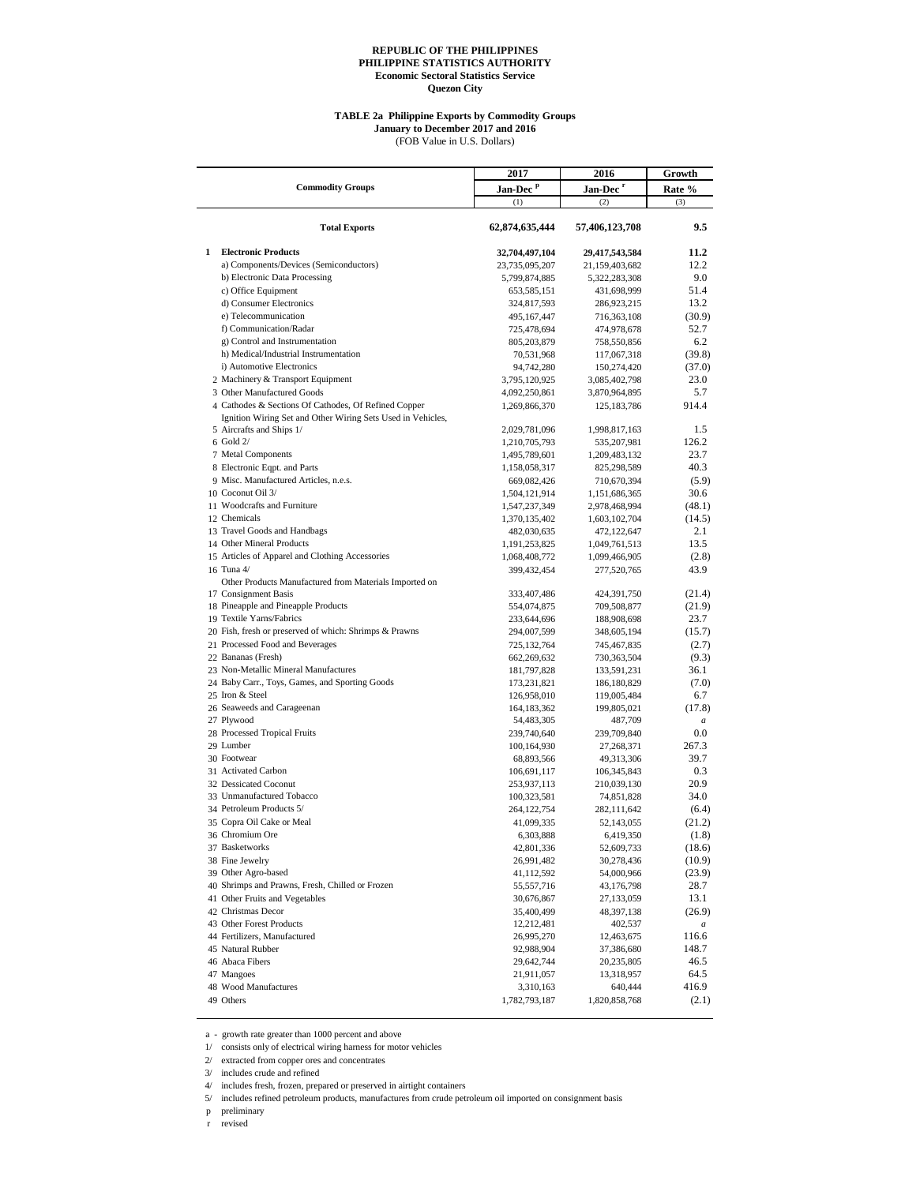#### **TABLE 2a Philippine Exports by Commodity Groups**

**January to December 2017 and 2016**

|   |                                                                                                                     | 2017                         | 2016                       | Growth           |
|---|---------------------------------------------------------------------------------------------------------------------|------------------------------|----------------------------|------------------|
|   | <b>Commodity Groups</b>                                                                                             | Jan-Dec <sup>p</sup>         | Jan-Dec <sup>r</sup>       | Rate %           |
|   |                                                                                                                     | (1)                          | (2)                        | (3)              |
|   | <b>Total Exports</b>                                                                                                | 62,874,635,444               | 57,406,123,708             | 9.5              |
| 1 | <b>Electronic Products</b>                                                                                          | 32,704,497,104               | 29,417,543,584             | 11.2             |
|   | a) Components/Devices (Semiconductors)                                                                              | 23,735,095,207               | 21,159,403,682             | 12.2             |
|   | b) Electronic Data Processing                                                                                       | 5,799,874,885                | 5,322,283,308              | 9.0              |
|   | c) Office Equipment                                                                                                 | 653,585,151                  | 431,698,999                | 51.4             |
|   | d) Consumer Electronics                                                                                             | 324,817,593                  | 286,923,215                | 13.2             |
|   | e) Telecommunication<br>f) Communication/Radar                                                                      | 495,167,447                  | 716,363,108<br>474,978,678 | (30.9)<br>52.7   |
|   | g) Control and Instrumentation                                                                                      | 725,478,694<br>805,203,879   | 758,550,856                | 6.2              |
|   | h) Medical/Industrial Instrumentation                                                                               | 70,531,968                   | 117,067,318                | (39.8)           |
|   | i) Automotive Electronics                                                                                           | 94,742,280                   | 150,274,420                | (37.0)           |
|   | 2 Machinery & Transport Equipment                                                                                   | 3,795,120,925                | 3,085,402,798              | 23.0             |
|   | 3 Other Manufactured Goods                                                                                          | 4,092,250,861                | 3,870,964,895              | 5.7              |
|   | 4 Cathodes & Sections Of Cathodes, Of Refined Copper<br>Ignition Wiring Set and Other Wiring Sets Used in Vehicles, | 1,269,866,370                | 125, 183, 786              | 914.4            |
|   | 5 Aircrafts and Ships 1/                                                                                            | 2,029,781,096                | 1,998,817,163              | 1.5              |
|   | $6$ Gold $2/$                                                                                                       | 1,210,705,793                | 535,207,981                | 126.2            |
|   | 7 Metal Components                                                                                                  | 1,495,789,601                | 1,209,483,132              | 23.7<br>40.3     |
|   | 8 Electronic Eqpt. and Parts<br>9 Misc. Manufactured Articles, n.e.s.                                               | 1,158,058,317<br>669,082,426 | 825,298,589<br>710,670,394 | (5.9)            |
|   | 10 Coconut Oil 3/                                                                                                   | 1,504,121,914                | 1,151,686,365              | 30.6             |
|   | 11 Woodcrafts and Furniture                                                                                         | 1,547,237,349                | 2,978,468,994              | (48.1)           |
|   | 12 Chemicals                                                                                                        | 1,370,135,402                | 1,603,102,704              | (14.5)           |
|   | 13 Travel Goods and Handbags                                                                                        | 482,030,635                  | 472,122,647                | 2.1              |
|   | 14 Other Mineral Products                                                                                           | 1,191,253,825                | 1,049,761,513              | 13.5             |
|   | 15 Articles of Apparel and Clothing Accessories                                                                     | 1,068,408,772                | 1,099,466,905              | (2.8)            |
|   | 16 Tuna 4/<br>Other Products Manufactured from Materials Imported on                                                | 399,432,454                  | 277,520,765                | 43.9             |
|   | 17 Consignment Basis                                                                                                | 333,407,486                  | 424,391,750                | (21.4)           |
|   | 18 Pineapple and Pineapple Products                                                                                 | 554,074,875                  | 709,508,877                | (21.9)           |
|   | 19 Textile Yarns/Fabrics                                                                                            | 233,644,696                  | 188,908,698                | 23.7             |
|   | 20 Fish, fresh or preserved of which: Shrimps & Prawns                                                              | 294,007,599                  | 348,605,194                | (15.7)           |
|   | 21 Processed Food and Beverages                                                                                     | 725,132,764                  | 745,467,835                | (2.7)            |
|   | 22 Bananas (Fresh)                                                                                                  | 662,269,632                  | 730,363,504                | (9.3)            |
|   | 23 Non-Metallic Mineral Manufactures                                                                                | 181,797,828                  | 133,591,231                | 36.1             |
|   | 24 Baby Carr., Toys, Games, and Sporting Goods                                                                      | 173,231,821                  | 186, 180, 829              | (7.0)            |
|   | 25 Iron & Steel<br>26 Seaweeds and Carageenan                                                                       | 126,958,010<br>164,183,362   | 119,005,484<br>199,805,021 | 6.7<br>(17.8)    |
|   | 27 Plywood                                                                                                          | 54,483,305                   | 487,709                    | $\boldsymbol{a}$ |
|   | 28 Processed Tropical Fruits                                                                                        | 239,740,640                  | 239,709,840                | $_{0.0}$         |
|   | 29 Lumber                                                                                                           | 100,164,930                  | 27,268,371                 | 267.3            |
|   | 30 Footwear                                                                                                         | 68,893,566                   | 49,313,306                 | 39.7             |
|   | 31 Activated Carbon                                                                                                 | 106,691,117                  | 106,345,843                | 0.3              |
|   | 32 Dessicated Coconut                                                                                               | 253,937,113                  | 210,039,130                | 20.9             |
|   | 33 Unmanufactured Tobacco<br>34 Petroleum Products 5/                                                               | 100,323,581                  | 74,851,828                 | 34.0             |
|   | 35 Copra Oil Cake or Meal                                                                                           | 264, 122, 754                | 282,111,642                | (6.4)<br>(21.2)  |
|   | 36 Chromium Ore                                                                                                     | 41,099,335<br>6,303,888      | 52,143,055<br>6,419,350    | (1.8)            |
|   | 37 Basketworks                                                                                                      | 42,801,336                   | 52,609,733                 | (18.6)           |
|   | 38 Fine Jewelry                                                                                                     | 26,991,482                   | 30,278,436                 | (10.9)           |
|   | 39 Other Agro-based                                                                                                 | 41,112,592                   | 54,000,966                 | (23.9)           |
|   | 40 Shrimps and Prawns, Fresh, Chilled or Frozen                                                                     | 55,557,716                   | 43,176,798                 | 28.7             |
|   | 41 Other Fruits and Vegetables                                                                                      | 30,676,867                   | 27,133,059                 | 13.1             |
|   | 42 Christmas Decor                                                                                                  | 35,400,499                   | 48,397,138                 | (26.9)           |
|   | 43 Other Forest Products                                                                                            | 12,212,481                   | 402,537                    | $\boldsymbol{a}$ |
|   | 44 Fertilizers, Manufactured                                                                                        | 26,995,270                   | 12,463,675                 | 116.6            |
|   | 45 Natural Rubber                                                                                                   | 92,988,904                   | 37,386,680                 | 148.7            |
|   | 46 Abaca Fibers<br>47 Mangoes                                                                                       | 29,642,744<br>21,911,057     | 20,235,805<br>13,318,957   | 46.5<br>64.5     |
|   | 48 Wood Manufactures                                                                                                | 3,310,163                    | 640,444                    | 416.9            |
|   | 49 Others                                                                                                           | 1,782,793,187                | 1,820,858,768              | (2.1)            |
|   |                                                                                                                     |                              |                            |                  |

a - growth rate greater than 1000 percent and above

1/ consists only of electrical wiring harness for motor vehicles

2/ extracted from copper ores and concentrates

3/ includes crude and refined

4/ includes fresh, frozen, prepared or preserved in airtight containers

5/ includes refined petroleum products, manufactures from crude petroleum oil imported on consignment basis

p preliminary

r revised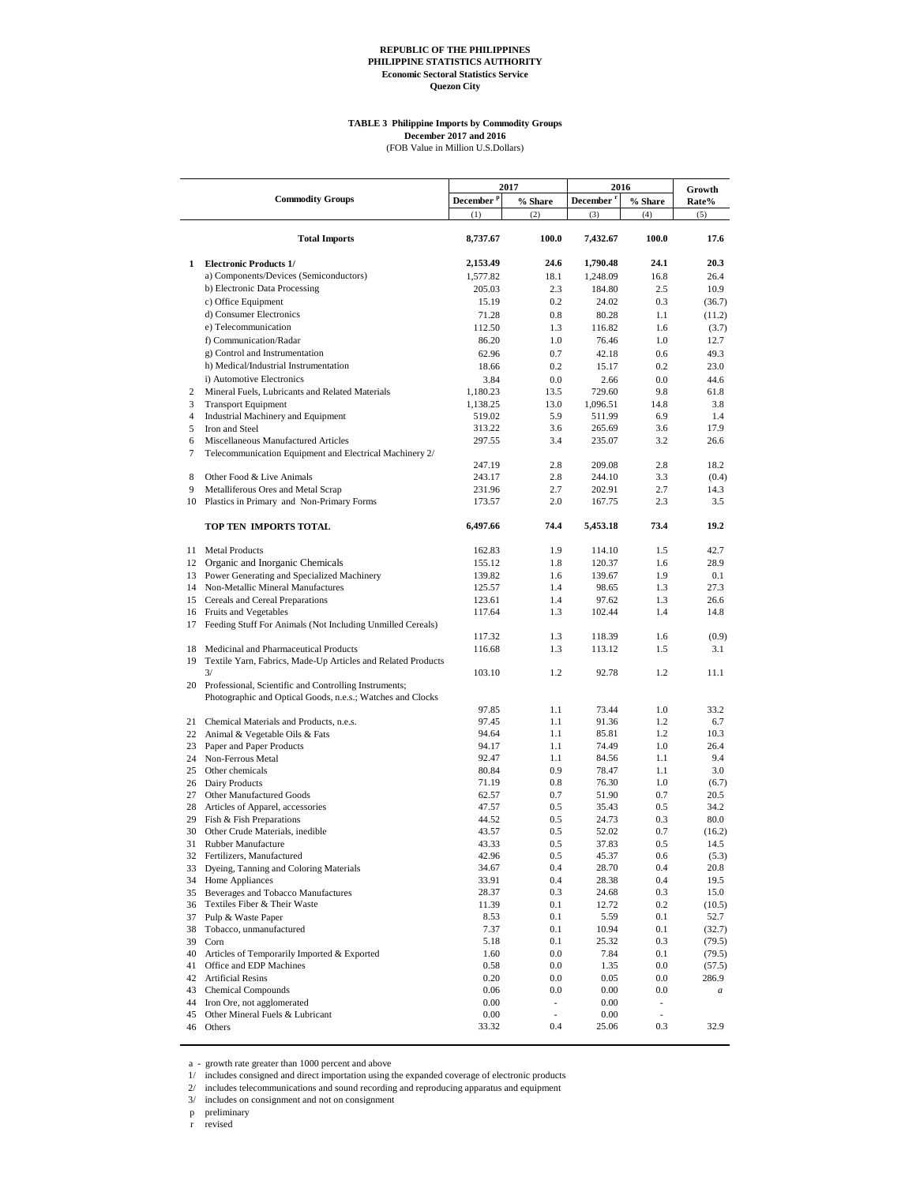#### **TABLE 3 Philippine Imports by Commodity Groups December 2017 and 2016**

(FOB Value in Million U.S.Dollars)

|                  |                                                                       |                       |                          | 2016                   |                          |              |  |
|------------------|-----------------------------------------------------------------------|-----------------------|--------------------------|------------------------|--------------------------|--------------|--|
|                  | <b>Commodity Groups</b>                                               | December <sup>p</sup> | 2017                     |                        |                          | Growth       |  |
|                  |                                                                       | (1)                   | % Share<br>(2)           | <b>December</b><br>(3) | % Share<br>(4)           | Rate%<br>(5) |  |
|                  |                                                                       |                       |                          |                        |                          |              |  |
|                  | <b>Total Imports</b>                                                  | 8,737.67              | 100.0                    | 7,432.67               | 100.0                    | 17.6         |  |
| 1                | <b>Electronic Products 1/</b>                                         | 2,153.49              | 24.6                     | 1,790.48               | 24.1                     | 20.3         |  |
|                  | a) Components/Devices (Semiconductors)                                | 1,577.82              | 18.1                     | 1,248.09               | 16.8                     | 26.4         |  |
|                  | b) Electronic Data Processing                                         | 205.03                | 2.3                      | 184.80                 | 2.5                      | 10.9         |  |
|                  | c) Office Equipment                                                   | 15.19                 | 0.2                      | 24.02                  | 0.3                      | (36.7)       |  |
|                  | d) Consumer Electronics                                               | 71.28                 | 0.8                      | 80.28                  | 1.1                      | (11.2)       |  |
|                  | e) Telecommunication                                                  | 112.50                | 1.3                      | 116.82                 | 1.6                      | (3.7)        |  |
|                  | f) Communication/Radar                                                | 86.20                 | 1.0                      | 76.46                  | 1.0                      | 12.7         |  |
|                  | g) Control and Instrumentation                                        | 62.96                 | 0.7                      | 42.18                  | 0.6                      | 49.3         |  |
|                  | h) Medical/Industrial Instrumentation                                 | 18.66                 | 0.2                      | 15.17                  | 0.2                      | 23.0         |  |
|                  | i) Automotive Electronics                                             | 3.84                  | 0.0                      | 2.66                   | 0.0                      | 44.6         |  |
| $\overline{2}$   | Mineral Fuels, Lubricants and Related Materials                       | 1,180.23              | 13.5                     | 729.60                 | 9.8                      | 61.8         |  |
| 3                | <b>Transport Equipment</b>                                            | 1,138.25              | 13.0                     | 1,096.51               | 14.8                     | 3.8          |  |
| $\overline{4}$   | Industrial Machinery and Equipment                                    | 519.02                | 5.9                      | 511.99                 | 6.9                      | 1.4          |  |
| 5                | Iron and Steel                                                        | 313.22                | 3.6                      | 265.69                 | 3.6                      | 17.9         |  |
| 6                | Miscellaneous Manufactured Articles                                   | 297.55                | 3.4                      | 235.07                 | 3.2                      | 26.6         |  |
| $\boldsymbol{7}$ | Telecommunication Equipment and Electrical Machinery 2/               |                       |                          |                        |                          |              |  |
|                  |                                                                       | 247.19                | 2.8                      | 209.08                 | 2.8                      | 18.2         |  |
| 8                | Other Food & Live Animals                                             | 243.17                | 2.8                      | 244.10                 | 3.3                      | (0.4)        |  |
| 9                | Metalliferous Ores and Metal Scrap                                    | 231.96                | 2.7                      | 202.91                 | 2.7                      | 14.3         |  |
|                  | 10 Plastics in Primary and Non-Primary Forms                          | 173.57                | 2.0                      | 167.75                 | 2.3                      | 3.5          |  |
|                  | TOP TEN IMPORTS TOTAL                                                 | 6,497.66              | 74.4                     | 5,453.18               | 73.4                     | 19.2         |  |
|                  | 11 Metal Products                                                     | 162.83                | 1.9                      | 114.10                 | 1.5                      | 42.7         |  |
| 12               | Organic and Inorganic Chemicals                                       | 155.12                | 1.8                      | 120.37                 | 1.6                      | 28.9         |  |
| 13               | Power Generating and Specialized Machinery                            | 139.82                | 1.6                      | 139.67                 | 1.9                      | 0.1          |  |
|                  | 14 Non-Metallic Mineral Manufactures                                  | 125.57                | 1.4                      | 98.65                  | 1.3                      | 27.3         |  |
|                  | 15 Cereals and Cereal Preparations                                    | 123.61                | 1.4                      | 97.62                  | 1.3                      | 26.6         |  |
|                  | 16 Fruits and Vegetables                                              | 117.64                | 1.3                      | 102.44                 | 1.4                      | 14.8         |  |
| 17               | Feeding Stuff For Animals (Not Including Unmilled Cereals)            |                       |                          |                        |                          |              |  |
|                  |                                                                       | 117.32                | 1.3                      | 118.39                 | 1.6                      | (0.9)        |  |
|                  | 18 Medicinal and Pharmaceutical Products                              | 116.68                | 1.3                      | 113.12                 | 1.5                      | 3.1          |  |
|                  | 19 Textile Yarn, Fabrics, Made-Up Articles and Related Products<br>3/ | 103.10                | 1.2                      | 92.78                  | 1.2                      | 11.1         |  |
|                  | 20 Professional, Scientific and Controlling Instruments;              |                       |                          |                        |                          |              |  |
|                  | Photographic and Optical Goods, n.e.s.; Watches and Clocks            |                       |                          |                        |                          |              |  |
|                  |                                                                       | 97.85                 | 1.1                      | 73.44                  | 1.0                      | 33.2         |  |
| 21               | Chemical Materials and Products, n.e.s.                               | 97.45                 | 1.1                      | 91.36                  | 1.2                      | 6.7          |  |
| 22               | Animal & Vegetable Oils & Fats                                        | 94.64                 | 1.1                      | 85.81                  | 1.2                      | 10.3         |  |
| 23               | Paper and Paper Products                                              | 94.17                 | 1.1                      | 74.49                  | 1.0                      | 26.4         |  |
|                  | 24 Non-Ferrous Metal                                                  | 92.47                 | 1.1                      | 84.56                  | 1.1                      | 9.4          |  |
|                  | 25 Other chemicals                                                    | 80.84                 | 0.9                      | 78.47                  | 1.1                      | 3.0          |  |
|                  | 26 Dairy Products                                                     | 71.19<br>62.57        | 0.8                      | 76.30                  | 1.0                      | (6.7)        |  |
| 27               | Other Manufactured Goods                                              |                       | 0.7<br>0.5               | 51.90<br>35.43         | 0.7                      | 20.5<br>34.2 |  |
| 29               | 28 Articles of Apparel, accessories                                   | 47.57<br>44.52        | 0.5                      | 24.73                  | 0.5<br>0.3               | 80.0         |  |
| 30               | Fish & Fish Preparations<br>Other Crude Materials, inedible           | 43.57                 | 0.5                      | 52.02                  | 0.7                      | (16.2)       |  |
| 31               | Rubber Manufacture                                                    | 43.33                 | 0.5                      | 37.83                  | 0.5                      | 14.5         |  |
|                  | 32 Fertilizers, Manufactured                                          | 42.96                 | 0.5                      | 45.37                  | 0.6                      | (5.3)        |  |
| 33               | Dyeing, Tanning and Coloring Materials                                | 34.67                 | 0.4                      | 28.70                  | 0.4                      | 20.8         |  |
| 34               | Home Appliances                                                       | 33.91                 | 0.4                      | 28.38                  | 0.4                      | 19.5         |  |
| 35               | Beverages and Tobacco Manufactures                                    | 28.37                 | 0.3                      | 24.68                  | 0.3                      | 15.0         |  |
| 36               | Textiles Fiber & Their Waste                                          | 11.39                 | 0.1                      | 12.72                  | 0.2                      | (10.5)       |  |
| 37               | Pulp & Waste Paper                                                    | 8.53                  | 0.1                      | 5.59                   | 0.1                      | 52.7         |  |
| 38               | Tobacco, unmanufactured                                               | 7.37                  | 0.1                      | 10.94                  | 0.1                      | (32.7)       |  |
| 39               | Corn                                                                  | 5.18                  | 0.1                      | 25.32                  | 0.3                      | (79.5)       |  |
| 40               | Articles of Temporarily Imported & Exported                           | 1.60                  | 0.0                      | 7.84                   | 0.1                      | (79.5)       |  |
| 41               | Office and EDP Machines                                               | 0.58                  | 0.0                      | 1.35                   | 0.0                      | (57.5)       |  |
| 42               | <b>Artificial Resins</b>                                              | 0.20                  | 0.0                      | 0.05                   | $0.0\,$                  | 286.9        |  |
| 43               | <b>Chemical Compounds</b>                                             | 0.06                  | 0.0                      | 0.00                   | 0.0                      | $\it a$      |  |
| 44               | Iron Ore, not agglomerated                                            | 0.00                  | $\overline{\phantom{a}}$ | 0.00                   | $\overline{\phantom{a}}$ |              |  |
| 45               | Other Mineral Fuels & Lubricant                                       | 0.00                  | $\frac{1}{2}$            | 0.00                   | $\overline{\phantom{a}}$ |              |  |
| 46               | Others                                                                | 33.32                 | 0.4                      | 25.06                  | 0.3                      | 32.9         |  |

a - growth rate greater than 1000 percent and above 1/ includes consigned and direct importation using the expanded coverage of electronic products

2/ includes telecommunications and sound recording and reproducing apparatus and equipment

3/ includes on consignment and not on consignment

p preliminary

r revised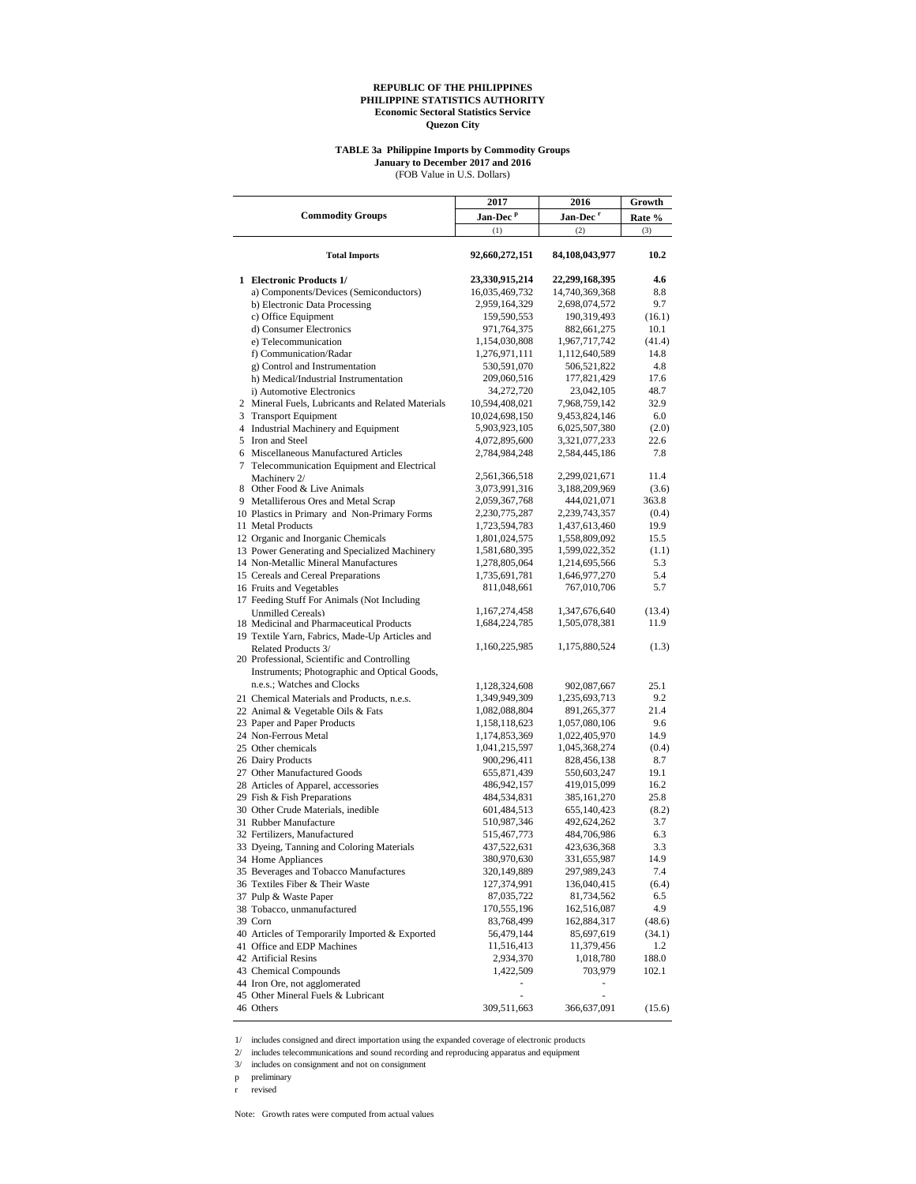#### **TABLE 3a Philippine Imports by Commodity Groups January to December 2017 and 2016**

(FOB Value in U.S. Dollars)

|                                                                                | 2017                             | 2016                           | Growth       |
|--------------------------------------------------------------------------------|----------------------------------|--------------------------------|--------------|
| <b>Commodity Groups</b>                                                        | Jan-Dec <sup>P</sup>             | Jan-Dec <sup>r</sup>           | Rate %       |
|                                                                                | (1)                              | (2)                            | (3)          |
| <b>Total Imports</b>                                                           | 92,660,272,151                   | 84,108,043,977                 | 10.2         |
| 1 Electronic Products 1/                                                       | 23,330,915,214                   | 22,299,168,395                 | 4.6          |
| a) Components/Devices (Semiconductors)                                         | 16,035,469,732                   | 14,740,369,368                 | 8.8          |
| b) Electronic Data Processing                                                  | 2,959,164,329                    | 2,698,074,572                  | 9.7          |
| c) Office Equipment                                                            | 159,590,553                      | 190,319,493                    | (16.1)       |
| d) Consumer Electronics                                                        | 971,764,375                      | 882,661,275                    | 10.1         |
| e) Telecommunication                                                           | 1,154,030,808                    | 1,967,717,742                  | (41.4)       |
| f) Communication/Radar                                                         | 1,276,971,111                    | 1,112,640,589                  | 14.8         |
| g) Control and Instrumentation                                                 | 530,591,070                      | 506,521,822                    | 4.8          |
| h) Medical/Industrial Instrumentation                                          | 209,060,516                      | 177,821,429                    | 17.6<br>48.7 |
| i) Automotive Electronics<br>2 Mineral Fuels, Lubricants and Related Materials | 34,272,720                       | 23,042,105                     | 32.9         |
| 3 Transport Equipment                                                          | 10,594,408,021<br>10,024,698,150 | 7,968,759,142<br>9,453,824,146 | 6.0          |
| 4 Industrial Machinery and Equipment                                           | 5,903,923,105                    | 6,025,507,380                  | (2.0)        |
| 5 Iron and Steel                                                               | 4,072,895,600                    | 3,321,077,233                  | 22.6         |
| 6 Miscellaneous Manufactured Articles                                          | 2,784,984,248                    | 2,584,445,186                  | 7.8          |
| 7 Telecommunication Equipment and Electrical                                   |                                  |                                |              |
| Machinery 2/                                                                   | 2,561,366,518                    | 2,299,021,671                  | 11.4         |
| 8 Other Food & Live Animals                                                    | 3,073,991,316                    | 3,188,209,969                  | (3.6)        |
| 9 Metalliferous Ores and Metal Scrap                                           | 2,059,367,768                    | 444,021,071                    | 363.8        |
| 10 Plastics in Primary and Non-Primary Forms                                   | 2,230,775,287                    | 2,239,743,357                  | (0.4)        |
| 11 Metal Products                                                              | 1,723,594,783                    | 1,437,613,460                  | 19.9         |
| 12 Organic and Inorganic Chemicals                                             | 1,801,024,575                    | 1,558,809,092                  | 15.5         |
| 13 Power Generating and Specialized Machinery                                  | 1,581,680,395                    | 1,599,022,352                  | (1.1)        |
| 14 Non-Metallic Mineral Manufactures                                           | 1,278,805,064                    | 1,214,695,566                  | 5.3          |
| 15 Cereals and Cereal Preparations                                             | 1,735,691,781                    | 1,646,977,270                  | 5.4          |
| 16 Fruits and Vegetables                                                       | 811,048,661                      | 767,010,706                    | 5.7          |
| 17 Feeding Stuff For Animals (Not Including                                    |                                  |                                |              |
| <b>Unmilled Cereals</b> )                                                      | 1,167,274,458                    | 1,347,676,640                  | (13.4)       |
| 18 Medicinal and Pharmaceutical Products                                       | 1,684,224,785                    | 1,505,078,381                  | 11.9         |
| 19 Textile Yarn, Fabrics, Made-Up Articles and                                 | 1,160,225,985                    | 1,175,880,524                  | (1.3)        |
| Related Products 3/<br>20 Professional, Scientific and Controlling             |                                  |                                |              |
| Instruments; Photographic and Optical Goods,                                   |                                  |                                |              |
| n.e.s.; Watches and Clocks                                                     | 1,128,324,608                    | 902,087,667                    | 25.1         |
| 21 Chemical Materials and Products, n.e.s.                                     | 1,349,949,309                    | 1,235,693,713                  | 9.2          |
| 22 Animal & Vegetable Oils & Fats                                              | 1,082,088,804                    | 891,265,377                    | 21.4         |
| 23 Paper and Paper Products                                                    | 1,158,118,623                    | 1,057,080,106                  | 9.6          |
| 24 Non-Ferrous Metal                                                           | 1,174,853,369                    | 1,022,405,970                  | 14.9         |
| 25 Other chemicals                                                             | 1,041,215,597                    | 1,045,368,274                  | (0.4)        |
| 26 Dairy Products                                                              | 900,296,411                      | 828,456,138                    | 8.7          |
| 27 Other Manufactured Goods                                                    | 655,871,439                      | 550,603,247                    | 19.1         |
| 28 Articles of Apparel, accessories                                            | 486,942,157                      | 419,015,099                    | 16.2         |
| 29 Fish & Fish Preparations                                                    | 484,534,831                      | 385,161,270                    | 25.8         |
| 30 Other Crude Materials, inedible                                             | 601,484,513                      | 655,140,423                    | (8.2)        |
| 31 Rubber Manufacture                                                          | 510,987,346                      | 492,624,262                    | 3.7          |
| 32 Fertilizers, Manufactured                                                   | 515,467,773                      | 484,706,986                    | 6.3          |
| 33 Dyeing, Tanning and Coloring Materials                                      | 437,522,631                      | 423,636,368                    | 3.3          |
| 34 Home Appliances                                                             | 380,970,630                      | 331,655,987                    | 14.9         |
| 35 Beverages and Tobacco Manufactures                                          | 320,149,889                      | 297,989,243                    | 7.4          |
| 36 Textiles Fiber & Their Waste                                                | 127,374,991                      | 136,040,415                    | (6.4)        |
| 37 Pulp & Waste Paper                                                          | 87,035,722                       | 81,734,562                     | 6.5          |
| 38 Tobacco, unmanufactured                                                     | 170,555,196                      | 162,516,087                    | 4.9          |
| 39 Corn                                                                        | 83,768,499                       | 162,884,317                    | (48.6)       |
| 40 Articles of Temporarily Imported & Exported                                 | 56,479,144                       | 85,697,619                     | (34.1)       |
| 41 Office and EDP Machines                                                     | 11,516,413                       | 11,379,456                     | 1.2          |
| 42 Artificial Resins                                                           | 2,934,370                        | 1,018,780                      | 188.0        |
| 43 Chemical Compounds                                                          | 1,422,509                        | 703,979                        | 102.1        |
| 44 Iron Ore, not agglomerated<br>45 Other Mineral Fuels & Lubricant            |                                  |                                |              |
| 46 Others                                                                      | 309,511,663                      | 366,637,091                    |              |
|                                                                                |                                  |                                | (15.6)       |

1/ includes consigned and direct importation using the expanded coverage of electronic products

 $2\prime$   $\,$  includes telecommunications and sound recording and reproducing apparatus and equipment

3/ includes on consignment and not on consignment

p preliminary

r revised

Note: Growth rates were computed from actual values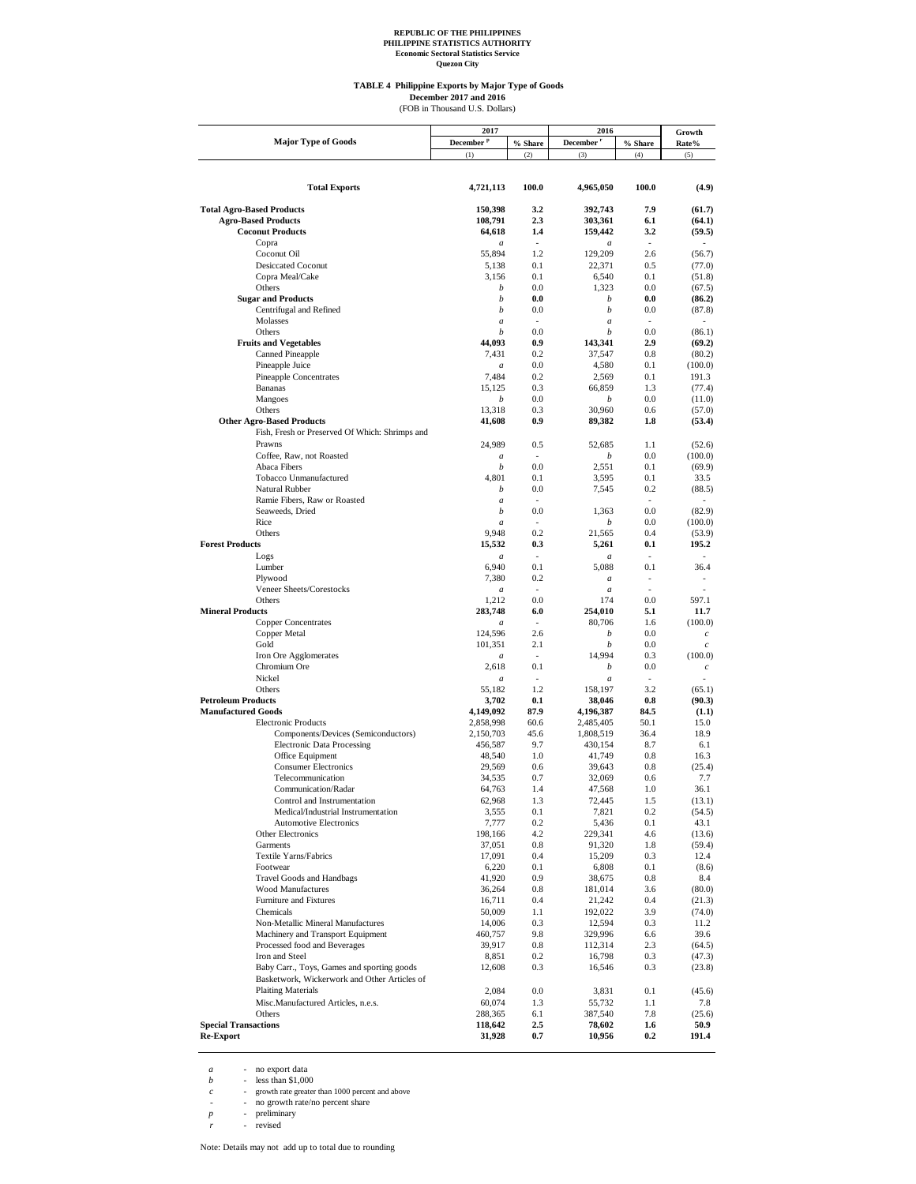**Quezon City**

#### **TABLE 4 Philippine Exports by Major Type of Goods December 2017 and 2016**<br>(FOB in Thousand U.S. Dollars)

| <b>Major Type of Goods</b><br>December <sup>p</sup><br>December <sup>r</sup><br>% Share<br>% Share<br>Rate%<br>(1)<br>(2)<br>(3)<br>(4)<br>(5)<br>100.0<br>100.0<br><b>Total Exports</b><br>4,721,113<br>4,965,050<br><b>Total Agro-Based Products</b><br>150.398<br>392,743<br>7.9<br>3.2<br>(61.7)<br>108,791<br>2.3<br>303,361<br><b>Agro-Based Products</b><br>6.1<br>(64.1)<br>64,618<br>159,442<br><b>Coconut Products</b><br>1.4<br>3.2<br>(59.5)<br>Copra<br>÷,<br>$\overline{\phantom{a}}$<br>$\overline{a}$<br>$\overline{a}$<br>55,894<br>Coconut Oil<br>1.2<br>129,209<br>2.6<br>(56.7)<br>5,138<br>22,371<br>0.5<br><b>Desiccated Coconut</b><br>0.1<br>(77.0)<br>0.1<br>Copra Meal/Cake<br>3,156<br>6,540<br>0.1<br>(51.8)<br>Others<br>0.0<br>1,323<br>0.0<br>b<br>(67.5)<br><b>Sugar and Products</b><br>0.0<br>b<br>b<br>0.0<br>(86.2)<br>Centrifugal and Refined<br>0.0<br>b<br>b<br>0.0<br>(87.8)<br>Molasses<br>a<br>÷<br>$\boldsymbol{a}$<br>÷<br>$\overline{a}$<br>0.0<br>Others<br>b<br>0.0<br>b<br>(86.1)<br><b>Fruits and Vegetables</b><br>44,093<br>0.9<br>143,341<br>2.9<br>(69.2)<br><b>Canned Pineapple</b><br>7,431<br>0.2<br>37,547<br>0.8<br>(80.2)<br>Pineapple Juice<br>0.0<br>4,580<br>0.1<br>(100.0)<br>$\overline{a}$<br>Pineapple Concentrates<br>7,484<br>0.2<br>2,569<br>0.1<br>191.3<br><b>Bananas</b><br>15,125<br>0.3<br>66,859<br>1.3<br>(77.4)<br>Mangoes<br>0.0<br>b<br>0.0<br>b<br>(11.0)<br>Others<br>13,318<br>0.3<br>30,960<br>0.6<br>(57.0)<br><b>Other Agro-Based Products</b><br>41,608<br>0.9<br>89,382<br>1.8<br>(53.4)<br>Fish, Fresh or Preserved Of Which: Shrimps and<br>Prawns<br>24,989<br>0.5<br>52.685<br>1.1<br>(52.6)<br>Coffee, Raw, not Roasted<br>0.0<br>(100.0)<br>$\boldsymbol{a}$<br>b<br>$\sim$<br>0.0<br>Abaca Fibers<br>2,551<br>0.1<br>b<br>(69.9)<br>Tobacco Unmanufactured<br>4.801<br>0.1<br>3,595<br>0.1<br>33.5<br>Natural Rubber<br>0.0<br>0.2<br>b<br>7,545<br>(88.5)<br>Ramie Fibers, Raw or Roasted<br>a<br>÷<br>$\overline{a}$<br>0.0<br>Seaweeds, Dried<br>0.0<br>(82.9)<br>b<br>1.363<br>Rice<br>b<br>0.0<br>(100.0)<br>÷.<br>a<br>9,948<br>Others<br>0.2<br>21,565<br>0.4<br>(53.9)<br><b>Forest Products</b><br>15,532<br>0.3<br>5,261<br>0.1<br>195.2<br>Logs<br>÷<br>$\boldsymbol{a}$<br>$\overline{a}$<br>a<br>Lumber<br>6,940<br>0.1<br>5,088<br>0.1<br>36.4<br>Plywood<br>7,380<br>0.2<br>$\boldsymbol{a}$<br>$\overline{a}$<br>Veneer Sheets/Corestocks<br>$\boldsymbol{a}$<br>$\overline{a}$<br>Others<br>0.0<br>0.0<br>597.1<br>1,212<br>174<br><b>Mineral Products</b><br>283,748<br>6.0<br>254,010<br>5.1<br>11.7<br><b>Copper Concentrates</b><br>80,706<br>÷,<br>1.6<br>(100.0)<br>$\boldsymbol{a}$<br>Copper Metal<br>124,596<br>2.6<br>b<br>0.0<br>$\boldsymbol{c}$<br>Gold<br>101,351<br>2.1<br>b<br>0.0<br>$\boldsymbol{c}$<br>Iron Ore Agglomerates<br>14,994<br>0.3<br>(100.0)<br>L.<br>a<br>Chromium Ore<br>2,618<br>0.1<br>b<br>0.0<br>$\boldsymbol{c}$<br>Nickel<br>$\boldsymbol{a}$<br>$\boldsymbol{a}$<br>1.2<br>3.2<br>Others<br>55,182<br>158,197<br>(65.1)<br><b>Petroleum Products</b><br>3,702<br>0.1<br>38,046<br>0.8<br>(90.3)<br>87.9<br>84.5<br><b>Manufactured Goods</b><br>4,149,092<br>4,196,387<br>(1.1)<br>50.1<br><b>Electronic Products</b><br>2,858,998<br>60.6<br>2,485,405<br>15.0<br>45.6<br>Components/Devices (Semiconductors)<br>2,150,703<br>1,808,519<br>36.4<br>18.9<br><b>Electronic Data Processing</b><br>9.7<br>8.7<br>456,587<br>430,154<br>6.1<br>48,540<br>0.8<br>Office Equipment<br>1.0<br>41,749<br>16.3<br>0.8<br><b>Consumer Electronics</b><br>29,569<br>0.6<br>39,643<br>(25.4)<br>34,535<br>0.7<br>Telecommunication<br>32,069<br>0.6<br>7.7<br>47,568<br>Communication/Radar<br>64,763<br>1.4<br>1.0<br>36.1<br>Control and Instrumentation<br>72,445<br>62,968<br>1.3<br>1.5<br>(13.1)<br>Medical/Industrial Instrumentation<br>3,555<br>0.1<br>7,821<br>0.2<br>(54.5)<br><b>Automotive Electronics</b><br>7,777<br>$0.2\,$<br>5,436<br>0.1<br>43.1<br>Other Electronics<br>198,166<br>4.2<br>229,341<br>4.6<br>(13.6)<br>Garments<br>37,051<br>0.8<br>91,320<br>1.8<br>(59.4)<br><b>Textile Yarns/Fabrics</b><br>17,091<br>$0.4\,$<br>15,209<br>0.3<br>12.4<br>Footwear<br>6,220<br>0.1<br>6,808<br>0.1<br>(8.6)<br><b>Travel Goods and Handbags</b><br>41,920<br>0.9<br>0.8<br>38,675<br>8.4<br><b>Wood Manufactures</b><br>36,264<br>0.8<br>181,014<br>3.6<br>(80.0)<br>Furniture and Fixtures<br>$0.4\,$<br>21,242<br>0.4<br>16,711<br>(21.3)<br>Chemicals<br>50,009<br>1.1<br>192,022<br>3.9<br>(74.0)<br>Non-Metallic Mineral Manufactures<br>14,006<br>0.3<br>12,594<br>0.3<br>11.2<br>Machinery and Transport Equipment<br>460,757<br>9.8<br>329,996<br>6.6<br>39.6<br>Processed food and Beverages<br>39,917<br>$0.8\,$<br>112,314<br>2.3<br>(64.5)<br>Iron and Steel<br>$0.2\,$<br>0.3<br>8,851<br>16,798<br>(47.3)<br>Baby Carr., Toys, Games and sporting goods<br>12,608<br>0.3<br>16,546<br>0.3<br>(23.8)<br>Basketwork, Wickerwork and Other Articles of<br><b>Plaiting Materials</b><br>$0.0\,$<br>0.1<br>2,084<br>3,831<br>(45.6)<br>Misc.Manufactured Articles, n.e.s.<br>60,074<br>1.3<br>1.1<br>55,732<br>7.8<br>Others<br>288,365<br>6.1<br>387,540<br>7.8<br>(25.6)<br><b>Special Transactions</b><br>2.5<br>$1.6\,$<br>118,642<br>78,602<br>50.9<br><b>Re-Export</b><br>31,928<br>$0.7\,$<br>10,956<br>0.2<br>191.4 | 2017 | 2016 |  | Growth |  |
|--------------------------------------------------------------------------------------------------------------------------------------------------------------------------------------------------------------------------------------------------------------------------------------------------------------------------------------------------------------------------------------------------------------------------------------------------------------------------------------------------------------------------------------------------------------------------------------------------------------------------------------------------------------------------------------------------------------------------------------------------------------------------------------------------------------------------------------------------------------------------------------------------------------------------------------------------------------------------------------------------------------------------------------------------------------------------------------------------------------------------------------------------------------------------------------------------------------------------------------------------------------------------------------------------------------------------------------------------------------------------------------------------------------------------------------------------------------------------------------------------------------------------------------------------------------------------------------------------------------------------------------------------------------------------------------------------------------------------------------------------------------------------------------------------------------------------------------------------------------------------------------------------------------------------------------------------------------------------------------------------------------------------------------------------------------------------------------------------------------------------------------------------------------------------------------------------------------------------------------------------------------------------------------------------------------------------------------------------------------------------------------------------------------------------------------------------------------------------------------------------------------------------------------------------------------------------------------------------------------------------------------------------------------------------------------------------------------------------------------------------------------------------------------------------------------------------------------------------------------------------------------------------------------------------------------------------------------------------------------------------------------------------------------------------------------------------------------------------------------------------------------------------------------------------------------------------------------------------------------------------------------------------------------------------------------------------------------------------------------------------------------------------------------------------------------------------------------------------------------------------------------------------------------------------------------------------------------------------------------------------------------------------------------------------------------------------------------------------------------------------------------------------------------------------------------------------------------------------------------------------------------------------------------------------------------------------------------------------------------------------------------------------------------------------------------------------------------------------------------------------------------------------------------------------------------------------------------------------------------------------------------------------------------------------------------------------------------------------------------------------------------------------------------------------------------------------------------------------------------------------------------------------------------------------------------------------------------------------------------------------------------------------------------------------------------------------------------------------------------------------------------------------------------------------------------------------------------------------------------------------------------------------------------------------------------------------------------------------------------------------------------------------------------------------------------------------------------------------------------------------------------------------------------------------------------------------------------------------------------------------------------------------------------------------------------------------------------------------------------------------------------------------------|------|------|--|--------|--|
|                                                                                                                                                                                                                                                                                                                                                                                                                                                                                                                                                                                                                                                                                                                                                                                                                                                                                                                                                                                                                                                                                                                                                                                                                                                                                                                                                                                                                                                                                                                                                                                                                                                                                                                                                                                                                                                                                                                                                                                                                                                                                                                                                                                                                                                                                                                                                                                                                                                                                                                                                                                                                                                                                                                                                                                                                                                                                                                                                                                                                                                                                                                                                                                                                                                                                                                                                                                                                                                                                                                                                                                                                                                                                                                                                                                                                                                                                                                                                                                                                                                                                                                                                                                                                                                                                                                                                                                                                                                                                                                                                                                                                                                                                                                                                                                                                                                                                                                                                                                                                                                                                                                                                                                                                                                                                                                                                                                                        |      |      |  |        |  |
|                                                                                                                                                                                                                                                                                                                                                                                                                                                                                                                                                                                                                                                                                                                                                                                                                                                                                                                                                                                                                                                                                                                                                                                                                                                                                                                                                                                                                                                                                                                                                                                                                                                                                                                                                                                                                                                                                                                                                                                                                                                                                                                                                                                                                                                                                                                                                                                                                                                                                                                                                                                                                                                                                                                                                                                                                                                                                                                                                                                                                                                                                                                                                                                                                                                                                                                                                                                                                                                                                                                                                                                                                                                                                                                                                                                                                                                                                                                                                                                                                                                                                                                                                                                                                                                                                                                                                                                                                                                                                                                                                                                                                                                                                                                                                                                                                                                                                                                                                                                                                                                                                                                                                                                                                                                                                                                                                                                                        |      |      |  |        |  |
|                                                                                                                                                                                                                                                                                                                                                                                                                                                                                                                                                                                                                                                                                                                                                                                                                                                                                                                                                                                                                                                                                                                                                                                                                                                                                                                                                                                                                                                                                                                                                                                                                                                                                                                                                                                                                                                                                                                                                                                                                                                                                                                                                                                                                                                                                                                                                                                                                                                                                                                                                                                                                                                                                                                                                                                                                                                                                                                                                                                                                                                                                                                                                                                                                                                                                                                                                                                                                                                                                                                                                                                                                                                                                                                                                                                                                                                                                                                                                                                                                                                                                                                                                                                                                                                                                                                                                                                                                                                                                                                                                                                                                                                                                                                                                                                                                                                                                                                                                                                                                                                                                                                                                                                                                                                                                                                                                                                                        |      |      |  |        |  |
|                                                                                                                                                                                                                                                                                                                                                                                                                                                                                                                                                                                                                                                                                                                                                                                                                                                                                                                                                                                                                                                                                                                                                                                                                                                                                                                                                                                                                                                                                                                                                                                                                                                                                                                                                                                                                                                                                                                                                                                                                                                                                                                                                                                                                                                                                                                                                                                                                                                                                                                                                                                                                                                                                                                                                                                                                                                                                                                                                                                                                                                                                                                                                                                                                                                                                                                                                                                                                                                                                                                                                                                                                                                                                                                                                                                                                                                                                                                                                                                                                                                                                                                                                                                                                                                                                                                                                                                                                                                                                                                                                                                                                                                                                                                                                                                                                                                                                                                                                                                                                                                                                                                                                                                                                                                                                                                                                                                                        |      |      |  |        |  |
|                                                                                                                                                                                                                                                                                                                                                                                                                                                                                                                                                                                                                                                                                                                                                                                                                                                                                                                                                                                                                                                                                                                                                                                                                                                                                                                                                                                                                                                                                                                                                                                                                                                                                                                                                                                                                                                                                                                                                                                                                                                                                                                                                                                                                                                                                                                                                                                                                                                                                                                                                                                                                                                                                                                                                                                                                                                                                                                                                                                                                                                                                                                                                                                                                                                                                                                                                                                                                                                                                                                                                                                                                                                                                                                                                                                                                                                                                                                                                                                                                                                                                                                                                                                                                                                                                                                                                                                                                                                                                                                                                                                                                                                                                                                                                                                                                                                                                                                                                                                                                                                                                                                                                                                                                                                                                                                                                                                                        |      |      |  | (4.9)  |  |
|                                                                                                                                                                                                                                                                                                                                                                                                                                                                                                                                                                                                                                                                                                                                                                                                                                                                                                                                                                                                                                                                                                                                                                                                                                                                                                                                                                                                                                                                                                                                                                                                                                                                                                                                                                                                                                                                                                                                                                                                                                                                                                                                                                                                                                                                                                                                                                                                                                                                                                                                                                                                                                                                                                                                                                                                                                                                                                                                                                                                                                                                                                                                                                                                                                                                                                                                                                                                                                                                                                                                                                                                                                                                                                                                                                                                                                                                                                                                                                                                                                                                                                                                                                                                                                                                                                                                                                                                                                                                                                                                                                                                                                                                                                                                                                                                                                                                                                                                                                                                                                                                                                                                                                                                                                                                                                                                                                                                        |      |      |  |        |  |
|                                                                                                                                                                                                                                                                                                                                                                                                                                                                                                                                                                                                                                                                                                                                                                                                                                                                                                                                                                                                                                                                                                                                                                                                                                                                                                                                                                                                                                                                                                                                                                                                                                                                                                                                                                                                                                                                                                                                                                                                                                                                                                                                                                                                                                                                                                                                                                                                                                                                                                                                                                                                                                                                                                                                                                                                                                                                                                                                                                                                                                                                                                                                                                                                                                                                                                                                                                                                                                                                                                                                                                                                                                                                                                                                                                                                                                                                                                                                                                                                                                                                                                                                                                                                                                                                                                                                                                                                                                                                                                                                                                                                                                                                                                                                                                                                                                                                                                                                                                                                                                                                                                                                                                                                                                                                                                                                                                                                        |      |      |  |        |  |
|                                                                                                                                                                                                                                                                                                                                                                                                                                                                                                                                                                                                                                                                                                                                                                                                                                                                                                                                                                                                                                                                                                                                                                                                                                                                                                                                                                                                                                                                                                                                                                                                                                                                                                                                                                                                                                                                                                                                                                                                                                                                                                                                                                                                                                                                                                                                                                                                                                                                                                                                                                                                                                                                                                                                                                                                                                                                                                                                                                                                                                                                                                                                                                                                                                                                                                                                                                                                                                                                                                                                                                                                                                                                                                                                                                                                                                                                                                                                                                                                                                                                                                                                                                                                                                                                                                                                                                                                                                                                                                                                                                                                                                                                                                                                                                                                                                                                                                                                                                                                                                                                                                                                                                                                                                                                                                                                                                                                        |      |      |  |        |  |
|                                                                                                                                                                                                                                                                                                                                                                                                                                                                                                                                                                                                                                                                                                                                                                                                                                                                                                                                                                                                                                                                                                                                                                                                                                                                                                                                                                                                                                                                                                                                                                                                                                                                                                                                                                                                                                                                                                                                                                                                                                                                                                                                                                                                                                                                                                                                                                                                                                                                                                                                                                                                                                                                                                                                                                                                                                                                                                                                                                                                                                                                                                                                                                                                                                                                                                                                                                                                                                                                                                                                                                                                                                                                                                                                                                                                                                                                                                                                                                                                                                                                                                                                                                                                                                                                                                                                                                                                                                                                                                                                                                                                                                                                                                                                                                                                                                                                                                                                                                                                                                                                                                                                                                                                                                                                                                                                                                                                        |      |      |  |        |  |
|                                                                                                                                                                                                                                                                                                                                                                                                                                                                                                                                                                                                                                                                                                                                                                                                                                                                                                                                                                                                                                                                                                                                                                                                                                                                                                                                                                                                                                                                                                                                                                                                                                                                                                                                                                                                                                                                                                                                                                                                                                                                                                                                                                                                                                                                                                                                                                                                                                                                                                                                                                                                                                                                                                                                                                                                                                                                                                                                                                                                                                                                                                                                                                                                                                                                                                                                                                                                                                                                                                                                                                                                                                                                                                                                                                                                                                                                                                                                                                                                                                                                                                                                                                                                                                                                                                                                                                                                                                                                                                                                                                                                                                                                                                                                                                                                                                                                                                                                                                                                                                                                                                                                                                                                                                                                                                                                                                                                        |      |      |  |        |  |
|                                                                                                                                                                                                                                                                                                                                                                                                                                                                                                                                                                                                                                                                                                                                                                                                                                                                                                                                                                                                                                                                                                                                                                                                                                                                                                                                                                                                                                                                                                                                                                                                                                                                                                                                                                                                                                                                                                                                                                                                                                                                                                                                                                                                                                                                                                                                                                                                                                                                                                                                                                                                                                                                                                                                                                                                                                                                                                                                                                                                                                                                                                                                                                                                                                                                                                                                                                                                                                                                                                                                                                                                                                                                                                                                                                                                                                                                                                                                                                                                                                                                                                                                                                                                                                                                                                                                                                                                                                                                                                                                                                                                                                                                                                                                                                                                                                                                                                                                                                                                                                                                                                                                                                                                                                                                                                                                                                                                        |      |      |  |        |  |
|                                                                                                                                                                                                                                                                                                                                                                                                                                                                                                                                                                                                                                                                                                                                                                                                                                                                                                                                                                                                                                                                                                                                                                                                                                                                                                                                                                                                                                                                                                                                                                                                                                                                                                                                                                                                                                                                                                                                                                                                                                                                                                                                                                                                                                                                                                                                                                                                                                                                                                                                                                                                                                                                                                                                                                                                                                                                                                                                                                                                                                                                                                                                                                                                                                                                                                                                                                                                                                                                                                                                                                                                                                                                                                                                                                                                                                                                                                                                                                                                                                                                                                                                                                                                                                                                                                                                                                                                                                                                                                                                                                                                                                                                                                                                                                                                                                                                                                                                                                                                                                                                                                                                                                                                                                                                                                                                                                                                        |      |      |  |        |  |
|                                                                                                                                                                                                                                                                                                                                                                                                                                                                                                                                                                                                                                                                                                                                                                                                                                                                                                                                                                                                                                                                                                                                                                                                                                                                                                                                                                                                                                                                                                                                                                                                                                                                                                                                                                                                                                                                                                                                                                                                                                                                                                                                                                                                                                                                                                                                                                                                                                                                                                                                                                                                                                                                                                                                                                                                                                                                                                                                                                                                                                                                                                                                                                                                                                                                                                                                                                                                                                                                                                                                                                                                                                                                                                                                                                                                                                                                                                                                                                                                                                                                                                                                                                                                                                                                                                                                                                                                                                                                                                                                                                                                                                                                                                                                                                                                                                                                                                                                                                                                                                                                                                                                                                                                                                                                                                                                                                                                        |      |      |  |        |  |
|                                                                                                                                                                                                                                                                                                                                                                                                                                                                                                                                                                                                                                                                                                                                                                                                                                                                                                                                                                                                                                                                                                                                                                                                                                                                                                                                                                                                                                                                                                                                                                                                                                                                                                                                                                                                                                                                                                                                                                                                                                                                                                                                                                                                                                                                                                                                                                                                                                                                                                                                                                                                                                                                                                                                                                                                                                                                                                                                                                                                                                                                                                                                                                                                                                                                                                                                                                                                                                                                                                                                                                                                                                                                                                                                                                                                                                                                                                                                                                                                                                                                                                                                                                                                                                                                                                                                                                                                                                                                                                                                                                                                                                                                                                                                                                                                                                                                                                                                                                                                                                                                                                                                                                                                                                                                                                                                                                                                        |      |      |  |        |  |
|                                                                                                                                                                                                                                                                                                                                                                                                                                                                                                                                                                                                                                                                                                                                                                                                                                                                                                                                                                                                                                                                                                                                                                                                                                                                                                                                                                                                                                                                                                                                                                                                                                                                                                                                                                                                                                                                                                                                                                                                                                                                                                                                                                                                                                                                                                                                                                                                                                                                                                                                                                                                                                                                                                                                                                                                                                                                                                                                                                                                                                                                                                                                                                                                                                                                                                                                                                                                                                                                                                                                                                                                                                                                                                                                                                                                                                                                                                                                                                                                                                                                                                                                                                                                                                                                                                                                                                                                                                                                                                                                                                                                                                                                                                                                                                                                                                                                                                                                                                                                                                                                                                                                                                                                                                                                                                                                                                                                        |      |      |  |        |  |
|                                                                                                                                                                                                                                                                                                                                                                                                                                                                                                                                                                                                                                                                                                                                                                                                                                                                                                                                                                                                                                                                                                                                                                                                                                                                                                                                                                                                                                                                                                                                                                                                                                                                                                                                                                                                                                                                                                                                                                                                                                                                                                                                                                                                                                                                                                                                                                                                                                                                                                                                                                                                                                                                                                                                                                                                                                                                                                                                                                                                                                                                                                                                                                                                                                                                                                                                                                                                                                                                                                                                                                                                                                                                                                                                                                                                                                                                                                                                                                                                                                                                                                                                                                                                                                                                                                                                                                                                                                                                                                                                                                                                                                                                                                                                                                                                                                                                                                                                                                                                                                                                                                                                                                                                                                                                                                                                                                                                        |      |      |  |        |  |
|                                                                                                                                                                                                                                                                                                                                                                                                                                                                                                                                                                                                                                                                                                                                                                                                                                                                                                                                                                                                                                                                                                                                                                                                                                                                                                                                                                                                                                                                                                                                                                                                                                                                                                                                                                                                                                                                                                                                                                                                                                                                                                                                                                                                                                                                                                                                                                                                                                                                                                                                                                                                                                                                                                                                                                                                                                                                                                                                                                                                                                                                                                                                                                                                                                                                                                                                                                                                                                                                                                                                                                                                                                                                                                                                                                                                                                                                                                                                                                                                                                                                                                                                                                                                                                                                                                                                                                                                                                                                                                                                                                                                                                                                                                                                                                                                                                                                                                                                                                                                                                                                                                                                                                                                                                                                                                                                                                                                        |      |      |  |        |  |
|                                                                                                                                                                                                                                                                                                                                                                                                                                                                                                                                                                                                                                                                                                                                                                                                                                                                                                                                                                                                                                                                                                                                                                                                                                                                                                                                                                                                                                                                                                                                                                                                                                                                                                                                                                                                                                                                                                                                                                                                                                                                                                                                                                                                                                                                                                                                                                                                                                                                                                                                                                                                                                                                                                                                                                                                                                                                                                                                                                                                                                                                                                                                                                                                                                                                                                                                                                                                                                                                                                                                                                                                                                                                                                                                                                                                                                                                                                                                                                                                                                                                                                                                                                                                                                                                                                                                                                                                                                                                                                                                                                                                                                                                                                                                                                                                                                                                                                                                                                                                                                                                                                                                                                                                                                                                                                                                                                                                        |      |      |  |        |  |
|                                                                                                                                                                                                                                                                                                                                                                                                                                                                                                                                                                                                                                                                                                                                                                                                                                                                                                                                                                                                                                                                                                                                                                                                                                                                                                                                                                                                                                                                                                                                                                                                                                                                                                                                                                                                                                                                                                                                                                                                                                                                                                                                                                                                                                                                                                                                                                                                                                                                                                                                                                                                                                                                                                                                                                                                                                                                                                                                                                                                                                                                                                                                                                                                                                                                                                                                                                                                                                                                                                                                                                                                                                                                                                                                                                                                                                                                                                                                                                                                                                                                                                                                                                                                                                                                                                                                                                                                                                                                                                                                                                                                                                                                                                                                                                                                                                                                                                                                                                                                                                                                                                                                                                                                                                                                                                                                                                                                        |      |      |  |        |  |
|                                                                                                                                                                                                                                                                                                                                                                                                                                                                                                                                                                                                                                                                                                                                                                                                                                                                                                                                                                                                                                                                                                                                                                                                                                                                                                                                                                                                                                                                                                                                                                                                                                                                                                                                                                                                                                                                                                                                                                                                                                                                                                                                                                                                                                                                                                                                                                                                                                                                                                                                                                                                                                                                                                                                                                                                                                                                                                                                                                                                                                                                                                                                                                                                                                                                                                                                                                                                                                                                                                                                                                                                                                                                                                                                                                                                                                                                                                                                                                                                                                                                                                                                                                                                                                                                                                                                                                                                                                                                                                                                                                                                                                                                                                                                                                                                                                                                                                                                                                                                                                                                                                                                                                                                                                                                                                                                                                                                        |      |      |  |        |  |
|                                                                                                                                                                                                                                                                                                                                                                                                                                                                                                                                                                                                                                                                                                                                                                                                                                                                                                                                                                                                                                                                                                                                                                                                                                                                                                                                                                                                                                                                                                                                                                                                                                                                                                                                                                                                                                                                                                                                                                                                                                                                                                                                                                                                                                                                                                                                                                                                                                                                                                                                                                                                                                                                                                                                                                                                                                                                                                                                                                                                                                                                                                                                                                                                                                                                                                                                                                                                                                                                                                                                                                                                                                                                                                                                                                                                                                                                                                                                                                                                                                                                                                                                                                                                                                                                                                                                                                                                                                                                                                                                                                                                                                                                                                                                                                                                                                                                                                                                                                                                                                                                                                                                                                                                                                                                                                                                                                                                        |      |      |  |        |  |
|                                                                                                                                                                                                                                                                                                                                                                                                                                                                                                                                                                                                                                                                                                                                                                                                                                                                                                                                                                                                                                                                                                                                                                                                                                                                                                                                                                                                                                                                                                                                                                                                                                                                                                                                                                                                                                                                                                                                                                                                                                                                                                                                                                                                                                                                                                                                                                                                                                                                                                                                                                                                                                                                                                                                                                                                                                                                                                                                                                                                                                                                                                                                                                                                                                                                                                                                                                                                                                                                                                                                                                                                                                                                                                                                                                                                                                                                                                                                                                                                                                                                                                                                                                                                                                                                                                                                                                                                                                                                                                                                                                                                                                                                                                                                                                                                                                                                                                                                                                                                                                                                                                                                                                                                                                                                                                                                                                                                        |      |      |  |        |  |
|                                                                                                                                                                                                                                                                                                                                                                                                                                                                                                                                                                                                                                                                                                                                                                                                                                                                                                                                                                                                                                                                                                                                                                                                                                                                                                                                                                                                                                                                                                                                                                                                                                                                                                                                                                                                                                                                                                                                                                                                                                                                                                                                                                                                                                                                                                                                                                                                                                                                                                                                                                                                                                                                                                                                                                                                                                                                                                                                                                                                                                                                                                                                                                                                                                                                                                                                                                                                                                                                                                                                                                                                                                                                                                                                                                                                                                                                                                                                                                                                                                                                                                                                                                                                                                                                                                                                                                                                                                                                                                                                                                                                                                                                                                                                                                                                                                                                                                                                                                                                                                                                                                                                                                                                                                                                                                                                                                                                        |      |      |  |        |  |
|                                                                                                                                                                                                                                                                                                                                                                                                                                                                                                                                                                                                                                                                                                                                                                                                                                                                                                                                                                                                                                                                                                                                                                                                                                                                                                                                                                                                                                                                                                                                                                                                                                                                                                                                                                                                                                                                                                                                                                                                                                                                                                                                                                                                                                                                                                                                                                                                                                                                                                                                                                                                                                                                                                                                                                                                                                                                                                                                                                                                                                                                                                                                                                                                                                                                                                                                                                                                                                                                                                                                                                                                                                                                                                                                                                                                                                                                                                                                                                                                                                                                                                                                                                                                                                                                                                                                                                                                                                                                                                                                                                                                                                                                                                                                                                                                                                                                                                                                                                                                                                                                                                                                                                                                                                                                                                                                                                                                        |      |      |  |        |  |
|                                                                                                                                                                                                                                                                                                                                                                                                                                                                                                                                                                                                                                                                                                                                                                                                                                                                                                                                                                                                                                                                                                                                                                                                                                                                                                                                                                                                                                                                                                                                                                                                                                                                                                                                                                                                                                                                                                                                                                                                                                                                                                                                                                                                                                                                                                                                                                                                                                                                                                                                                                                                                                                                                                                                                                                                                                                                                                                                                                                                                                                                                                                                                                                                                                                                                                                                                                                                                                                                                                                                                                                                                                                                                                                                                                                                                                                                                                                                                                                                                                                                                                                                                                                                                                                                                                                                                                                                                                                                                                                                                                                                                                                                                                                                                                                                                                                                                                                                                                                                                                                                                                                                                                                                                                                                                                                                                                                                        |      |      |  |        |  |
|                                                                                                                                                                                                                                                                                                                                                                                                                                                                                                                                                                                                                                                                                                                                                                                                                                                                                                                                                                                                                                                                                                                                                                                                                                                                                                                                                                                                                                                                                                                                                                                                                                                                                                                                                                                                                                                                                                                                                                                                                                                                                                                                                                                                                                                                                                                                                                                                                                                                                                                                                                                                                                                                                                                                                                                                                                                                                                                                                                                                                                                                                                                                                                                                                                                                                                                                                                                                                                                                                                                                                                                                                                                                                                                                                                                                                                                                                                                                                                                                                                                                                                                                                                                                                                                                                                                                                                                                                                                                                                                                                                                                                                                                                                                                                                                                                                                                                                                                                                                                                                                                                                                                                                                                                                                                                                                                                                                                        |      |      |  |        |  |
|                                                                                                                                                                                                                                                                                                                                                                                                                                                                                                                                                                                                                                                                                                                                                                                                                                                                                                                                                                                                                                                                                                                                                                                                                                                                                                                                                                                                                                                                                                                                                                                                                                                                                                                                                                                                                                                                                                                                                                                                                                                                                                                                                                                                                                                                                                                                                                                                                                                                                                                                                                                                                                                                                                                                                                                                                                                                                                                                                                                                                                                                                                                                                                                                                                                                                                                                                                                                                                                                                                                                                                                                                                                                                                                                                                                                                                                                                                                                                                                                                                                                                                                                                                                                                                                                                                                                                                                                                                                                                                                                                                                                                                                                                                                                                                                                                                                                                                                                                                                                                                                                                                                                                                                                                                                                                                                                                                                                        |      |      |  |        |  |
|                                                                                                                                                                                                                                                                                                                                                                                                                                                                                                                                                                                                                                                                                                                                                                                                                                                                                                                                                                                                                                                                                                                                                                                                                                                                                                                                                                                                                                                                                                                                                                                                                                                                                                                                                                                                                                                                                                                                                                                                                                                                                                                                                                                                                                                                                                                                                                                                                                                                                                                                                                                                                                                                                                                                                                                                                                                                                                                                                                                                                                                                                                                                                                                                                                                                                                                                                                                                                                                                                                                                                                                                                                                                                                                                                                                                                                                                                                                                                                                                                                                                                                                                                                                                                                                                                                                                                                                                                                                                                                                                                                                                                                                                                                                                                                                                                                                                                                                                                                                                                                                                                                                                                                                                                                                                                                                                                                                                        |      |      |  |        |  |
|                                                                                                                                                                                                                                                                                                                                                                                                                                                                                                                                                                                                                                                                                                                                                                                                                                                                                                                                                                                                                                                                                                                                                                                                                                                                                                                                                                                                                                                                                                                                                                                                                                                                                                                                                                                                                                                                                                                                                                                                                                                                                                                                                                                                                                                                                                                                                                                                                                                                                                                                                                                                                                                                                                                                                                                                                                                                                                                                                                                                                                                                                                                                                                                                                                                                                                                                                                                                                                                                                                                                                                                                                                                                                                                                                                                                                                                                                                                                                                                                                                                                                                                                                                                                                                                                                                                                                                                                                                                                                                                                                                                                                                                                                                                                                                                                                                                                                                                                                                                                                                                                                                                                                                                                                                                                                                                                                                                                        |      |      |  |        |  |
|                                                                                                                                                                                                                                                                                                                                                                                                                                                                                                                                                                                                                                                                                                                                                                                                                                                                                                                                                                                                                                                                                                                                                                                                                                                                                                                                                                                                                                                                                                                                                                                                                                                                                                                                                                                                                                                                                                                                                                                                                                                                                                                                                                                                                                                                                                                                                                                                                                                                                                                                                                                                                                                                                                                                                                                                                                                                                                                                                                                                                                                                                                                                                                                                                                                                                                                                                                                                                                                                                                                                                                                                                                                                                                                                                                                                                                                                                                                                                                                                                                                                                                                                                                                                                                                                                                                                                                                                                                                                                                                                                                                                                                                                                                                                                                                                                                                                                                                                                                                                                                                                                                                                                                                                                                                                                                                                                                                                        |      |      |  |        |  |
|                                                                                                                                                                                                                                                                                                                                                                                                                                                                                                                                                                                                                                                                                                                                                                                                                                                                                                                                                                                                                                                                                                                                                                                                                                                                                                                                                                                                                                                                                                                                                                                                                                                                                                                                                                                                                                                                                                                                                                                                                                                                                                                                                                                                                                                                                                                                                                                                                                                                                                                                                                                                                                                                                                                                                                                                                                                                                                                                                                                                                                                                                                                                                                                                                                                                                                                                                                                                                                                                                                                                                                                                                                                                                                                                                                                                                                                                                                                                                                                                                                                                                                                                                                                                                                                                                                                                                                                                                                                                                                                                                                                                                                                                                                                                                                                                                                                                                                                                                                                                                                                                                                                                                                                                                                                                                                                                                                                                        |      |      |  |        |  |
|                                                                                                                                                                                                                                                                                                                                                                                                                                                                                                                                                                                                                                                                                                                                                                                                                                                                                                                                                                                                                                                                                                                                                                                                                                                                                                                                                                                                                                                                                                                                                                                                                                                                                                                                                                                                                                                                                                                                                                                                                                                                                                                                                                                                                                                                                                                                                                                                                                                                                                                                                                                                                                                                                                                                                                                                                                                                                                                                                                                                                                                                                                                                                                                                                                                                                                                                                                                                                                                                                                                                                                                                                                                                                                                                                                                                                                                                                                                                                                                                                                                                                                                                                                                                                                                                                                                                                                                                                                                                                                                                                                                                                                                                                                                                                                                                                                                                                                                                                                                                                                                                                                                                                                                                                                                                                                                                                                                                        |      |      |  |        |  |
|                                                                                                                                                                                                                                                                                                                                                                                                                                                                                                                                                                                                                                                                                                                                                                                                                                                                                                                                                                                                                                                                                                                                                                                                                                                                                                                                                                                                                                                                                                                                                                                                                                                                                                                                                                                                                                                                                                                                                                                                                                                                                                                                                                                                                                                                                                                                                                                                                                                                                                                                                                                                                                                                                                                                                                                                                                                                                                                                                                                                                                                                                                                                                                                                                                                                                                                                                                                                                                                                                                                                                                                                                                                                                                                                                                                                                                                                                                                                                                                                                                                                                                                                                                                                                                                                                                                                                                                                                                                                                                                                                                                                                                                                                                                                                                                                                                                                                                                                                                                                                                                                                                                                                                                                                                                                                                                                                                                                        |      |      |  |        |  |
|                                                                                                                                                                                                                                                                                                                                                                                                                                                                                                                                                                                                                                                                                                                                                                                                                                                                                                                                                                                                                                                                                                                                                                                                                                                                                                                                                                                                                                                                                                                                                                                                                                                                                                                                                                                                                                                                                                                                                                                                                                                                                                                                                                                                                                                                                                                                                                                                                                                                                                                                                                                                                                                                                                                                                                                                                                                                                                                                                                                                                                                                                                                                                                                                                                                                                                                                                                                                                                                                                                                                                                                                                                                                                                                                                                                                                                                                                                                                                                                                                                                                                                                                                                                                                                                                                                                                                                                                                                                                                                                                                                                                                                                                                                                                                                                                                                                                                                                                                                                                                                                                                                                                                                                                                                                                                                                                                                                                        |      |      |  |        |  |
|                                                                                                                                                                                                                                                                                                                                                                                                                                                                                                                                                                                                                                                                                                                                                                                                                                                                                                                                                                                                                                                                                                                                                                                                                                                                                                                                                                                                                                                                                                                                                                                                                                                                                                                                                                                                                                                                                                                                                                                                                                                                                                                                                                                                                                                                                                                                                                                                                                                                                                                                                                                                                                                                                                                                                                                                                                                                                                                                                                                                                                                                                                                                                                                                                                                                                                                                                                                                                                                                                                                                                                                                                                                                                                                                                                                                                                                                                                                                                                                                                                                                                                                                                                                                                                                                                                                                                                                                                                                                                                                                                                                                                                                                                                                                                                                                                                                                                                                                                                                                                                                                                                                                                                                                                                                                                                                                                                                                        |      |      |  |        |  |
|                                                                                                                                                                                                                                                                                                                                                                                                                                                                                                                                                                                                                                                                                                                                                                                                                                                                                                                                                                                                                                                                                                                                                                                                                                                                                                                                                                                                                                                                                                                                                                                                                                                                                                                                                                                                                                                                                                                                                                                                                                                                                                                                                                                                                                                                                                                                                                                                                                                                                                                                                                                                                                                                                                                                                                                                                                                                                                                                                                                                                                                                                                                                                                                                                                                                                                                                                                                                                                                                                                                                                                                                                                                                                                                                                                                                                                                                                                                                                                                                                                                                                                                                                                                                                                                                                                                                                                                                                                                                                                                                                                                                                                                                                                                                                                                                                                                                                                                                                                                                                                                                                                                                                                                                                                                                                                                                                                                                        |      |      |  |        |  |
|                                                                                                                                                                                                                                                                                                                                                                                                                                                                                                                                                                                                                                                                                                                                                                                                                                                                                                                                                                                                                                                                                                                                                                                                                                                                                                                                                                                                                                                                                                                                                                                                                                                                                                                                                                                                                                                                                                                                                                                                                                                                                                                                                                                                                                                                                                                                                                                                                                                                                                                                                                                                                                                                                                                                                                                                                                                                                                                                                                                                                                                                                                                                                                                                                                                                                                                                                                                                                                                                                                                                                                                                                                                                                                                                                                                                                                                                                                                                                                                                                                                                                                                                                                                                                                                                                                                                                                                                                                                                                                                                                                                                                                                                                                                                                                                                                                                                                                                                                                                                                                                                                                                                                                                                                                                                                                                                                                                                        |      |      |  |        |  |
|                                                                                                                                                                                                                                                                                                                                                                                                                                                                                                                                                                                                                                                                                                                                                                                                                                                                                                                                                                                                                                                                                                                                                                                                                                                                                                                                                                                                                                                                                                                                                                                                                                                                                                                                                                                                                                                                                                                                                                                                                                                                                                                                                                                                                                                                                                                                                                                                                                                                                                                                                                                                                                                                                                                                                                                                                                                                                                                                                                                                                                                                                                                                                                                                                                                                                                                                                                                                                                                                                                                                                                                                                                                                                                                                                                                                                                                                                                                                                                                                                                                                                                                                                                                                                                                                                                                                                                                                                                                                                                                                                                                                                                                                                                                                                                                                                                                                                                                                                                                                                                                                                                                                                                                                                                                                                                                                                                                                        |      |      |  |        |  |
|                                                                                                                                                                                                                                                                                                                                                                                                                                                                                                                                                                                                                                                                                                                                                                                                                                                                                                                                                                                                                                                                                                                                                                                                                                                                                                                                                                                                                                                                                                                                                                                                                                                                                                                                                                                                                                                                                                                                                                                                                                                                                                                                                                                                                                                                                                                                                                                                                                                                                                                                                                                                                                                                                                                                                                                                                                                                                                                                                                                                                                                                                                                                                                                                                                                                                                                                                                                                                                                                                                                                                                                                                                                                                                                                                                                                                                                                                                                                                                                                                                                                                                                                                                                                                                                                                                                                                                                                                                                                                                                                                                                                                                                                                                                                                                                                                                                                                                                                                                                                                                                                                                                                                                                                                                                                                                                                                                                                        |      |      |  |        |  |
|                                                                                                                                                                                                                                                                                                                                                                                                                                                                                                                                                                                                                                                                                                                                                                                                                                                                                                                                                                                                                                                                                                                                                                                                                                                                                                                                                                                                                                                                                                                                                                                                                                                                                                                                                                                                                                                                                                                                                                                                                                                                                                                                                                                                                                                                                                                                                                                                                                                                                                                                                                                                                                                                                                                                                                                                                                                                                                                                                                                                                                                                                                                                                                                                                                                                                                                                                                                                                                                                                                                                                                                                                                                                                                                                                                                                                                                                                                                                                                                                                                                                                                                                                                                                                                                                                                                                                                                                                                                                                                                                                                                                                                                                                                                                                                                                                                                                                                                                                                                                                                                                                                                                                                                                                                                                                                                                                                                                        |      |      |  |        |  |
|                                                                                                                                                                                                                                                                                                                                                                                                                                                                                                                                                                                                                                                                                                                                                                                                                                                                                                                                                                                                                                                                                                                                                                                                                                                                                                                                                                                                                                                                                                                                                                                                                                                                                                                                                                                                                                                                                                                                                                                                                                                                                                                                                                                                                                                                                                                                                                                                                                                                                                                                                                                                                                                                                                                                                                                                                                                                                                                                                                                                                                                                                                                                                                                                                                                                                                                                                                                                                                                                                                                                                                                                                                                                                                                                                                                                                                                                                                                                                                                                                                                                                                                                                                                                                                                                                                                                                                                                                                                                                                                                                                                                                                                                                                                                                                                                                                                                                                                                                                                                                                                                                                                                                                                                                                                                                                                                                                                                        |      |      |  |        |  |
|                                                                                                                                                                                                                                                                                                                                                                                                                                                                                                                                                                                                                                                                                                                                                                                                                                                                                                                                                                                                                                                                                                                                                                                                                                                                                                                                                                                                                                                                                                                                                                                                                                                                                                                                                                                                                                                                                                                                                                                                                                                                                                                                                                                                                                                                                                                                                                                                                                                                                                                                                                                                                                                                                                                                                                                                                                                                                                                                                                                                                                                                                                                                                                                                                                                                                                                                                                                                                                                                                                                                                                                                                                                                                                                                                                                                                                                                                                                                                                                                                                                                                                                                                                                                                                                                                                                                                                                                                                                                                                                                                                                                                                                                                                                                                                                                                                                                                                                                                                                                                                                                                                                                                                                                                                                                                                                                                                                                        |      |      |  |        |  |
|                                                                                                                                                                                                                                                                                                                                                                                                                                                                                                                                                                                                                                                                                                                                                                                                                                                                                                                                                                                                                                                                                                                                                                                                                                                                                                                                                                                                                                                                                                                                                                                                                                                                                                                                                                                                                                                                                                                                                                                                                                                                                                                                                                                                                                                                                                                                                                                                                                                                                                                                                                                                                                                                                                                                                                                                                                                                                                                                                                                                                                                                                                                                                                                                                                                                                                                                                                                                                                                                                                                                                                                                                                                                                                                                                                                                                                                                                                                                                                                                                                                                                                                                                                                                                                                                                                                                                                                                                                                                                                                                                                                                                                                                                                                                                                                                                                                                                                                                                                                                                                                                                                                                                                                                                                                                                                                                                                                                        |      |      |  |        |  |
|                                                                                                                                                                                                                                                                                                                                                                                                                                                                                                                                                                                                                                                                                                                                                                                                                                                                                                                                                                                                                                                                                                                                                                                                                                                                                                                                                                                                                                                                                                                                                                                                                                                                                                                                                                                                                                                                                                                                                                                                                                                                                                                                                                                                                                                                                                                                                                                                                                                                                                                                                                                                                                                                                                                                                                                                                                                                                                                                                                                                                                                                                                                                                                                                                                                                                                                                                                                                                                                                                                                                                                                                                                                                                                                                                                                                                                                                                                                                                                                                                                                                                                                                                                                                                                                                                                                                                                                                                                                                                                                                                                                                                                                                                                                                                                                                                                                                                                                                                                                                                                                                                                                                                                                                                                                                                                                                                                                                        |      |      |  |        |  |
|                                                                                                                                                                                                                                                                                                                                                                                                                                                                                                                                                                                                                                                                                                                                                                                                                                                                                                                                                                                                                                                                                                                                                                                                                                                                                                                                                                                                                                                                                                                                                                                                                                                                                                                                                                                                                                                                                                                                                                                                                                                                                                                                                                                                                                                                                                                                                                                                                                                                                                                                                                                                                                                                                                                                                                                                                                                                                                                                                                                                                                                                                                                                                                                                                                                                                                                                                                                                                                                                                                                                                                                                                                                                                                                                                                                                                                                                                                                                                                                                                                                                                                                                                                                                                                                                                                                                                                                                                                                                                                                                                                                                                                                                                                                                                                                                                                                                                                                                                                                                                                                                                                                                                                                                                                                                                                                                                                                                        |      |      |  |        |  |
|                                                                                                                                                                                                                                                                                                                                                                                                                                                                                                                                                                                                                                                                                                                                                                                                                                                                                                                                                                                                                                                                                                                                                                                                                                                                                                                                                                                                                                                                                                                                                                                                                                                                                                                                                                                                                                                                                                                                                                                                                                                                                                                                                                                                                                                                                                                                                                                                                                                                                                                                                                                                                                                                                                                                                                                                                                                                                                                                                                                                                                                                                                                                                                                                                                                                                                                                                                                                                                                                                                                                                                                                                                                                                                                                                                                                                                                                                                                                                                                                                                                                                                                                                                                                                                                                                                                                                                                                                                                                                                                                                                                                                                                                                                                                                                                                                                                                                                                                                                                                                                                                                                                                                                                                                                                                                                                                                                                                        |      |      |  |        |  |
|                                                                                                                                                                                                                                                                                                                                                                                                                                                                                                                                                                                                                                                                                                                                                                                                                                                                                                                                                                                                                                                                                                                                                                                                                                                                                                                                                                                                                                                                                                                                                                                                                                                                                                                                                                                                                                                                                                                                                                                                                                                                                                                                                                                                                                                                                                                                                                                                                                                                                                                                                                                                                                                                                                                                                                                                                                                                                                                                                                                                                                                                                                                                                                                                                                                                                                                                                                                                                                                                                                                                                                                                                                                                                                                                                                                                                                                                                                                                                                                                                                                                                                                                                                                                                                                                                                                                                                                                                                                                                                                                                                                                                                                                                                                                                                                                                                                                                                                                                                                                                                                                                                                                                                                                                                                                                                                                                                                                        |      |      |  |        |  |
|                                                                                                                                                                                                                                                                                                                                                                                                                                                                                                                                                                                                                                                                                                                                                                                                                                                                                                                                                                                                                                                                                                                                                                                                                                                                                                                                                                                                                                                                                                                                                                                                                                                                                                                                                                                                                                                                                                                                                                                                                                                                                                                                                                                                                                                                                                                                                                                                                                                                                                                                                                                                                                                                                                                                                                                                                                                                                                                                                                                                                                                                                                                                                                                                                                                                                                                                                                                                                                                                                                                                                                                                                                                                                                                                                                                                                                                                                                                                                                                                                                                                                                                                                                                                                                                                                                                                                                                                                                                                                                                                                                                                                                                                                                                                                                                                                                                                                                                                                                                                                                                                                                                                                                                                                                                                                                                                                                                                        |      |      |  |        |  |
|                                                                                                                                                                                                                                                                                                                                                                                                                                                                                                                                                                                                                                                                                                                                                                                                                                                                                                                                                                                                                                                                                                                                                                                                                                                                                                                                                                                                                                                                                                                                                                                                                                                                                                                                                                                                                                                                                                                                                                                                                                                                                                                                                                                                                                                                                                                                                                                                                                                                                                                                                                                                                                                                                                                                                                                                                                                                                                                                                                                                                                                                                                                                                                                                                                                                                                                                                                                                                                                                                                                                                                                                                                                                                                                                                                                                                                                                                                                                                                                                                                                                                                                                                                                                                                                                                                                                                                                                                                                                                                                                                                                                                                                                                                                                                                                                                                                                                                                                                                                                                                                                                                                                                                                                                                                                                                                                                                                                        |      |      |  |        |  |
|                                                                                                                                                                                                                                                                                                                                                                                                                                                                                                                                                                                                                                                                                                                                                                                                                                                                                                                                                                                                                                                                                                                                                                                                                                                                                                                                                                                                                                                                                                                                                                                                                                                                                                                                                                                                                                                                                                                                                                                                                                                                                                                                                                                                                                                                                                                                                                                                                                                                                                                                                                                                                                                                                                                                                                                                                                                                                                                                                                                                                                                                                                                                                                                                                                                                                                                                                                                                                                                                                                                                                                                                                                                                                                                                                                                                                                                                                                                                                                                                                                                                                                                                                                                                                                                                                                                                                                                                                                                                                                                                                                                                                                                                                                                                                                                                                                                                                                                                                                                                                                                                                                                                                                                                                                                                                                                                                                                                        |      |      |  |        |  |
|                                                                                                                                                                                                                                                                                                                                                                                                                                                                                                                                                                                                                                                                                                                                                                                                                                                                                                                                                                                                                                                                                                                                                                                                                                                                                                                                                                                                                                                                                                                                                                                                                                                                                                                                                                                                                                                                                                                                                                                                                                                                                                                                                                                                                                                                                                                                                                                                                                                                                                                                                                                                                                                                                                                                                                                                                                                                                                                                                                                                                                                                                                                                                                                                                                                                                                                                                                                                                                                                                                                                                                                                                                                                                                                                                                                                                                                                                                                                                                                                                                                                                                                                                                                                                                                                                                                                                                                                                                                                                                                                                                                                                                                                                                                                                                                                                                                                                                                                                                                                                                                                                                                                                                                                                                                                                                                                                                                                        |      |      |  |        |  |
|                                                                                                                                                                                                                                                                                                                                                                                                                                                                                                                                                                                                                                                                                                                                                                                                                                                                                                                                                                                                                                                                                                                                                                                                                                                                                                                                                                                                                                                                                                                                                                                                                                                                                                                                                                                                                                                                                                                                                                                                                                                                                                                                                                                                                                                                                                                                                                                                                                                                                                                                                                                                                                                                                                                                                                                                                                                                                                                                                                                                                                                                                                                                                                                                                                                                                                                                                                                                                                                                                                                                                                                                                                                                                                                                                                                                                                                                                                                                                                                                                                                                                                                                                                                                                                                                                                                                                                                                                                                                                                                                                                                                                                                                                                                                                                                                                                                                                                                                                                                                                                                                                                                                                                                                                                                                                                                                                                                                        |      |      |  |        |  |
|                                                                                                                                                                                                                                                                                                                                                                                                                                                                                                                                                                                                                                                                                                                                                                                                                                                                                                                                                                                                                                                                                                                                                                                                                                                                                                                                                                                                                                                                                                                                                                                                                                                                                                                                                                                                                                                                                                                                                                                                                                                                                                                                                                                                                                                                                                                                                                                                                                                                                                                                                                                                                                                                                                                                                                                                                                                                                                                                                                                                                                                                                                                                                                                                                                                                                                                                                                                                                                                                                                                                                                                                                                                                                                                                                                                                                                                                                                                                                                                                                                                                                                                                                                                                                                                                                                                                                                                                                                                                                                                                                                                                                                                                                                                                                                                                                                                                                                                                                                                                                                                                                                                                                                                                                                                                                                                                                                                                        |      |      |  |        |  |
|                                                                                                                                                                                                                                                                                                                                                                                                                                                                                                                                                                                                                                                                                                                                                                                                                                                                                                                                                                                                                                                                                                                                                                                                                                                                                                                                                                                                                                                                                                                                                                                                                                                                                                                                                                                                                                                                                                                                                                                                                                                                                                                                                                                                                                                                                                                                                                                                                                                                                                                                                                                                                                                                                                                                                                                                                                                                                                                                                                                                                                                                                                                                                                                                                                                                                                                                                                                                                                                                                                                                                                                                                                                                                                                                                                                                                                                                                                                                                                                                                                                                                                                                                                                                                                                                                                                                                                                                                                                                                                                                                                                                                                                                                                                                                                                                                                                                                                                                                                                                                                                                                                                                                                                                                                                                                                                                                                                                        |      |      |  |        |  |
|                                                                                                                                                                                                                                                                                                                                                                                                                                                                                                                                                                                                                                                                                                                                                                                                                                                                                                                                                                                                                                                                                                                                                                                                                                                                                                                                                                                                                                                                                                                                                                                                                                                                                                                                                                                                                                                                                                                                                                                                                                                                                                                                                                                                                                                                                                                                                                                                                                                                                                                                                                                                                                                                                                                                                                                                                                                                                                                                                                                                                                                                                                                                                                                                                                                                                                                                                                                                                                                                                                                                                                                                                                                                                                                                                                                                                                                                                                                                                                                                                                                                                                                                                                                                                                                                                                                                                                                                                                                                                                                                                                                                                                                                                                                                                                                                                                                                                                                                                                                                                                                                                                                                                                                                                                                                                                                                                                                                        |      |      |  |        |  |
|                                                                                                                                                                                                                                                                                                                                                                                                                                                                                                                                                                                                                                                                                                                                                                                                                                                                                                                                                                                                                                                                                                                                                                                                                                                                                                                                                                                                                                                                                                                                                                                                                                                                                                                                                                                                                                                                                                                                                                                                                                                                                                                                                                                                                                                                                                                                                                                                                                                                                                                                                                                                                                                                                                                                                                                                                                                                                                                                                                                                                                                                                                                                                                                                                                                                                                                                                                                                                                                                                                                                                                                                                                                                                                                                                                                                                                                                                                                                                                                                                                                                                                                                                                                                                                                                                                                                                                                                                                                                                                                                                                                                                                                                                                                                                                                                                                                                                                                                                                                                                                                                                                                                                                                                                                                                                                                                                                                                        |      |      |  |        |  |
|                                                                                                                                                                                                                                                                                                                                                                                                                                                                                                                                                                                                                                                                                                                                                                                                                                                                                                                                                                                                                                                                                                                                                                                                                                                                                                                                                                                                                                                                                                                                                                                                                                                                                                                                                                                                                                                                                                                                                                                                                                                                                                                                                                                                                                                                                                                                                                                                                                                                                                                                                                                                                                                                                                                                                                                                                                                                                                                                                                                                                                                                                                                                                                                                                                                                                                                                                                                                                                                                                                                                                                                                                                                                                                                                                                                                                                                                                                                                                                                                                                                                                                                                                                                                                                                                                                                                                                                                                                                                                                                                                                                                                                                                                                                                                                                                                                                                                                                                                                                                                                                                                                                                                                                                                                                                                                                                                                                                        |      |      |  |        |  |
|                                                                                                                                                                                                                                                                                                                                                                                                                                                                                                                                                                                                                                                                                                                                                                                                                                                                                                                                                                                                                                                                                                                                                                                                                                                                                                                                                                                                                                                                                                                                                                                                                                                                                                                                                                                                                                                                                                                                                                                                                                                                                                                                                                                                                                                                                                                                                                                                                                                                                                                                                                                                                                                                                                                                                                                                                                                                                                                                                                                                                                                                                                                                                                                                                                                                                                                                                                                                                                                                                                                                                                                                                                                                                                                                                                                                                                                                                                                                                                                                                                                                                                                                                                                                                                                                                                                                                                                                                                                                                                                                                                                                                                                                                                                                                                                                                                                                                                                                                                                                                                                                                                                                                                                                                                                                                                                                                                                                        |      |      |  |        |  |
|                                                                                                                                                                                                                                                                                                                                                                                                                                                                                                                                                                                                                                                                                                                                                                                                                                                                                                                                                                                                                                                                                                                                                                                                                                                                                                                                                                                                                                                                                                                                                                                                                                                                                                                                                                                                                                                                                                                                                                                                                                                                                                                                                                                                                                                                                                                                                                                                                                                                                                                                                                                                                                                                                                                                                                                                                                                                                                                                                                                                                                                                                                                                                                                                                                                                                                                                                                                                                                                                                                                                                                                                                                                                                                                                                                                                                                                                                                                                                                                                                                                                                                                                                                                                                                                                                                                                                                                                                                                                                                                                                                                                                                                                                                                                                                                                                                                                                                                                                                                                                                                                                                                                                                                                                                                                                                                                                                                                        |      |      |  |        |  |
|                                                                                                                                                                                                                                                                                                                                                                                                                                                                                                                                                                                                                                                                                                                                                                                                                                                                                                                                                                                                                                                                                                                                                                                                                                                                                                                                                                                                                                                                                                                                                                                                                                                                                                                                                                                                                                                                                                                                                                                                                                                                                                                                                                                                                                                                                                                                                                                                                                                                                                                                                                                                                                                                                                                                                                                                                                                                                                                                                                                                                                                                                                                                                                                                                                                                                                                                                                                                                                                                                                                                                                                                                                                                                                                                                                                                                                                                                                                                                                                                                                                                                                                                                                                                                                                                                                                                                                                                                                                                                                                                                                                                                                                                                                                                                                                                                                                                                                                                                                                                                                                                                                                                                                                                                                                                                                                                                                                                        |      |      |  |        |  |
|                                                                                                                                                                                                                                                                                                                                                                                                                                                                                                                                                                                                                                                                                                                                                                                                                                                                                                                                                                                                                                                                                                                                                                                                                                                                                                                                                                                                                                                                                                                                                                                                                                                                                                                                                                                                                                                                                                                                                                                                                                                                                                                                                                                                                                                                                                                                                                                                                                                                                                                                                                                                                                                                                                                                                                                                                                                                                                                                                                                                                                                                                                                                                                                                                                                                                                                                                                                                                                                                                                                                                                                                                                                                                                                                                                                                                                                                                                                                                                                                                                                                                                                                                                                                                                                                                                                                                                                                                                                                                                                                                                                                                                                                                                                                                                                                                                                                                                                                                                                                                                                                                                                                                                                                                                                                                                                                                                                                        |      |      |  |        |  |
|                                                                                                                                                                                                                                                                                                                                                                                                                                                                                                                                                                                                                                                                                                                                                                                                                                                                                                                                                                                                                                                                                                                                                                                                                                                                                                                                                                                                                                                                                                                                                                                                                                                                                                                                                                                                                                                                                                                                                                                                                                                                                                                                                                                                                                                                                                                                                                                                                                                                                                                                                                                                                                                                                                                                                                                                                                                                                                                                                                                                                                                                                                                                                                                                                                                                                                                                                                                                                                                                                                                                                                                                                                                                                                                                                                                                                                                                                                                                                                                                                                                                                                                                                                                                                                                                                                                                                                                                                                                                                                                                                                                                                                                                                                                                                                                                                                                                                                                                                                                                                                                                                                                                                                                                                                                                                                                                                                                                        |      |      |  |        |  |
|                                                                                                                                                                                                                                                                                                                                                                                                                                                                                                                                                                                                                                                                                                                                                                                                                                                                                                                                                                                                                                                                                                                                                                                                                                                                                                                                                                                                                                                                                                                                                                                                                                                                                                                                                                                                                                                                                                                                                                                                                                                                                                                                                                                                                                                                                                                                                                                                                                                                                                                                                                                                                                                                                                                                                                                                                                                                                                                                                                                                                                                                                                                                                                                                                                                                                                                                                                                                                                                                                                                                                                                                                                                                                                                                                                                                                                                                                                                                                                                                                                                                                                                                                                                                                                                                                                                                                                                                                                                                                                                                                                                                                                                                                                                                                                                                                                                                                                                                                                                                                                                                                                                                                                                                                                                                                                                                                                                                        |      |      |  |        |  |
|                                                                                                                                                                                                                                                                                                                                                                                                                                                                                                                                                                                                                                                                                                                                                                                                                                                                                                                                                                                                                                                                                                                                                                                                                                                                                                                                                                                                                                                                                                                                                                                                                                                                                                                                                                                                                                                                                                                                                                                                                                                                                                                                                                                                                                                                                                                                                                                                                                                                                                                                                                                                                                                                                                                                                                                                                                                                                                                                                                                                                                                                                                                                                                                                                                                                                                                                                                                                                                                                                                                                                                                                                                                                                                                                                                                                                                                                                                                                                                                                                                                                                                                                                                                                                                                                                                                                                                                                                                                                                                                                                                                                                                                                                                                                                                                                                                                                                                                                                                                                                                                                                                                                                                                                                                                                                                                                                                                                        |      |      |  |        |  |
|                                                                                                                                                                                                                                                                                                                                                                                                                                                                                                                                                                                                                                                                                                                                                                                                                                                                                                                                                                                                                                                                                                                                                                                                                                                                                                                                                                                                                                                                                                                                                                                                                                                                                                                                                                                                                                                                                                                                                                                                                                                                                                                                                                                                                                                                                                                                                                                                                                                                                                                                                                                                                                                                                                                                                                                                                                                                                                                                                                                                                                                                                                                                                                                                                                                                                                                                                                                                                                                                                                                                                                                                                                                                                                                                                                                                                                                                                                                                                                                                                                                                                                                                                                                                                                                                                                                                                                                                                                                                                                                                                                                                                                                                                                                                                                                                                                                                                                                                                                                                                                                                                                                                                                                                                                                                                                                                                                                                        |      |      |  |        |  |
|                                                                                                                                                                                                                                                                                                                                                                                                                                                                                                                                                                                                                                                                                                                                                                                                                                                                                                                                                                                                                                                                                                                                                                                                                                                                                                                                                                                                                                                                                                                                                                                                                                                                                                                                                                                                                                                                                                                                                                                                                                                                                                                                                                                                                                                                                                                                                                                                                                                                                                                                                                                                                                                                                                                                                                                                                                                                                                                                                                                                                                                                                                                                                                                                                                                                                                                                                                                                                                                                                                                                                                                                                                                                                                                                                                                                                                                                                                                                                                                                                                                                                                                                                                                                                                                                                                                                                                                                                                                                                                                                                                                                                                                                                                                                                                                                                                                                                                                                                                                                                                                                                                                                                                                                                                                                                                                                                                                                        |      |      |  |        |  |
|                                                                                                                                                                                                                                                                                                                                                                                                                                                                                                                                                                                                                                                                                                                                                                                                                                                                                                                                                                                                                                                                                                                                                                                                                                                                                                                                                                                                                                                                                                                                                                                                                                                                                                                                                                                                                                                                                                                                                                                                                                                                                                                                                                                                                                                                                                                                                                                                                                                                                                                                                                                                                                                                                                                                                                                                                                                                                                                                                                                                                                                                                                                                                                                                                                                                                                                                                                                                                                                                                                                                                                                                                                                                                                                                                                                                                                                                                                                                                                                                                                                                                                                                                                                                                                                                                                                                                                                                                                                                                                                                                                                                                                                                                                                                                                                                                                                                                                                                                                                                                                                                                                                                                                                                                                                                                                                                                                                                        |      |      |  |        |  |
|                                                                                                                                                                                                                                                                                                                                                                                                                                                                                                                                                                                                                                                                                                                                                                                                                                                                                                                                                                                                                                                                                                                                                                                                                                                                                                                                                                                                                                                                                                                                                                                                                                                                                                                                                                                                                                                                                                                                                                                                                                                                                                                                                                                                                                                                                                                                                                                                                                                                                                                                                                                                                                                                                                                                                                                                                                                                                                                                                                                                                                                                                                                                                                                                                                                                                                                                                                                                                                                                                                                                                                                                                                                                                                                                                                                                                                                                                                                                                                                                                                                                                                                                                                                                                                                                                                                                                                                                                                                                                                                                                                                                                                                                                                                                                                                                                                                                                                                                                                                                                                                                                                                                                                                                                                                                                                                                                                                                        |      |      |  |        |  |
|                                                                                                                                                                                                                                                                                                                                                                                                                                                                                                                                                                                                                                                                                                                                                                                                                                                                                                                                                                                                                                                                                                                                                                                                                                                                                                                                                                                                                                                                                                                                                                                                                                                                                                                                                                                                                                                                                                                                                                                                                                                                                                                                                                                                                                                                                                                                                                                                                                                                                                                                                                                                                                                                                                                                                                                                                                                                                                                                                                                                                                                                                                                                                                                                                                                                                                                                                                                                                                                                                                                                                                                                                                                                                                                                                                                                                                                                                                                                                                                                                                                                                                                                                                                                                                                                                                                                                                                                                                                                                                                                                                                                                                                                                                                                                                                                                                                                                                                                                                                                                                                                                                                                                                                                                                                                                                                                                                                                        |      |      |  |        |  |
|                                                                                                                                                                                                                                                                                                                                                                                                                                                                                                                                                                                                                                                                                                                                                                                                                                                                                                                                                                                                                                                                                                                                                                                                                                                                                                                                                                                                                                                                                                                                                                                                                                                                                                                                                                                                                                                                                                                                                                                                                                                                                                                                                                                                                                                                                                                                                                                                                                                                                                                                                                                                                                                                                                                                                                                                                                                                                                                                                                                                                                                                                                                                                                                                                                                                                                                                                                                                                                                                                                                                                                                                                                                                                                                                                                                                                                                                                                                                                                                                                                                                                                                                                                                                                                                                                                                                                                                                                                                                                                                                                                                                                                                                                                                                                                                                                                                                                                                                                                                                                                                                                                                                                                                                                                                                                                                                                                                                        |      |      |  |        |  |
|                                                                                                                                                                                                                                                                                                                                                                                                                                                                                                                                                                                                                                                                                                                                                                                                                                                                                                                                                                                                                                                                                                                                                                                                                                                                                                                                                                                                                                                                                                                                                                                                                                                                                                                                                                                                                                                                                                                                                                                                                                                                                                                                                                                                                                                                                                                                                                                                                                                                                                                                                                                                                                                                                                                                                                                                                                                                                                                                                                                                                                                                                                                                                                                                                                                                                                                                                                                                                                                                                                                                                                                                                                                                                                                                                                                                                                                                                                                                                                                                                                                                                                                                                                                                                                                                                                                                                                                                                                                                                                                                                                                                                                                                                                                                                                                                                                                                                                                                                                                                                                                                                                                                                                                                                                                                                                                                                                                                        |      |      |  |        |  |
|                                                                                                                                                                                                                                                                                                                                                                                                                                                                                                                                                                                                                                                                                                                                                                                                                                                                                                                                                                                                                                                                                                                                                                                                                                                                                                                                                                                                                                                                                                                                                                                                                                                                                                                                                                                                                                                                                                                                                                                                                                                                                                                                                                                                                                                                                                                                                                                                                                                                                                                                                                                                                                                                                                                                                                                                                                                                                                                                                                                                                                                                                                                                                                                                                                                                                                                                                                                                                                                                                                                                                                                                                                                                                                                                                                                                                                                                                                                                                                                                                                                                                                                                                                                                                                                                                                                                                                                                                                                                                                                                                                                                                                                                                                                                                                                                                                                                                                                                                                                                                                                                                                                                                                                                                                                                                                                                                                                                        |      |      |  |        |  |
|                                                                                                                                                                                                                                                                                                                                                                                                                                                                                                                                                                                                                                                                                                                                                                                                                                                                                                                                                                                                                                                                                                                                                                                                                                                                                                                                                                                                                                                                                                                                                                                                                                                                                                                                                                                                                                                                                                                                                                                                                                                                                                                                                                                                                                                                                                                                                                                                                                                                                                                                                                                                                                                                                                                                                                                                                                                                                                                                                                                                                                                                                                                                                                                                                                                                                                                                                                                                                                                                                                                                                                                                                                                                                                                                                                                                                                                                                                                                                                                                                                                                                                                                                                                                                                                                                                                                                                                                                                                                                                                                                                                                                                                                                                                                                                                                                                                                                                                                                                                                                                                                                                                                                                                                                                                                                                                                                                                                        |      |      |  |        |  |
|                                                                                                                                                                                                                                                                                                                                                                                                                                                                                                                                                                                                                                                                                                                                                                                                                                                                                                                                                                                                                                                                                                                                                                                                                                                                                                                                                                                                                                                                                                                                                                                                                                                                                                                                                                                                                                                                                                                                                                                                                                                                                                                                                                                                                                                                                                                                                                                                                                                                                                                                                                                                                                                                                                                                                                                                                                                                                                                                                                                                                                                                                                                                                                                                                                                                                                                                                                                                                                                                                                                                                                                                                                                                                                                                                                                                                                                                                                                                                                                                                                                                                                                                                                                                                                                                                                                                                                                                                                                                                                                                                                                                                                                                                                                                                                                                                                                                                                                                                                                                                                                                                                                                                                                                                                                                                                                                                                                                        |      |      |  |        |  |
|                                                                                                                                                                                                                                                                                                                                                                                                                                                                                                                                                                                                                                                                                                                                                                                                                                                                                                                                                                                                                                                                                                                                                                                                                                                                                                                                                                                                                                                                                                                                                                                                                                                                                                                                                                                                                                                                                                                                                                                                                                                                                                                                                                                                                                                                                                                                                                                                                                                                                                                                                                                                                                                                                                                                                                                                                                                                                                                                                                                                                                                                                                                                                                                                                                                                                                                                                                                                                                                                                                                                                                                                                                                                                                                                                                                                                                                                                                                                                                                                                                                                                                                                                                                                                                                                                                                                                                                                                                                                                                                                                                                                                                                                                                                                                                                                                                                                                                                                                                                                                                                                                                                                                                                                                                                                                                                                                                                                        |      |      |  |        |  |
|                                                                                                                                                                                                                                                                                                                                                                                                                                                                                                                                                                                                                                                                                                                                                                                                                                                                                                                                                                                                                                                                                                                                                                                                                                                                                                                                                                                                                                                                                                                                                                                                                                                                                                                                                                                                                                                                                                                                                                                                                                                                                                                                                                                                                                                                                                                                                                                                                                                                                                                                                                                                                                                                                                                                                                                                                                                                                                                                                                                                                                                                                                                                                                                                                                                                                                                                                                                                                                                                                                                                                                                                                                                                                                                                                                                                                                                                                                                                                                                                                                                                                                                                                                                                                                                                                                                                                                                                                                                                                                                                                                                                                                                                                                                                                                                                                                                                                                                                                                                                                                                                                                                                                                                                                                                                                                                                                                                                        |      |      |  |        |  |
|                                                                                                                                                                                                                                                                                                                                                                                                                                                                                                                                                                                                                                                                                                                                                                                                                                                                                                                                                                                                                                                                                                                                                                                                                                                                                                                                                                                                                                                                                                                                                                                                                                                                                                                                                                                                                                                                                                                                                                                                                                                                                                                                                                                                                                                                                                                                                                                                                                                                                                                                                                                                                                                                                                                                                                                                                                                                                                                                                                                                                                                                                                                                                                                                                                                                                                                                                                                                                                                                                                                                                                                                                                                                                                                                                                                                                                                                                                                                                                                                                                                                                                                                                                                                                                                                                                                                                                                                                                                                                                                                                                                                                                                                                                                                                                                                                                                                                                                                                                                                                                                                                                                                                                                                                                                                                                                                                                                                        |      |      |  |        |  |
|                                                                                                                                                                                                                                                                                                                                                                                                                                                                                                                                                                                                                                                                                                                                                                                                                                                                                                                                                                                                                                                                                                                                                                                                                                                                                                                                                                                                                                                                                                                                                                                                                                                                                                                                                                                                                                                                                                                                                                                                                                                                                                                                                                                                                                                                                                                                                                                                                                                                                                                                                                                                                                                                                                                                                                                                                                                                                                                                                                                                                                                                                                                                                                                                                                                                                                                                                                                                                                                                                                                                                                                                                                                                                                                                                                                                                                                                                                                                                                                                                                                                                                                                                                                                                                                                                                                                                                                                                                                                                                                                                                                                                                                                                                                                                                                                                                                                                                                                                                                                                                                                                                                                                                                                                                                                                                                                                                                                        |      |      |  |        |  |
|                                                                                                                                                                                                                                                                                                                                                                                                                                                                                                                                                                                                                                                                                                                                                                                                                                                                                                                                                                                                                                                                                                                                                                                                                                                                                                                                                                                                                                                                                                                                                                                                                                                                                                                                                                                                                                                                                                                                                                                                                                                                                                                                                                                                                                                                                                                                                                                                                                                                                                                                                                                                                                                                                                                                                                                                                                                                                                                                                                                                                                                                                                                                                                                                                                                                                                                                                                                                                                                                                                                                                                                                                                                                                                                                                                                                                                                                                                                                                                                                                                                                                                                                                                                                                                                                                                                                                                                                                                                                                                                                                                                                                                                                                                                                                                                                                                                                                                                                                                                                                                                                                                                                                                                                                                                                                                                                                                                                        |      |      |  |        |  |
|                                                                                                                                                                                                                                                                                                                                                                                                                                                                                                                                                                                                                                                                                                                                                                                                                                                                                                                                                                                                                                                                                                                                                                                                                                                                                                                                                                                                                                                                                                                                                                                                                                                                                                                                                                                                                                                                                                                                                                                                                                                                                                                                                                                                                                                                                                                                                                                                                                                                                                                                                                                                                                                                                                                                                                                                                                                                                                                                                                                                                                                                                                                                                                                                                                                                                                                                                                                                                                                                                                                                                                                                                                                                                                                                                                                                                                                                                                                                                                                                                                                                                                                                                                                                                                                                                                                                                                                                                                                                                                                                                                                                                                                                                                                                                                                                                                                                                                                                                                                                                                                                                                                                                                                                                                                                                                                                                                                                        |      |      |  |        |  |
|                                                                                                                                                                                                                                                                                                                                                                                                                                                                                                                                                                                                                                                                                                                                                                                                                                                                                                                                                                                                                                                                                                                                                                                                                                                                                                                                                                                                                                                                                                                                                                                                                                                                                                                                                                                                                                                                                                                                                                                                                                                                                                                                                                                                                                                                                                                                                                                                                                                                                                                                                                                                                                                                                                                                                                                                                                                                                                                                                                                                                                                                                                                                                                                                                                                                                                                                                                                                                                                                                                                                                                                                                                                                                                                                                                                                                                                                                                                                                                                                                                                                                                                                                                                                                                                                                                                                                                                                                                                                                                                                                                                                                                                                                                                                                                                                                                                                                                                                                                                                                                                                                                                                                                                                                                                                                                                                                                                                        |      |      |  |        |  |

*a* - no export data *b* - less than \$1,000

*c* - growth rate greater than 1000 percent and above<br> *p* - no growth rate/no percent share<br> *p* - preliminary<br> *r* - revised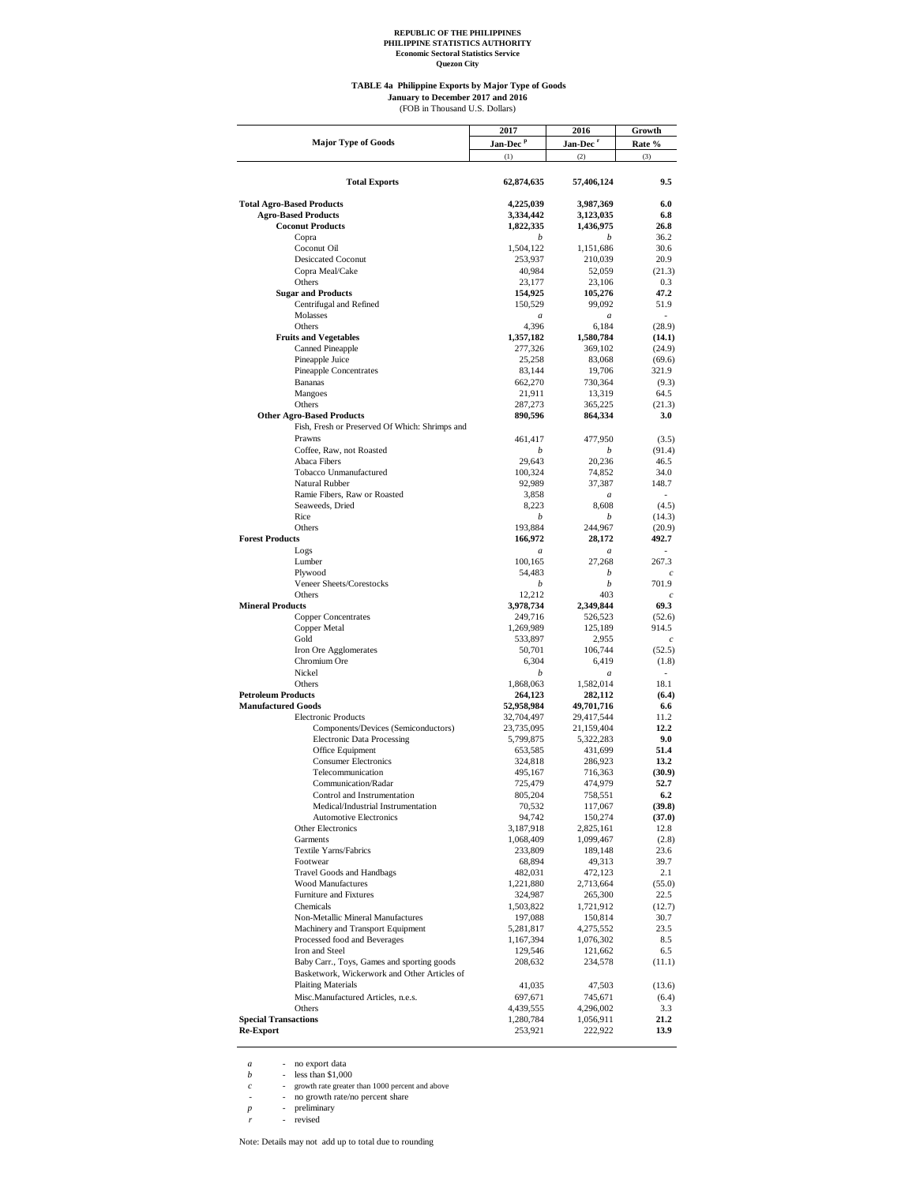**Quezon City**

#### **TABLE 4a Philippine Exports by Major Type of Goods** (FOB in Thousand U.S. Dollars) **January to December 2017 and 2016**

|                                                       | 2017                   | 2016                   | Growth                   |
|-------------------------------------------------------|------------------------|------------------------|--------------------------|
| <b>Major Type of Goods</b>                            | Jan-Dec <sup>p</sup>   | Jan-Dec <sup>r</sup>   | Rate %                   |
|                                                       | (1)                    | (2)                    | (3)                      |
|                                                       |                        |                        |                          |
| <b>Total Exports</b>                                  | 62,874,635             | 57,406,124             | 9.5                      |
|                                                       |                        |                        |                          |
| <b>Total Agro-Based Products</b>                      | 4,225,039              | 3,987,369              | 6.0                      |
| <b>Agro-Based Products</b>                            | 3,334,442              | 3,123,035              | 6.8                      |
| <b>Coconut Products</b>                               | 1,822,335              | 1,436,975              | 26.8                     |
| Copra                                                 | b                      | b                      | 36.2                     |
| Coconut Oil                                           | 1,504,122              | 1,151,686              | 30.6                     |
| <b>Desiccated Coconut</b>                             | 253,937                | 210,039                | 20.9                     |
| Copra Meal/Cake<br>Others                             | 40,984<br>23,177       | 52,059<br>23,106       | (21.3)<br>0.3            |
| <b>Sugar and Products</b>                             | 154,925                | 105,276                | 47.2                     |
| Centrifugal and Refined                               | 150,529                | 99,092                 | 51.9                     |
| Molasses                                              | $\boldsymbol{a}$       | $\boldsymbol{a}$       | $\overline{\phantom{a}}$ |
| Others                                                | 4,396                  | 6,184                  | (28.9)                   |
| <b>Fruits and Vegetables</b>                          | 1,357,182              | 1,580,784              | (14.1)                   |
| <b>Canned Pineapple</b>                               | 277,326                | 369,102                | (24.9)                   |
| Pineapple Juice                                       | 25,258                 | 83,068                 | (69.6)                   |
| Pineapple Concentrates                                | 83,144                 | 19,706                 | 321.9                    |
| <b>Bananas</b>                                        | 662,270                | 730,364                | (9.3)                    |
| Mangoes                                               | 21,911                 | 13,319                 | 64.5                     |
| Others                                                | 287,273                | 365,225                | (21.3)                   |
| <b>Other Agro-Based Products</b>                      | 890,596                | 864,334                | 3.0                      |
| Fish, Fresh or Preserved Of Which: Shrimps and        |                        |                        |                          |
| Prawns                                                | 461,417                | 477,950                | (3.5)                    |
| Coffee, Raw, not Roasted                              | b                      | b                      | (91.4)                   |
| Abaca Fibers                                          | 29,643                 | 20,236                 | 46.5                     |
| Tobacco Unmanufactured                                | 100,324                | 74,852                 | 34.0                     |
| Natural Rubber                                        | 92,989                 | 37,387                 | 148.7                    |
| Ramie Fibers, Raw or Roasted                          | 3,858                  | $\boldsymbol{a}$       | ÷                        |
| Seaweeds, Dried<br>Rice                               | 8,223                  | 8,608                  | (4.5)                    |
| Others                                                | b<br>193,884           | b<br>244,967           | (14.3)                   |
| <b>Forest Products</b>                                | 166,972                | 28,172                 | (20.9)<br>492.7          |
| Logs                                                  | $\boldsymbol{a}$       | $\boldsymbol{a}$       |                          |
| Lumber                                                | 100,165                | 27,268                 | 267.3                    |
| Plywood                                               | 54,483                 | b                      | $\mathfrak c$            |
| Veneer Sheets/Corestocks                              | b                      | b                      | 701.9                    |
| Others                                                | 12,212                 | 403                    | $\overline{c}$           |
| <b>Mineral Products</b>                               | 3,978,734              | 2,349,844              | 69.3                     |
| <b>Copper Concentrates</b>                            | 249,716                | 526,523                | (52.6)                   |
| Copper Metal                                          | 1,269,989              | 125,189                | 914.5                    |
| Gold                                                  | 533,897                | 2,955                  | $\mathfrak{c}$           |
| Iron Ore Agglomerates                                 | 50,701                 | 106,744                | (52.5)                   |
| Chromium Ore                                          | 6,304                  | 6,419                  | (1.8)                    |
| Nickel                                                | b                      | a                      |                          |
| Others                                                | 1,868,063              | 1,582,014              | 18.1                     |
| <b>Petroleum Products</b>                             | 264,123                | 282,112                | (6.4)                    |
| <b>Manufactured Goods</b>                             | 52,958,984             | 49,701,716             | 6.6                      |
| <b>Electronic Products</b>                            | 32,704,497             | 29,417,544             | 11.2                     |
| Components/Devices (Semiconductors)                   | 23,735,095             | 21,159,404             | 12.2<br>9.0              |
| <b>Electronic Data Processing</b><br>Office Equipment | 5,799,875<br>653,585   | 5,322,283<br>431,699   | 51.4                     |
| <b>Consumer Electronics</b>                           | 324,818                | 286,923                | 13.2                     |
| Telecommunication                                     | 495,167                | 716,363                | (30.9)                   |
| Communication/Radar                                   | 725,479                | 474,979                | 52.7                     |
| Control and Instrumentation                           | 805.204                | 758,551                | 6.2                      |
| Medical/Industrial Instrumentation                    | 70,532                 | 117,067                | (39.8)                   |
| <b>Automotive Electronics</b>                         | 94,742                 | 150,274                | (37.0)                   |
| <b>Other Electronics</b>                              | 3,187,918              | 2,825,161              | 12.8                     |
| Garments                                              | 1,068,409              | 1,099,467              | (2.8)                    |
| Textile Yarns/Fabrics                                 | 233,809                | 189,148                | 23.6                     |
| Footwear                                              | 68,894                 | 49,313                 | 39.7                     |
| <b>Travel Goods and Handbags</b>                      | 482,031                | 472,123                | 2.1                      |
| <b>Wood Manufactures</b>                              | 1,221,880              | 2,713,664              | (55.0)                   |
| Furniture and Fixtures                                | 324,987                | 265,300                | 22.5                     |
| Chemicals                                             | 1,503,822              | 1,721,912              | (12.7)                   |
| Non-Metallic Mineral Manufactures                     | 197,088                | 150,814                | 30.7                     |
| Machinery and Transport Equipment                     | 5,281,817              | 4,275,552              | 23.5                     |
| Processed food and Beverages                          | 1,167,394              | 1,076,302              | 8.5                      |
| Iron and Steel                                        | 129,546                | 121,662                | 6.5                      |
| Baby Carr., Toys, Games and sporting goods            | 208,632                | 234,578                | (11.1)                   |
| Basketwork, Wickerwork and Other Articles of          |                        |                        |                          |
| <b>Plaiting Materials</b>                             | 41,035                 | 47,503                 | (13.6)                   |
| Misc.Manufactured Articles, n.e.s.                    | 697,671                | 745,671                | (6.4)                    |
| Others<br><b>Special Transactions</b>                 | 4,439,555<br>1,280,784 | 4,296,002<br>1,056,911 | 3.3<br>21.2              |
| <b>Re-Export</b>                                      | 253,921                | 222,922                | 13.9                     |
|                                                       |                        |                        |                          |

*a* - no export data *b* - less than \$1,000

*c* - growth rate greater than 1000 percent and above<br> *p* - no growth rate/no percent share<br> *p* - preliminary<br> *r* - revised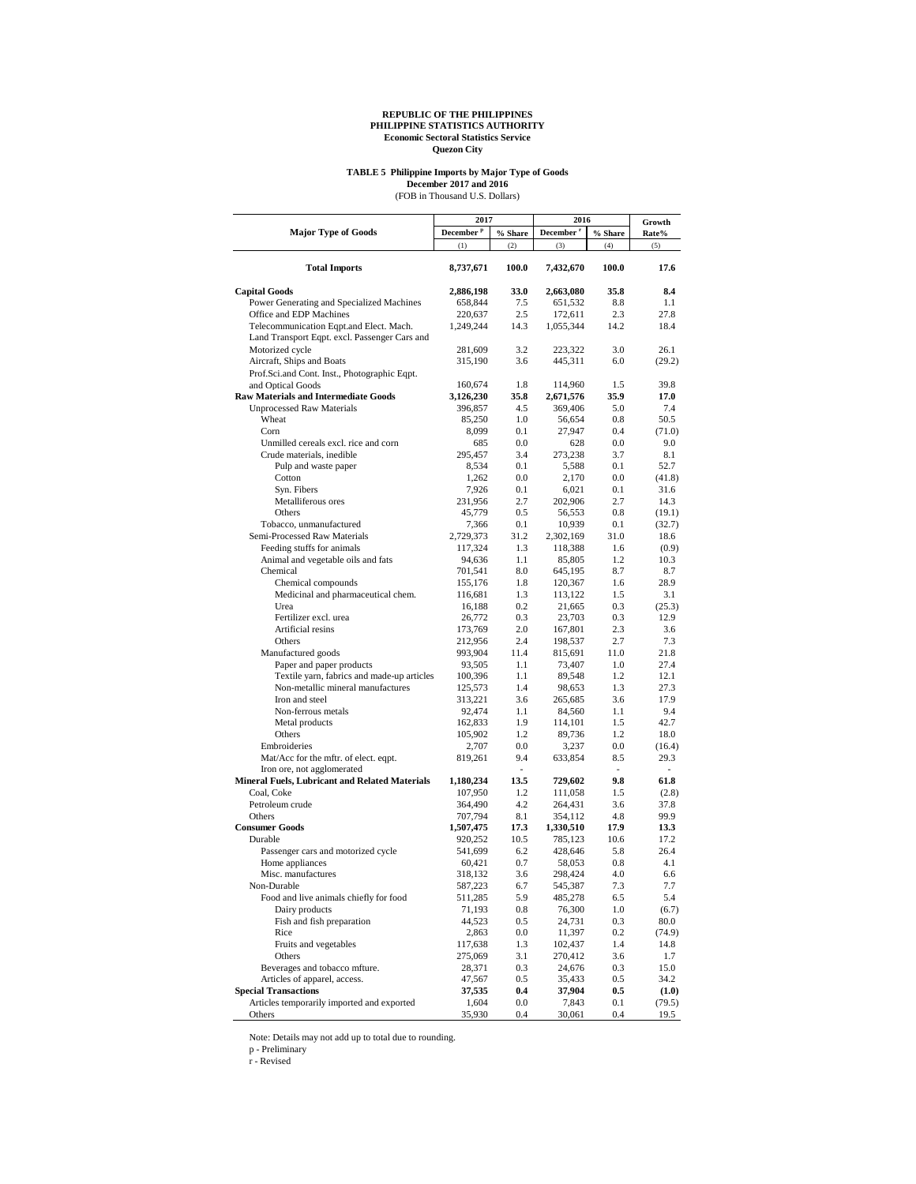# **TABLE 5 Philippine Imports by Major Type of Goods**

December 2017 and 2016<br>(FOB in Thousand U.S. Dollars)

|                                                | 2017                  |            | 2016                  | Growth     |        |
|------------------------------------------------|-----------------------|------------|-----------------------|------------|--------|
| <b>Major Type of Goods</b>                     | December <sup>p</sup> | $\%$ Share | December <sup>r</sup> | $\%$ Share | Rate%  |
|                                                | (1)                   | (2)        | (3)                   | (4)        | (5)    |
| <b>Total Imports</b>                           | 8,737,671             | 100.0      | 7,432,670             | 100.0      | 17.6   |
| <b>Capital Goods</b>                           | 2,886,198             | 33.0       | 2,663,080             | 35.8       | 8.4    |
| Power Generating and Specialized Machines      | 658,844               | 7.5        | 651,532               | 8.8        | 1.1    |
| Office and EDP Machines                        | 220,637               | 2.5        | 172,611               | 2.3        | 27.8   |
| Telecommunication Eqpt.and Elect. Mach.        | 1,249,244             | 14.3       | 1,055,344             | 14.2       | 18.4   |
| Land Transport Eqpt. excl. Passenger Cars and  |                       |            |                       |            |        |
| Motorized cycle                                | 281,609               | 3.2        | 223,322               | 3.0        | 26.1   |
| Aircraft, Ships and Boats                      | 315,190               | 3.6        | 445,311               | 6.0        | (29.2) |
| Prof.Sci.and Cont. Inst., Photographic Eqpt.   |                       |            |                       |            |        |
| and Optical Goods                              | 160,674               | 1.8        | 114,960               | 1.5        | 39.8   |
| <b>Raw Materials and Intermediate Goods</b>    | 3,126,230             | 35.8       | 2,671,576             | 35.9       | 17.0   |
| <b>Unprocessed Raw Materials</b>               | 396,857               | 4.5        | 369,406               | 5.0        | 7.4    |
| Wheat                                          | 85,250                | 1.0        | 56,654                | 0.8        | 50.5   |
| Corn                                           | 8,099                 | 0.1        | 27,947                | 0.4        | (71.0) |
| Unmilled cereals excl. rice and corn           | 685                   | 0.0        | 628                   | 0.0        | 9.0    |
| Crude materials, inedible                      | 295,457               | 3.4        | 273,238               | 3.7        | 8.1    |
| Pulp and waste paper                           | 8,534                 | 0.1        | 5,588                 | 0.1        | 52.7   |
| Cotton                                         | 1,262                 | 0.0        | 2,170                 | 0.0        | (41.8) |
| Syn. Fibers                                    | 7,926                 | 0.1        | 6,021                 | 0.1        | 31.6   |
| Metalliferous ores                             | 231,956               | 2.7        | 202,906               | 2.7        | 14.3   |
| Others                                         | 45,779                | 0.5        | 56,553                | 0.8        | (19.1) |
| Tobacco, unmanufactured                        | 7,366                 | 0.1        | 10,939                | 0.1        | (32.7) |
| Semi-Processed Raw Materials                   | 2,729,373             | 31.2       | 2,302,169             | 31.0       | 18.6   |
| Feeding stuffs for animals                     | 117,324               | 1.3        | 118,388               | 1.6        | (0.9)  |
| Animal and vegetable oils and fats             | 94,636                | 1.1        | 85,805                | 1.2        | 10.3   |
| Chemical                                       | 701,541               | 8.0        | 645,195               | 8.7        | 8.7    |
| Chemical compounds                             | 155,176               | 1.8        | 120,367               | 1.6        | 28.9   |
| Medicinal and pharmaceutical chem.             | 116,681               | 1.3        | 113,122               | 1.5        | 3.1    |
| Urea                                           |                       |            |                       | 0.3        |        |
|                                                | 16,188                | 0.2        | 21,665                |            | (25.3) |
| Fertilizer excl. urea<br>Artificial resins     | 26,772                | 0.3        | 23,703                | 0.3        | 12.9   |
|                                                | 173,769               | 2.0        | 167,801               | 2.3        | 3.6    |
| Others                                         | 212,956               | 2.4        | 198,537               | 2.7        | 7.3    |
| Manufactured goods                             | 993,904               | 11.4       | 815,691               | 11.0       | 21.8   |
| Paper and paper products                       | 93,505                | 1.1        | 73,407                | 1.0        | 27.4   |
| Textile yarn, fabrics and made-up articles     | 100,396               | 1.1        | 89,548                | 1.2        | 12.1   |
| Non-metallic mineral manufactures              | 125,573               | 1.4        | 98,653                | 1.3        | 27.3   |
| Iron and steel                                 | 313,221               | 3.6        | 265,685               | 3.6        | 17.9   |
| Non-ferrous metals                             | 92,474                | 1.1        | 84,560                | 1.1        | 9.4    |
| Metal products                                 | 162,833               | 1.9        | 114,101               | 1.5        | 42.7   |
| Others                                         | 105,902               | 1.2        | 89,736                | 1.2        | 18.0   |
| Embroideries                                   | 2,707                 | 0.0        | 3,237                 | 0.0        | (16.4) |
| Mat/Acc for the mftr. of elect. eqpt.          | 819,261               | 9.4        | 633,854               | 8.5        | 29.3   |
| Iron ore, not agglomerated                     |                       | ÷.         |                       | $\sim$     | ٠      |
| Mineral Fuels, Lubricant and Related Materials | 1,180,234             | 13.5       | 729,602               | 9.8        | 61.8   |
| Coal, Coke                                     | 107,950               | 1.2        | 111,058               | 1.5        | (2.8)  |
| Petroleum crude                                | 364,490               | 4.2        | 264,431               | 3.6        | 37.8   |
| Others                                         | 707,794               | 8.1        | 354,112               | 4.8        | 99.9   |
| <b>Consumer Goods</b>                          | 1,507,475             | 17.3       | 1,330,510             | 17.9       | 13.3   |
| Durable                                        | 920,252               | 10.5       | 785,123               | 10.6       | 17.2   |
| Passenger cars and motorized cycle             | 541,699               | 6.2        | 428,646               | 5.8        | 26.4   |
| Home appliances                                | 60,421                | 0.7        | 58,053                | 0.8        | 4.1    |
| Misc. manufactures                             | 318,132               | 3.6        | 298,424               | 4.0        | 6.6    |
| Non-Durable                                    | 587,223               | 6.7        | 545,387               | 7.3        | 7.7    |
| Food and live animals chiefly for food         | 511,285               | 5.9        | 485,278               | 6.5        | 5.4    |
| Dairy products                                 | 71,193                | 0.8        | 76,300                | 1.0        | (6.7)  |
| Fish and fish preparation                      | 44,523                | 0.5        | 24,731                | 0.3        | 80.0   |
| Rice                                           | 2,863                 | 0.0        | 11,397                | 0.2        | (74.9) |
| Fruits and vegetables                          | 117,638               | 1.3        | 102,437               | 1.4        | 14.8   |
| Others                                         | 275,069               | 3.1        | 270,412               | 3.6        | 1.7    |
| Beverages and tobacco mfture.                  | 28,371                | 0.3        | 24,676                | 0.3        | 15.0   |
| Articles of apparel, access.                   | 47,567                | $0.5\,$    | 35,433                | 0.5        | 34.2   |
| <b>Special Transactions</b>                    | 37,535                | $0.4\,$    | 37,904                | 0.5        | (1.0)  |
| Articles temporarily imported and exported     | 1,604                 | $0.0\,$    | 7,843                 | 0.1        | (79.5) |
| Others                                         | 35,930                | 0.4        | 30,061                | 0.4        | 19.5   |

Note: Details may not add up to total due to rounding.

p - Preliminary r - Revised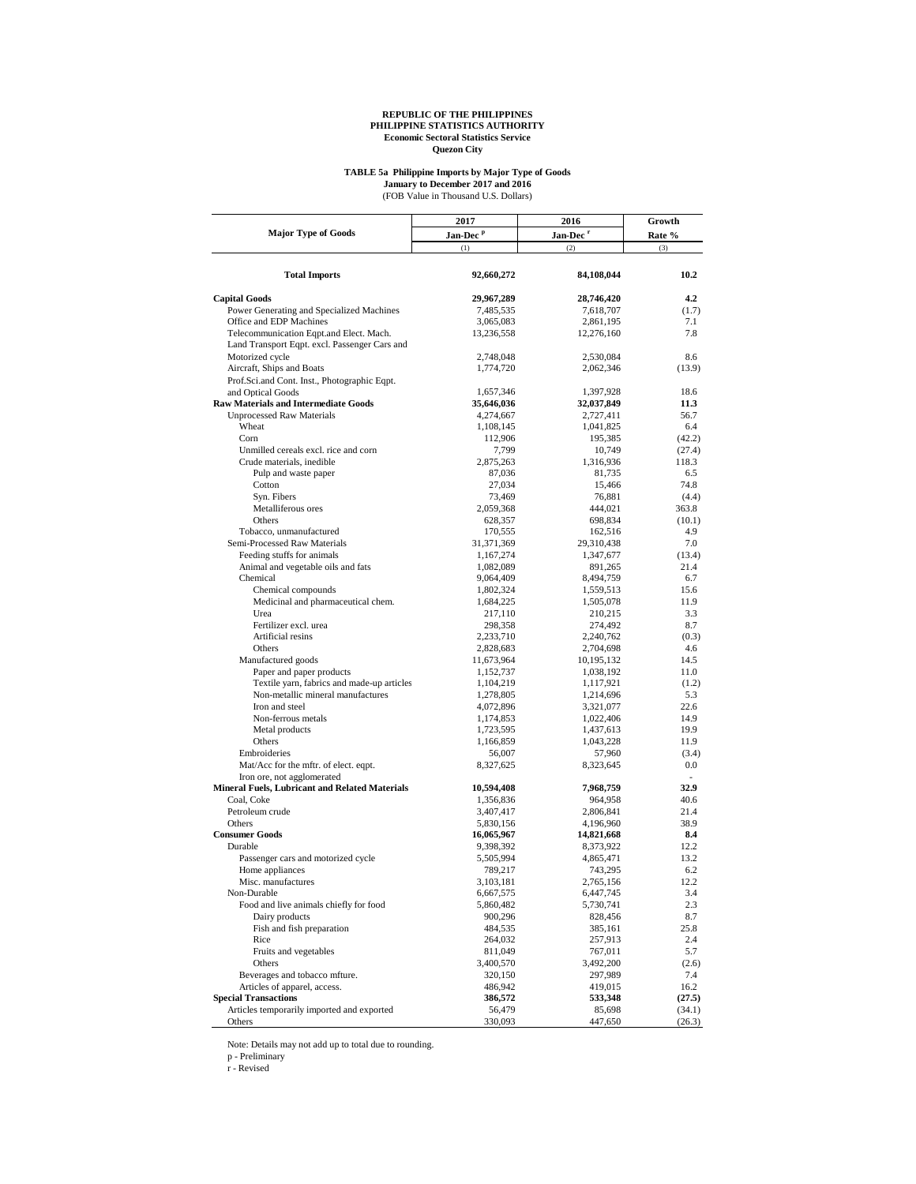## **TABLE 5a Philippine Imports by Major Type of Goods**

(FOB Value in Thousand U.S. Dollars) **January to December 2017 and 2016**

|                                                       | 2017                 | 2016                 | Growth           |  |
|-------------------------------------------------------|----------------------|----------------------|------------------|--|
| <b>Major Type of Goods</b>                            | Jan-Dec <sup>p</sup> | Jan-Dec <sup>r</sup> | Rate %           |  |
|                                                       | (1)                  | (2)                  | (3)              |  |
| <b>Total Imports</b>                                  | 92,660,272           | 84,108,044           | 10.2             |  |
| <b>Capital Goods</b>                                  | 29,967,289           | 28,746,420           | 4.2              |  |
| Power Generating and Specialized Machines             | 7,485,535            | 7,618,707            | (1.7)            |  |
| Office and EDP Machines                               | 3,065,083            | 2,861,195            | 7.1              |  |
| Telecommunication Eqpt.and Elect. Mach.               | 13,236,558           | 12,276,160           | 7.8              |  |
| Land Transport Eqpt. excl. Passenger Cars and         |                      |                      |                  |  |
| Motorized cycle                                       | 2,748,048            | 2,530,084            | 8.6              |  |
| Aircraft, Ships and Boats                             | 1,774,720            | 2,062,346            | (13.9)           |  |
| Prof.Sci.and Cont. Inst., Photographic Eqpt.          |                      |                      |                  |  |
| and Optical Goods                                     | 1,657,346            | 1,397,928            | 18.6             |  |
| <b>Raw Materials and Intermediate Goods</b>           | 35,646,036           | 32,037,849           | 11.3             |  |
| <b>Unprocessed Raw Materials</b>                      | 4,274,667            | 2,727,411            | 56.7             |  |
| Wheat                                                 | 1,108,145            | 1,041,825            | 6.4              |  |
| Corn                                                  | 112,906              | 195,385              | (42.2)           |  |
| Unmilled cereals excl. rice and corn                  | 7,799                | 10,749               | (27.4)           |  |
| Crude materials, inedible                             | 2,875,263            | 1,316,936            | 118.3            |  |
| Pulp and waste paper                                  | 87,036               | 81,735               | 6.5              |  |
| Cotton<br>Syn. Fibers                                 | 27,034               | 15,466               | 74.8             |  |
| Metalliferous ores                                    | 73,469<br>2,059,368  | 76,881<br>444,021    | (4.4)<br>363.8   |  |
| Others                                                | 628,357              | 698,834              | (10.1)           |  |
| Tobacco, unmanufactured                               | 170,555              | 162,516              | 4.9              |  |
| Semi-Processed Raw Materials                          | 31,371,369           | 29,310,438           | 7.0              |  |
| Feeding stuffs for animals                            | 1,167,274            | 1,347,677            | (13.4)           |  |
| Animal and vegetable oils and fats                    | 1,082,089            | 891,265              | 21.4             |  |
| Chemical                                              | 9,064,409            | 8,494,759            | 6.7              |  |
| Chemical compounds                                    | 1,802,324            | 1,559,513            | 15.6             |  |
| Medicinal and pharmaceutical chem.                    | 1,684,225            | 1,505,078            | 11.9             |  |
| Urea                                                  | 217,110              | 210,215              | 3.3              |  |
| Fertilizer excl. urea                                 | 298,358              | 274,492              | 8.7              |  |
| Artificial resins                                     | 2,233,710            | 2,240,762            | (0.3)            |  |
| Others                                                | 2,828,683            | 2,704,698            | 4.6              |  |
| Manufactured goods                                    | 11,673,964           | 10,195,132           | 14.5             |  |
| Paper and paper products                              | 1,152,737            | 1,038,192            | 11.0             |  |
| Textile yarn, fabrics and made-up articles            | 1,104,219            | 1,117,921            | (1.2)            |  |
| Non-metallic mineral manufactures                     | 1,278,805            | 1,214,696            | 5.3              |  |
| Iron and steel                                        | 4,072,896            | 3,321,077            | 22.6             |  |
| Non-ferrous metals                                    | 1,174,853            | 1,022,406            | 14.9             |  |
| Metal products                                        | 1,723,595            | 1,437,613            | 19.9             |  |
| Others                                                | 1,166,859            | 1,043,228            | 11.9             |  |
| Embroideries<br>Mat/Acc for the mftr. of elect. eqpt. | 56,007               | 57,960               | (3.4)<br>0.0     |  |
| Iron ore, not agglomerated                            | 8,327,625            | 8,323,645            | $\sim$           |  |
| Mineral Fuels, Lubricant and Related Materials        | 10,594,408           | 7,968,759            | 32.9             |  |
| Coal, Coke                                            | 1,356,836            | 964,958              | 40.6             |  |
| Petroleum crude                                       | 3,407,417            | 2,806,841            | 21.4             |  |
| Others                                                | 5,830,156            | 4,196,960            | 38.9             |  |
| <b>Consumer Goods</b>                                 | 16,065,967           | 14,821,668           | 8.4              |  |
| Durable                                               | 9,398,392            | 8,373,922            | 12.2             |  |
| Passenger cars and motorized cycle                    | 5,505,994            | 4,865,471            | 13.2             |  |
| Home appliances                                       | 789,217              | 743,295              | 6.2              |  |
| Misc. manufactures                                    | 3,103,181            | 2,765,156            | 12.2             |  |
| Non-Durable                                           | 6,667,575            | 6,447,745            | 3.4              |  |
| Food and live animals chiefly for food                | 5,860,482            | 5,730,741            | 2.3              |  |
| Dairy products                                        | 900,296              | 828,456              | 8.7              |  |
| Fish and fish preparation                             | 484,535              | 385,161              | 25.8             |  |
| Rice                                                  | 264,032              | 257,913              | 2.4              |  |
| Fruits and vegetables                                 | 811,049              | 767,011              | 5.7              |  |
| Others                                                | 3,400,570            | 3,492,200            | (2.6)            |  |
| Beverages and tobacco mfture.                         | 320,150              | 297,989              | 7.4              |  |
| Articles of apparel, access.                          | 486,942              | 419,015              | 16.2             |  |
| <b>Special Transactions</b>                           | 386,572              | 533,348              | (27.5)           |  |
| Articles temporarily imported and exported<br>Others  | 56,479<br>330,093    | 85,698<br>447,650    | (34.1)<br>(26.3) |  |
|                                                       |                      |                      |                  |  |

Note: Details may not add up to total due to rounding. p - Preliminary r - Revised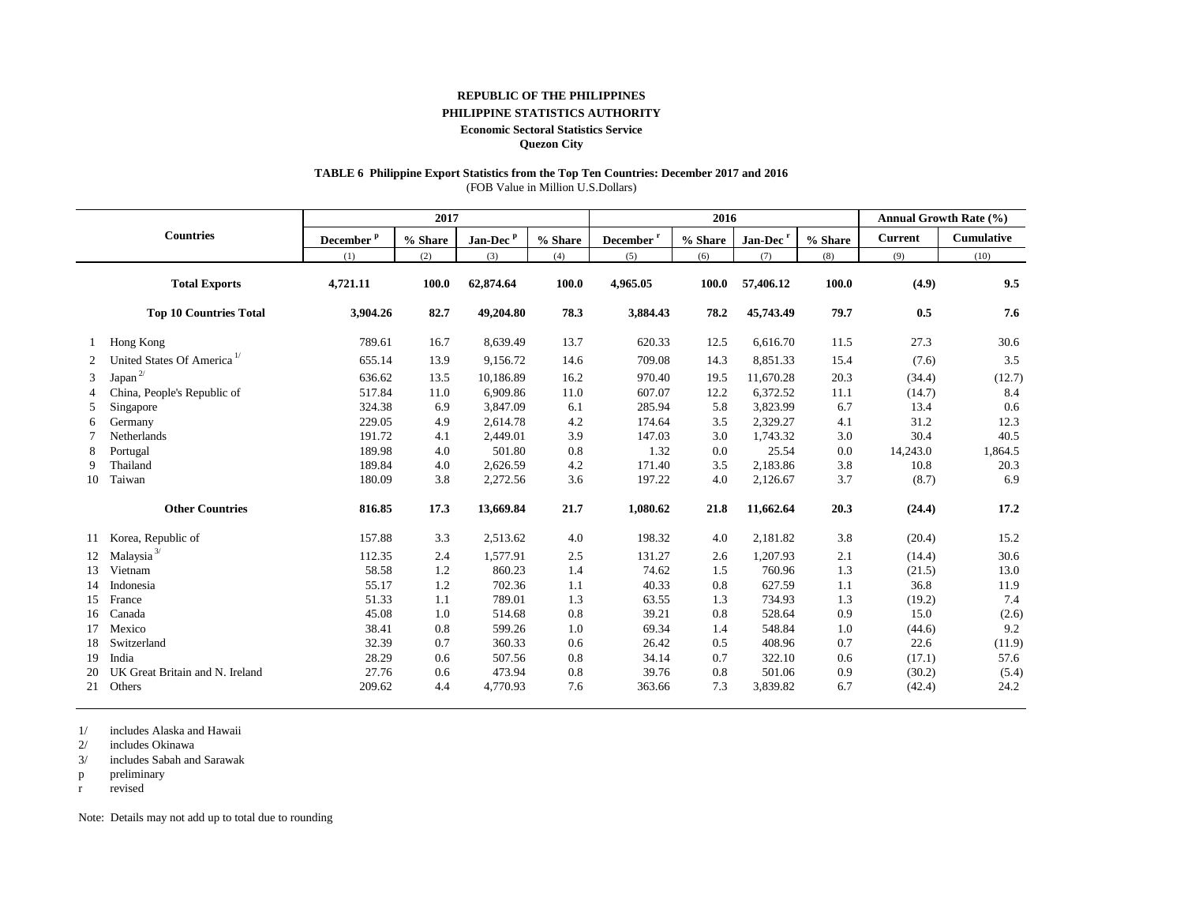#### **REPUBLIC OF THE PHILIPPINES**

#### **PHILIPPINE STATISTICS AUTHORITY**

#### **Economic Sectoral Statistics Service**

**Quezon City**

# **TABLE 6 Philippine Export Statistics from the Top Ten Countries: December 2017 and 2016**

(FOB Value in Million U.S.Dollars)

|    |                                        |                       | 2017    |                      |         |                        | 2016    |                      |         |                | Annual Growth Rate (%) |
|----|----------------------------------------|-----------------------|---------|----------------------|---------|------------------------|---------|----------------------|---------|----------------|------------------------|
|    | <b>Countries</b>                       | December <sup>p</sup> | % Share | Jan-Dec <sup>p</sup> | % Share | December $^\mathrm{r}$ | % Share | Jan-Dec <sup>r</sup> | % Share | <b>Current</b> | Cumulative             |
|    |                                        | (1)                   | (2)     | (3)                  | (4)     | (5)                    | (6)     | (7)                  | (8)     | (9)            | (10)                   |
|    | <b>Total Exports</b>                   | 4,721.11              | 100.0   | 62,874.64            | 100.0   | 4,965.05               | 100.0   | 57,406.12            | 100.0   | (4.9)          | 9.5                    |
|    | <b>Top 10 Countries Total</b>          | 3,904.26              | 82.7    | 49,204.80            | 78.3    | 3,884.43               | 78.2    | 45,743.49            | 79.7    | 0.5            | 7.6                    |
|    | Hong Kong                              | 789.61                | 16.7    | 8,639.49             | 13.7    | 620.33                 | 12.5    | 6,616.70             | 11.5    | 27.3           | 30.6                   |
| 2  | United States Of America <sup>1/</sup> | 655.14                | 13.9    | 9,156.72             | 14.6    | 709.08                 | 14.3    | 8,851.33             | 15.4    | (7.6)          | 3.5                    |
| 3  | Japan $^{2\prime}$                     | 636.62                | 13.5    | 10,186.89            | 16.2    | 970.40                 | 19.5    | 11,670.28            | 20.3    | (34.4)         | (12.7)                 |
|    | China, People's Republic of            | 517.84                | 11.0    | 6,909.86             | 11.0    | 607.07                 | 12.2    | 6,372.52             | 11.1    | (14.7)         | 8.4                    |
| 5  | Singapore                              | 324.38                | 6.9     | 3,847.09             | 6.1     | 285.94                 | 5.8     | 3,823.99             | 6.7     | 13.4           | 0.6                    |
| 6  | Germany                                | 229.05                | 4.9     | 2,614.78             | 4.2     | 174.64                 | 3.5     | 2,329.27             | 4.1     | 31.2           | 12.3                   |
|    | <b>Netherlands</b>                     | 191.72                | 4.1     | 2,449.01             | 3.9     | 147.03                 | 3.0     | 1,743.32             | 3.0     | 30.4           | 40.5                   |
| 8  | Portugal                               | 189.98                | 4.0     | 501.80               | 0.8     | 1.32                   | 0.0     | 25.54                | 0.0     | 14,243.0       | 1,864.5                |
| 9  | Thailand                               | 189.84                | 4.0     | 2,626.59             | 4.2     | 171.40                 | 3.5     | 2,183.86             | 3.8     | 10.8           | 20.3                   |
| 10 | Taiwan                                 | 180.09                | 3.8     | 2,272.56             | 3.6     | 197.22                 | 4.0     | 2,126.67             | 3.7     | (8.7)          | 6.9                    |
|    | <b>Other Countries</b>                 | 816.85                | 17.3    | 13,669.84            | 21.7    | 1,080.62               | 21.8    | 11,662.64            | 20.3    | (24.4)         | 17.2                   |
| 11 | Korea, Republic of                     | 157.88                | 3.3     | 2,513.62             | 4.0     | 198.32                 | 4.0     | 2,181.82             | 3.8     | (20.4)         | 15.2                   |
| 12 | Malaysia <sup>3/</sup>                 | 112.35                | 2.4     | 1.577.91             | 2.5     | 131.27                 | 2.6     | 1,207.93             | 2.1     | (14.4)         | 30.6                   |
| 13 | Vietnam                                | 58.58                 | 1.2     | 860.23               | 1.4     | 74.62                  | 1.5     | 760.96               | 1.3     | (21.5)         | 13.0                   |
| 14 | Indonesia                              | 55.17                 | 1.2     | 702.36               | 1.1     | 40.33                  | 0.8     | 627.59               | 1.1     | 36.8           | 11.9                   |
| 15 | France                                 | 51.33                 | 1.1     | 789.01               | 1.3     | 63.55                  | 1.3     | 734.93               | 1.3     | (19.2)         | 7.4                    |
| 16 | Canada                                 | 45.08                 | 1.0     | 514.68               | 0.8     | 39.21                  | 0.8     | 528.64               | 0.9     | 15.0           | (2.6)                  |
| 17 | Mexico                                 | 38.41                 | 0.8     | 599.26               | 1.0     | 69.34                  | 1.4     | 548.84               | 1.0     | (44.6)         | 9.2                    |
| 18 | Switzerland                            | 32.39                 | 0.7     | 360.33               | 0.6     | 26.42                  | 0.5     | 408.96               | 0.7     | 22.6           | (11.9)                 |
| 19 | India                                  | 28.29                 | 0.6     | 507.56               | 0.8     | 34.14                  | 0.7     | 322.10               | 0.6     | (17.1)         | 57.6                   |
| 20 | UK Great Britain and N. Ireland        | 27.76                 | 0.6     | 473.94               | 0.8     | 39.76                  | 0.8     | 501.06               | 0.9     | (30.2)         | (5.4)                  |
| 21 | Others                                 | 209.62                | 4.4     | 4,770.93             | 7.6     | 363.66                 | 7.3     | 3,839.82             | 6.7     | (42.4)         | 24.2                   |

1/ includes Alaska and Hawaii

2/ includes Okinawa

3/ includes Sabah and Sarawak

p preliminary

r revised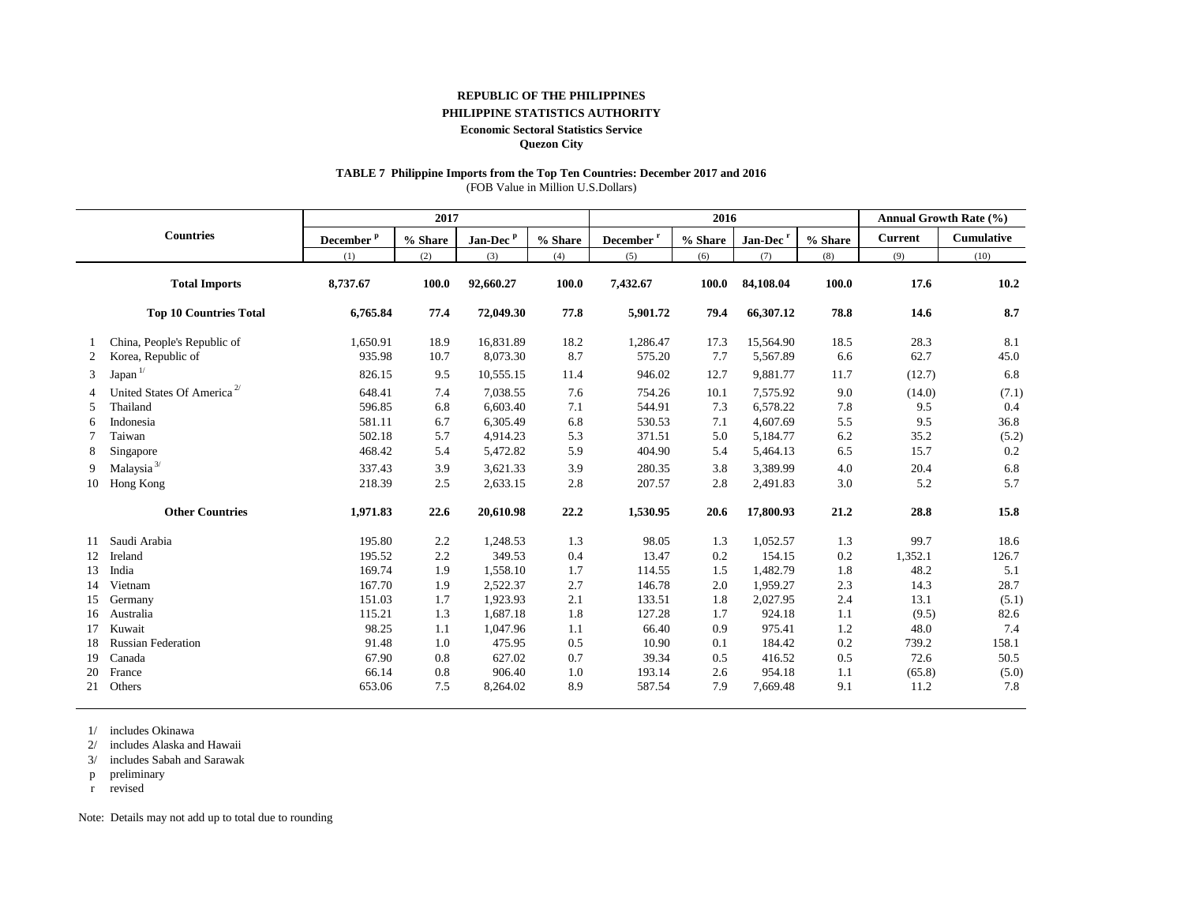#### **REPUBLIC OF THE PHILIPPINES**

#### **PHILIPPINE STATISTICS AUTHORITY**

#### **Economic Sectoral Statistics Service**

**Quezon City**

#### **TABLE 7 Philippine Imports from the Top Ten Countries: December 2017 and 2016**

(FOB Value in Million U.S.Dollars)

|                |                                        |                       | 2017    |                      |         | 2016                   |         |                      |         | <b>Annual Growth Rate (%)</b> |                   |  |
|----------------|----------------------------------------|-----------------------|---------|----------------------|---------|------------------------|---------|----------------------|---------|-------------------------------|-------------------|--|
|                | <b>Countries</b>                       | December <sup>p</sup> | % Share | Jan-Dec <sup>p</sup> | % Share | December $^\mathrm{r}$ | % Share | Jan-Dec <sup>r</sup> | % Share | <b>Current</b>                | <b>Cumulative</b> |  |
|                |                                        | (1)                   | (2)     | (3)                  | (4)     | (5)                    | (6)     | (7)                  | (8)     | (9)                           | (10)              |  |
|                | <b>Total Imports</b>                   | 8,737.67              | 100.0   | 92,660.27            | 100.0   | 7,432.67               | 100.0   | 84,108.04            | 100.0   | 17.6                          | 10.2              |  |
|                | <b>Top 10 Countries Total</b>          | 6,765.84              | 77.4    | 72,049.30            | 77.8    | 5,901.72               | 79.4    | 66,307.12            | 78.8    | 14.6                          | 8.7               |  |
|                | China, People's Republic of            | 1,650.91              | 18.9    | 16,831.89            | 18.2    | 1,286.47               | 17.3    | 15,564.90            | 18.5    | 28.3                          | 8.1               |  |
| 2              | Korea, Republic of                     | 935.98                | 10.7    | 8,073.30             | 8.7     | 575.20                 | 7.7     | 5,567.89             | 6.6     | 62.7                          | 45.0              |  |
| 3              | Japan $1/$                             | 826.15                | 9.5     | 10,555.15            | 11.4    | 946.02                 | 12.7    | 9,881.77             | 11.7    | (12.7)                        | 6.8               |  |
| $\overline{4}$ | United States Of America <sup>2/</sup> | 648.41                | 7.4     | 7,038.55             | 7.6     | 754.26                 | 10.1    | 7,575.92             | 9.0     | (14.0)                        | (7.1)             |  |
| 5              | Thailand                               | 596.85                | 6.8     | 6,603.40             | 7.1     | 544.91                 | 7.3     | 6,578.22             | 7.8     | 9.5                           | 0.4               |  |
| 6              | Indonesia                              | 581.11                | 6.7     | 6,305.49             | 6.8     | 530.53                 | 7.1     | 4,607.69             | 5.5     | 9.5                           | 36.8              |  |
|                | Taiwan                                 | 502.18                | 5.7     | 4,914.23             | 5.3     | 371.51                 | 5.0     | 5,184.77             | 6.2     | 35.2                          | (5.2)             |  |
| 8              | Singapore                              | 468.42                | 5.4     | 5,472.82             | 5.9     | 404.90                 | 5.4     | 5,464.13             | 6.5     | 15.7                          | 0.2               |  |
| 9              | Malaysia <sup>3/</sup>                 | 337.43                | 3.9     | 3,621.33             | 3.9     | 280.35                 | 3.8     | 3,389.99             | 4.0     | 20.4                          | 6.8               |  |
| 10             | Hong Kong                              | 218.39                | 2.5     | 2,633.15             | 2.8     | 207.57                 | 2.8     | 2,491.83             | 3.0     | 5.2                           | 5.7               |  |
|                | <b>Other Countries</b>                 | 1,971.83              | 22.6    | 20,610.98            | 22.2    | 1,530.95               | 20.6    | 17,800.93            | 21.2    | 28.8                          | 15.8              |  |
| 11             | Saudi Arabia                           | 195.80                | 2.2     | 1,248.53             | 1.3     | 98.05                  | 1.3     | 1,052.57             | 1.3     | 99.7                          | 18.6              |  |
| 12             | Ireland                                | 195.52                | 2.2     | 349.53               | 0.4     | 13.47                  | 0.2     | 154.15               | 0.2     | 1,352.1                       | 126.7             |  |
| 13             | India                                  | 169.74                | 1.9     | 1,558.10             | 1.7     | 114.55                 | 1.5     | 1,482.79             | 1.8     | 48.2                          | 5.1               |  |
| 14             | Vietnam                                | 167.70                | 1.9     | 2.522.37             | 2.7     | 146.78                 | 2.0     | 1.959.27             | 2.3     | 14.3                          | 28.7              |  |
| 15             | Germany                                | 151.03                | 1.7     | 1,923.93             | 2.1     | 133.51                 | 1.8     | 2,027.95             | 2.4     | 13.1                          | (5.1)             |  |
| 16             | Australia                              | 115.21                | 1.3     | 1,687.18             | 1.8     | 127.28                 | 1.7     | 924.18               | 1.1     | (9.5)                         | 82.6              |  |
| 17             | Kuwait                                 | 98.25                 | 1.1     | 1,047.96             | 1.1     | 66.40                  | 0.9     | 975.41               | 1.2     | 48.0                          | 7.4               |  |
| 18             | <b>Russian Federation</b>              | 91.48                 | 1.0     | 475.95               | 0.5     | 10.90                  | 0.1     | 184.42               | 0.2     | 739.2                         | 158.1             |  |
| 19             | Canada                                 | 67.90                 | 0.8     | 627.02               | 0.7     | 39.34                  | 0.5     | 416.52               | 0.5     | 72.6                          | 50.5              |  |
| 20             | France                                 | 66.14                 | 0.8     | 906.40               | 1.0     | 193.14                 | 2.6     | 954.18               | 1.1     | (65.8)                        | (5.0)             |  |
| 21             | Others                                 | 653.06                | 7.5     | 8,264.02             | 8.9     | 587.54                 | 7.9     | 7,669.48             | 9.1     | 11.2                          | 7.8               |  |

1/ includes Okinawa

2/ includes Alaska and Hawaii

3/ includes Sabah and Sarawak

p preliminary

r revised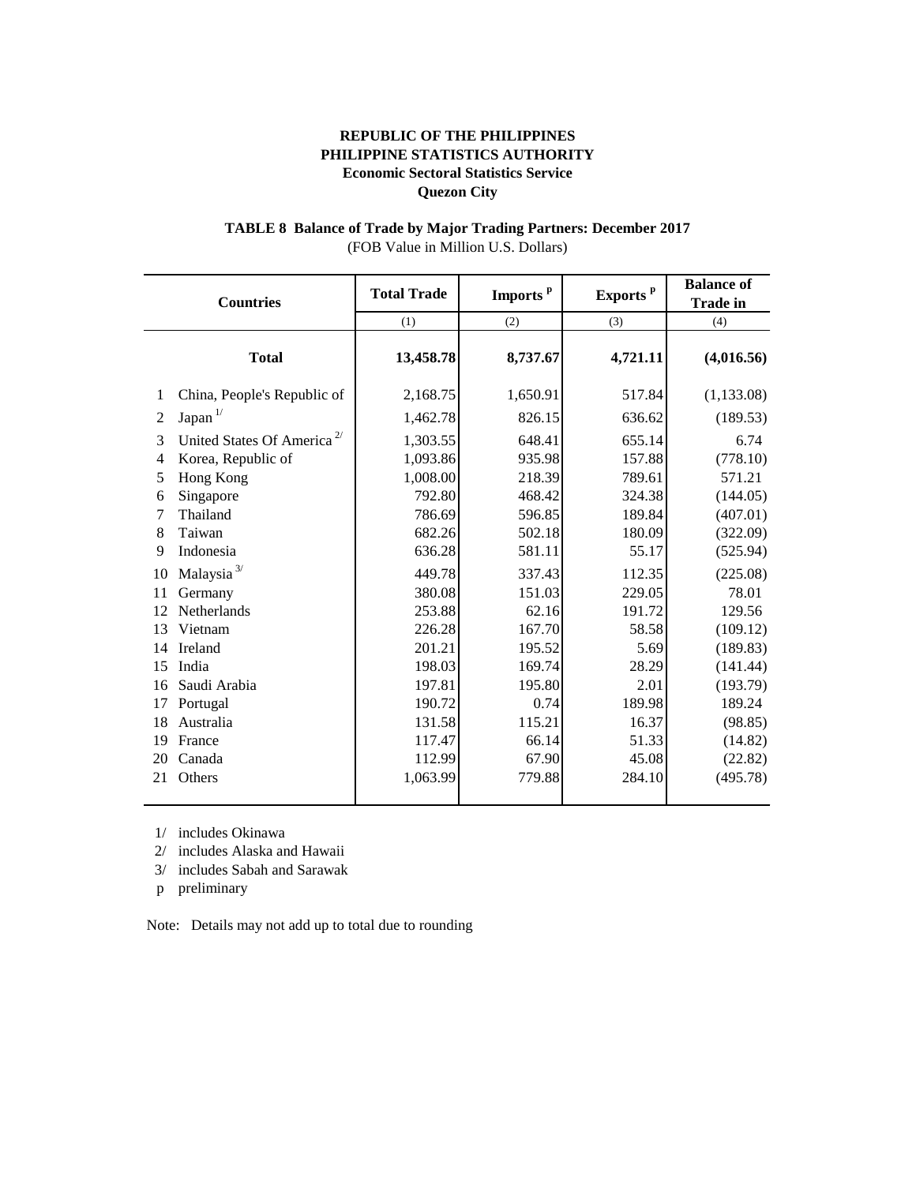# **TABLE 8 Balance of Trade by Major Trading Partners: December 2017** (FOB Value in Million U.S. Dollars)

|                | <b>Countries</b>                       | <b>Total Trade</b> | Imports <sup>p</sup> | Exports <sup>p</sup> | <b>Balance of</b><br><b>Trade in</b> |  |
|----------------|----------------------------------------|--------------------|----------------------|----------------------|--------------------------------------|--|
|                |                                        | (1)                | (2)                  | (3)                  | (4)                                  |  |
|                | <b>Total</b>                           | 13,458.78          | 8,737.67             | 4,721.11             | (4,016.56)                           |  |
| 1              | China, People's Republic of            | 2,168.75           | 1,650.91             | 517.84               | (1, 133.08)                          |  |
| $\overline{2}$ | Japan $^{1/}$                          | 1,462.78           | 826.15               | 636.62               | (189.53)                             |  |
| 3              | United States Of America <sup>2/</sup> | 1,303.55           | 648.41               | 655.14               | 6.74                                 |  |
| 4              | Korea, Republic of                     | 1,093.86           | 935.98               | 157.88               | (778.10)                             |  |
| 5              | Hong Kong                              | 1,008.00           | 218.39               | 789.61               | 571.21                               |  |
| 6              | Singapore                              | 792.80             | 468.42               | 324.38               | (144.05)                             |  |
| 7              | Thailand                               | 786.69             | 596.85               | 189.84               | (407.01)                             |  |
| 8              | Taiwan                                 | 682.26             | 502.18               | 180.09               | (322.09)                             |  |
| 9              | Indonesia                              | 636.28             | 581.11               | 55.17                | (525.94)                             |  |
| 10             | Malaysia $^{3\prime}$                  | 449.78             | 337.43               | 112.35               | (225.08)                             |  |
| 11             | Germany                                | 380.08             | 151.03               | 229.05               | 78.01                                |  |
| 12             | Netherlands                            | 253.88             | 62.16                | 191.72               | 129.56                               |  |
| 13             | Vietnam                                | 226.28             | 167.70               | 58.58                | (109.12)                             |  |
| 14             | Ireland                                | 201.21             | 195.52               | 5.69                 | (189.83)                             |  |
| 15             | India                                  | 198.03             | 169.74               | 28.29                | (141.44)                             |  |
| 16             | Saudi Arabia                           | 197.81             | 195.80               | 2.01                 | (193.79)                             |  |
| 17             | Portugal                               | 190.72             | 0.74                 | 189.98               | 189.24                               |  |
| 18             | Australia                              | 131.58             | 115.21               | 16.37                | (98.85)                              |  |
| 19             | France                                 | 117.47             | 66.14                | 51.33                | (14.82)                              |  |
| 20             | Canada                                 | 112.99             | 67.90                | 45.08                | (22.82)                              |  |
| 21             | Others                                 | 1,063.99           | 779.88               | 284.10               | (495.78)                             |  |

1/ includes Okinawa

2/ includes Alaska and Hawaii

3/ includes Sabah and Sarawak

p preliminary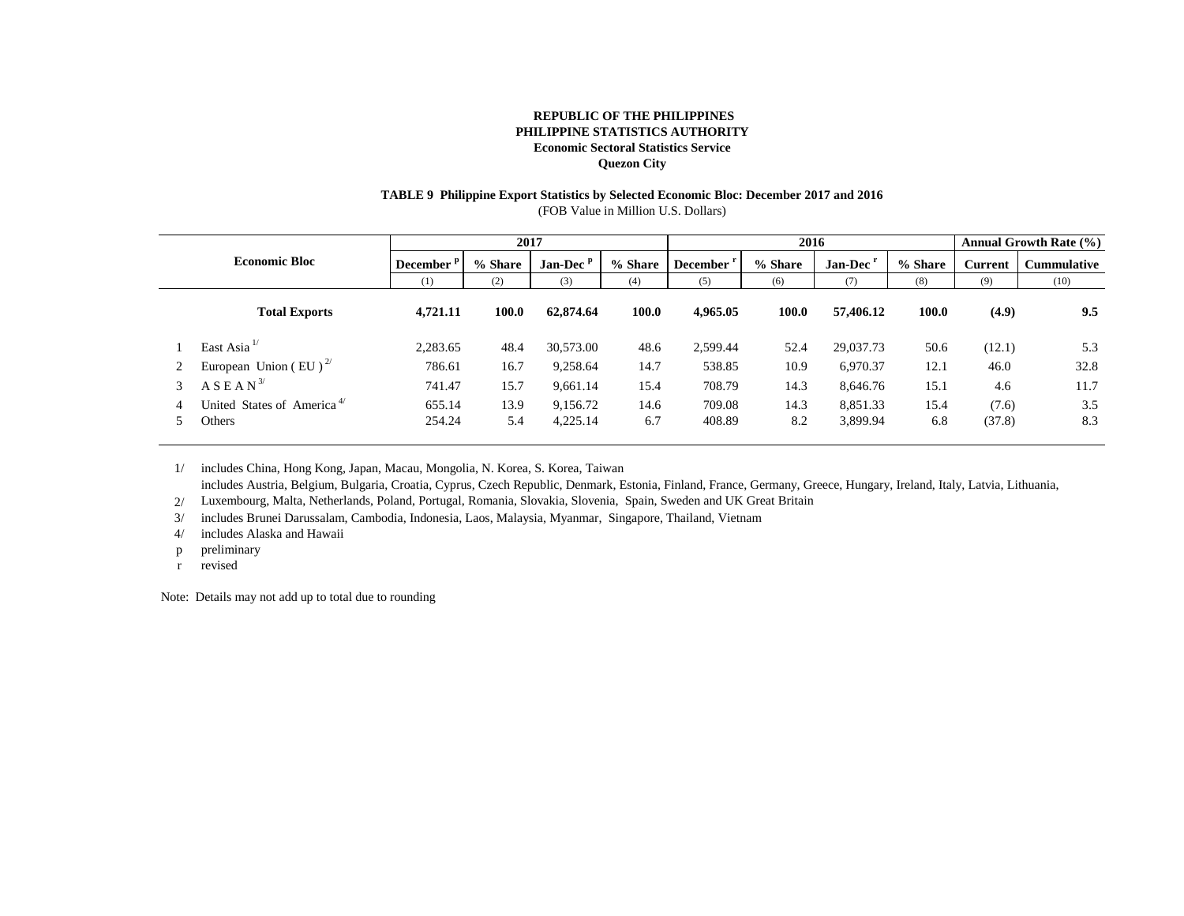# **TABLE 9 Philippine Export Statistics by Selected Economic Bloc: December 2017 and 2016**

(FOB Value in Million U.S. Dollars)

|   |                                                  |                       | 2017        |                      |             | 2016                  |             |                      |             | <b>Annual Growth Rate (%)</b> |                    |
|---|--------------------------------------------------|-----------------------|-------------|----------------------|-------------|-----------------------|-------------|----------------------|-------------|-------------------------------|--------------------|
|   | <b>Economic Bloc</b>                             | December <sup>P</sup> | % Share     | Jan-Dec <sup>p</sup> | % Share     | December <sup>1</sup> | % Share     | Jan-Dec <sup>r</sup> | % Share     | <b>Current</b>                | <b>Cummulative</b> |
|   |                                                  | (1)                   | (2)         | (3)                  | (4)         | (5)                   | (6)         | (7)                  | (8)         | (9)                           | (10)               |
|   | <b>Total Exports</b>                             | 4,721.11              | 100.0       | 62,874.64            | 100.0       | 4.965.05              | 100.0       | 57,406.12            | 100.0       | (4.9)                         | 9.5                |
|   | East Asia $^{1/}$                                | 2,283.65              | 48.4        | 30,573.00            | 48.6        | 2,599.44              | 52.4        | 29,037.73            | 50.6        | (12.1)                        | 5.3                |
|   | European Union (EU) <sup><math>27</math></sup>   | 786.61                | 16.7        | 9,258.64             | 14.7        | 538.85                | 10.9        | 6,970.37             | 12.1        | 46.0                          | 32.8               |
| 3 | $A S E A N^{3/2}$                                | 741.47                | 15.7        | 9,661.14             | 15.4        | 708.79                | 14.3        | 8,646.76             | 15.1        | 4.6                           | 11.7               |
|   | United States of America <sup>4/</sup><br>Others | 655.14<br>254.24      | 13.9<br>5.4 | 9,156.72<br>4,225.14 | 14.6<br>6.7 | 709.08<br>408.89      | 14.3<br>8.2 | 8,851.33<br>3,899.94 | 15.4<br>6.8 | (7.6)<br>(37.8)               | 3.5<br>8.3         |

1/ includes China, Hong Kong, Japan, Macau, Mongolia, N. Korea, S. Korea, Taiwan

includes Austria, Belgium, Bulgaria, Croatia, Cyprus, Czech Republic, Denmark, Estonia, Finland, France, Germany, Greece, Hungary, Ireland, Italy, Latvia, Lithuania,

2/ Luxembourg, Malta, Netherlands, Poland, Portugal, Romania, Slovakia, Slovenia, Spain, Sweden and UK Great Britain

3/ includes Brunei Darussalam, Cambodia, Indonesia, Laos, Malaysia, Myanmar, Singapore, Thailand, Vietnam

4/ includes Alaska and Hawaii

- p preliminary
- r revised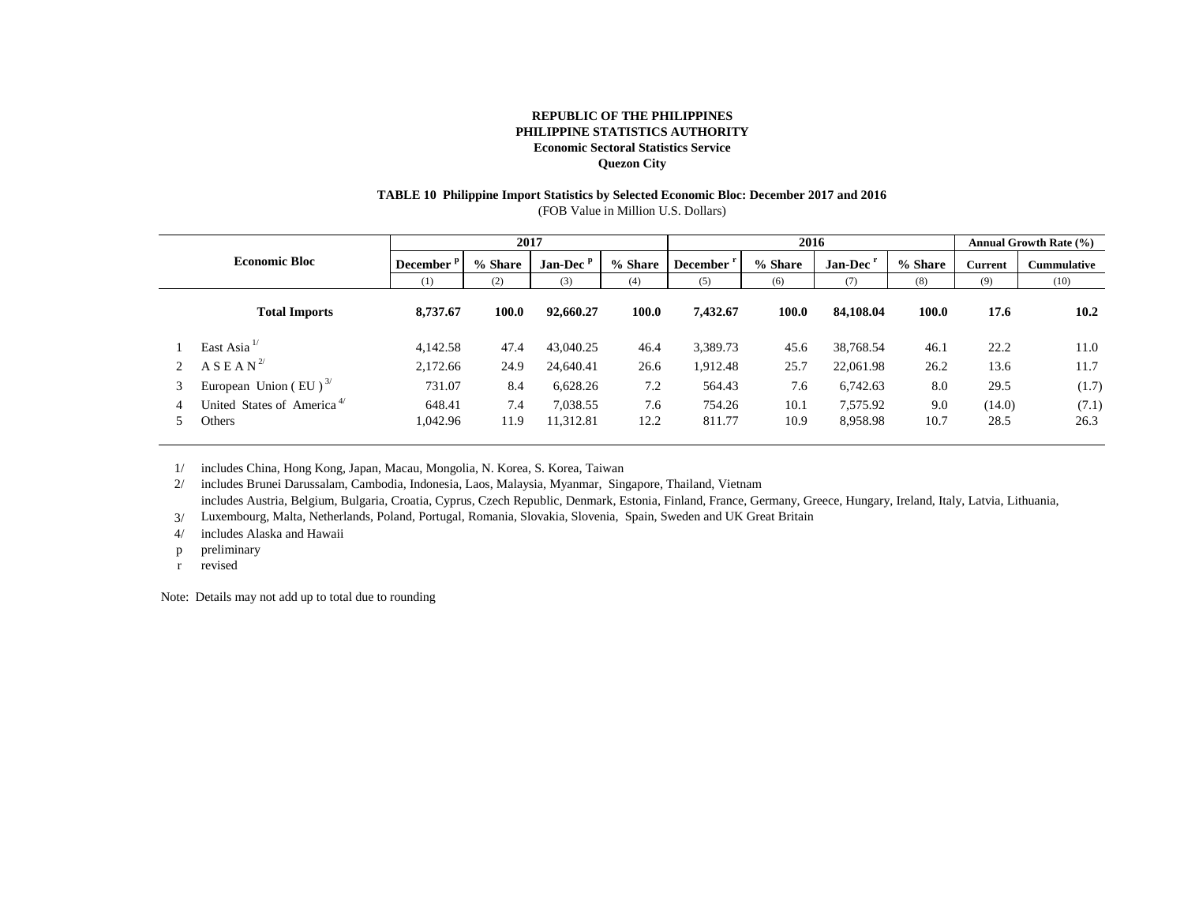# **TABLE 10 Philippine Import Statistics by Selected Economic Bloc: December 2017 and 2016**

(FOB Value in Million U.S. Dollars)

|   |                                                  |                       | 2017        |                       |             | 2016                  |              |                      |             | <b>Annual Growth Rate (%)</b> |                    |
|---|--------------------------------------------------|-----------------------|-------------|-----------------------|-------------|-----------------------|--------------|----------------------|-------------|-------------------------------|--------------------|
|   | <b>Economic Bloc</b>                             | December <sup>P</sup> | % Share     | Jan-Dec $P$           | % Share     | December <sup>r</sup> | % Share      | Jan-Dec'             | % Share     | <b>Current</b>                | <b>Cummulative</b> |
|   |                                                  | (1)                   | (2)         | (3)                   | (4)         | (5)                   | (6)          | (7)                  | (8)         | (9)                           | (10)               |
|   | <b>Total Imports</b>                             | 8,737.67              | 100.0       | 92,660.27             | 100.0       | 7,432.67              | 100.0        | 84,108,04            | 100.0       | 17.6                          | $10.2^{\circ}$     |
|   | East Asia <sup>1/</sup>                          | 4,142.58              | 47.4        | 43,040.25             | 46.4        | 3,389.73              | 45.6         | 38,768.54            | 46.1        | 22.2                          | 11.0               |
|   | A S E A N <sup>2</sup>                           | 2,172.66              | 24.9        | 24,640.41             | 26.6        | 912.48                | 25.7         | 22,061.98            | 26.2        | 13.6                          | 11.7               |
| 3 | European Union (EU) $^{3/}$                      | 731.07                | 8.4         | 6,628.26              | 7.2         | 564.43                | 7.6          | 6,742.63             | 8.0         | 29.5                          | (1.7)              |
|   | United States of America <sup>4/</sup><br>Others | 648.41<br>1,042.96    | 7.4<br>11.9 | 7,038.55<br>11,312.81 | 7.6<br>12.2 | 754.26<br>811.77      | 10.1<br>10.9 | 7.575.92<br>8,958.98 | 9.0<br>10.7 | (14.0)<br>28.5                | (7.1)<br>26.3      |

1/ includes China, Hong Kong, Japan, Macau, Mongolia, N. Korea, S. Korea, Taiwan

2/ includes Brunei Darussalam, Cambodia, Indonesia, Laos, Malaysia, Myanmar, Singapore, Thailand, Vietnam includes Austria, Belgium, Bulgaria, Croatia, Cyprus, Czech Republic, Denmark, Estonia, Finland, France, Germany, Greece, Hungary, Ireland, Italy, Latvia, Lithuania,

3/ Luxembourg, Malta, Netherlands, Poland, Portugal, Romania, Slovakia, Slovenia, Spain, Sweden and UK Great Britain

4/ includes Alaska and Hawaii

- p preliminary
- r revised